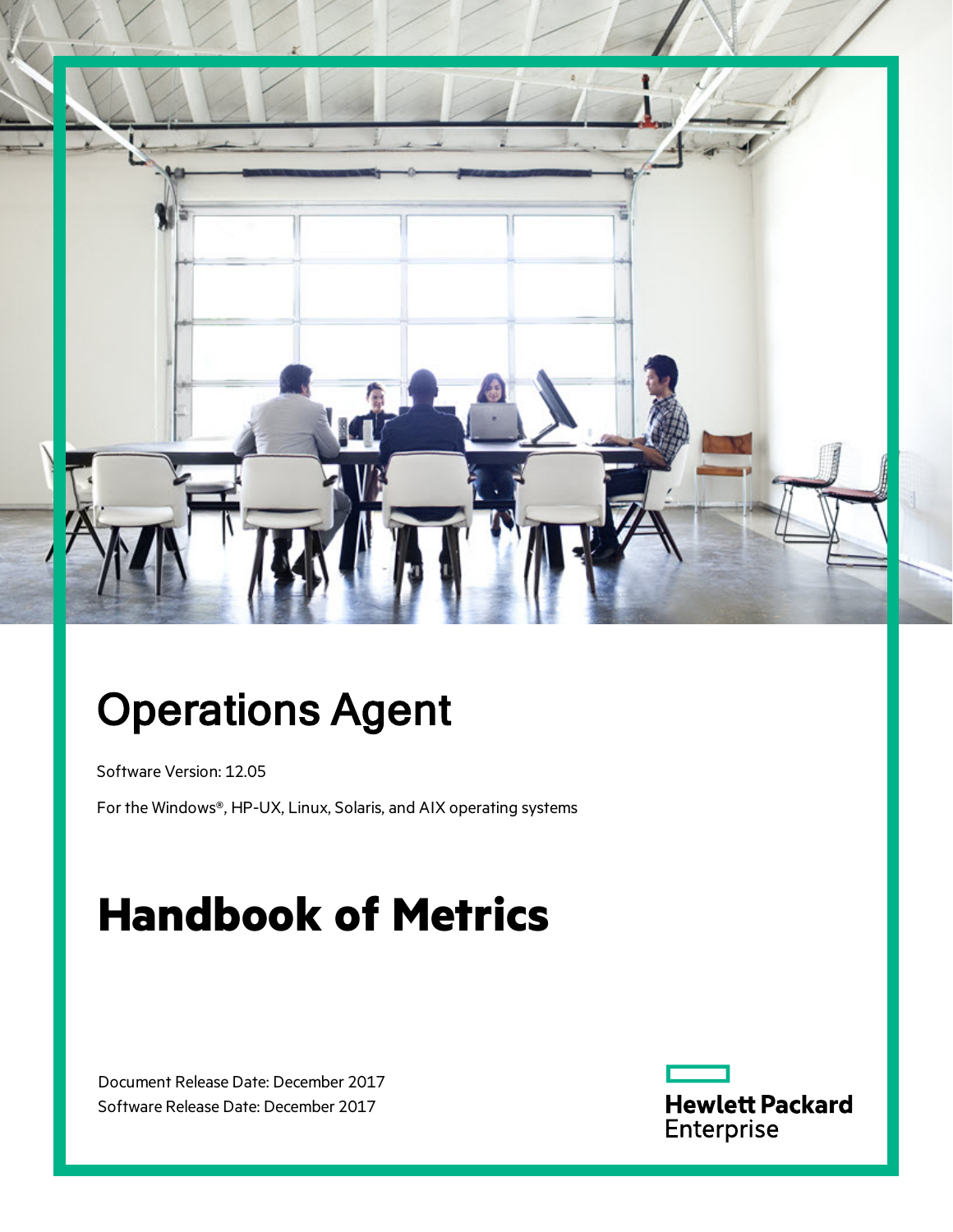

# Operations Agent

Software Version: 12.05

For the Windows®, HP-UX, Linux, Solaris, and AIX operating systems

# **Handbook of Metrics**

Document Release Date: December 2017 Software Release Date: December 2017

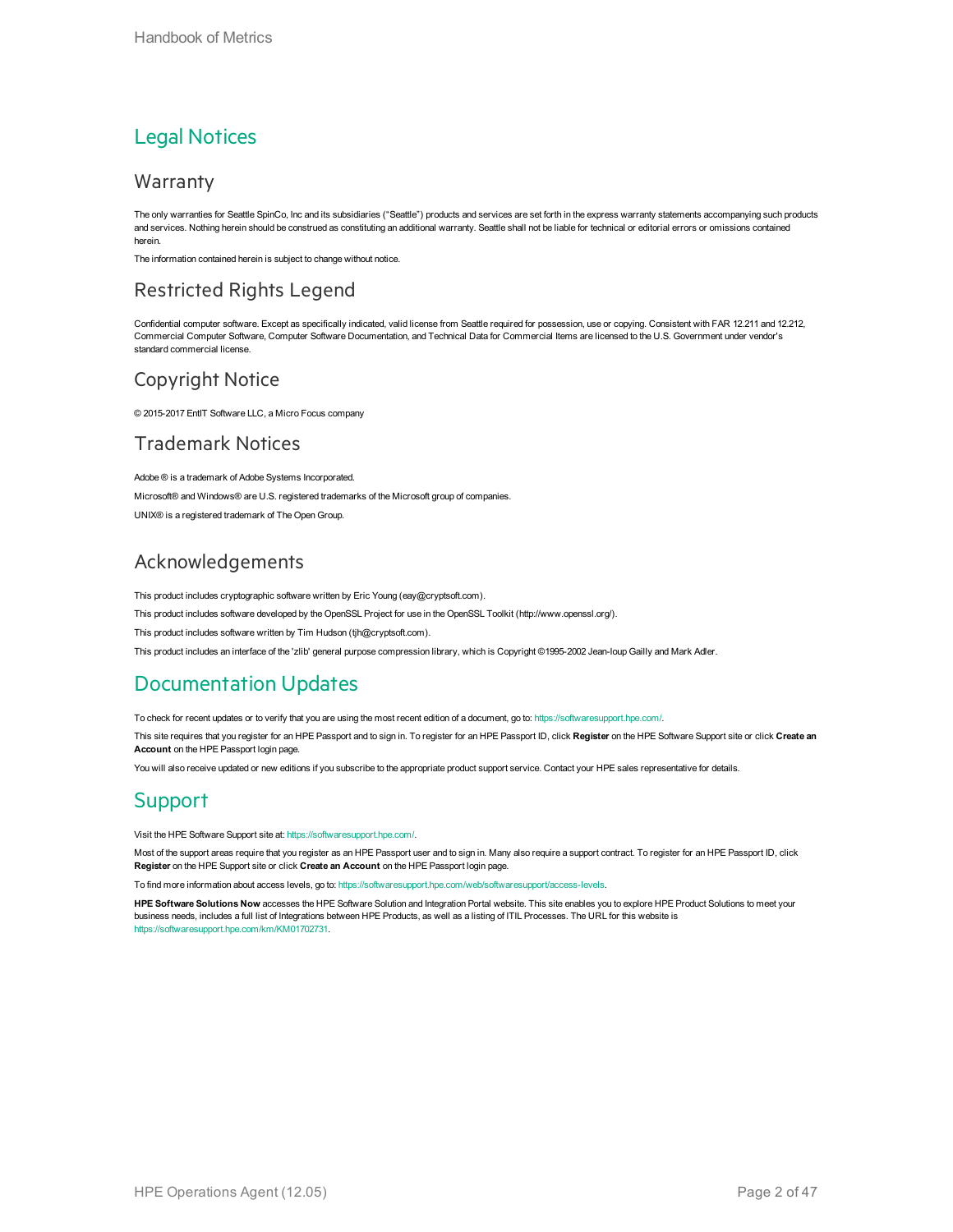#### Legal Notices

#### Warranty

The only warranties for Seattle SpinCo, Inc and its subsidiaries ("Seattle") products and services are set forth in the express warranty statements accompanying such products and services. Nothing herein should be construed as constituting an additional warranty. Seattle shall not be liable for technical or editorial errors or omissions contained herein.

The information contained herein is subject to change without notice.

#### Restricted Rights Legend

Confidential computer software. Except as specifically indicated, valid license from Seattle required for possession, use or copying. Consistent with FAR 12.211 and 12.212, Commercial Computer Software, Computer Software Documentation, and Technical Data for Commercial Items are licensed to the U.S. Government under vendor's standard commercial license.

#### Copyright Notice

© 2015-2017 EntIT Software LLC, a Micro Focus company

#### Trademark Notices

Adobe ® is a trademark of Adobe Systems Incorporated. Microsoft® and Windows® are U.S. registered trademarks of the Microsoft group of companies. UNIX® is a registered trademark of The Open Group.

#### Acknowledgements

This product includes cryptographic software written by Eric Young (eay@cryptsoft.com).

This product includes software developed by the OpenSSL Project for use in the OpenSSL Toolkit (http://www.openssl.org/).

This product includes software written by Tim Hudson (tjh@cryptsoft.com).

This product includes an interface of the 'zlib' general purpose compression library, which is Copyright ©1995-2002 Jean-loup Gailly and Mark Adler.

#### Documentation Updates

To check for recent updates or to verify that you are using the most recent edition of a document, go to: <https://softwaresupport.hpe.com/>.

This site requires that you register for an HPE Passport and to sign in. To register for an HPE Passport ID, click **Register** on the HPE Software Support site or click **Create an Account** on the HPE Passport login page.

You will also receive updated or new editions if you subscribe to the appropriate product support service. Contact your HPE sales representative for details.

#### **Support**

Visit the HPE Software Support site at: <https://softwaresupport.hpe.com/>.

Most of the support areas require that you register as an HPE Passport user and to sign in. Many also require a support contract. To register for an HPE Passport ID, click **Register** on the HPE Support site or click **Create an Account** on the HPE Passport login page.

To find more information about access levels, go to: <https://softwaresupport.hpe.com/web/softwaresupport/access-levels>.

**HPE Software Solutions Now** accesses the HPE Software Solution and Integration Portal website. This site enables you to explore HPE Product Solutions to meet your business needs, includes a full list of Integrations between HPE Products, as well as a listing of ITIL Processes. The URL for this website is [https://softwaresupport.hpe.com/km/KM01702731.](https://softwaresupport.hpe.com/km/KM01702731)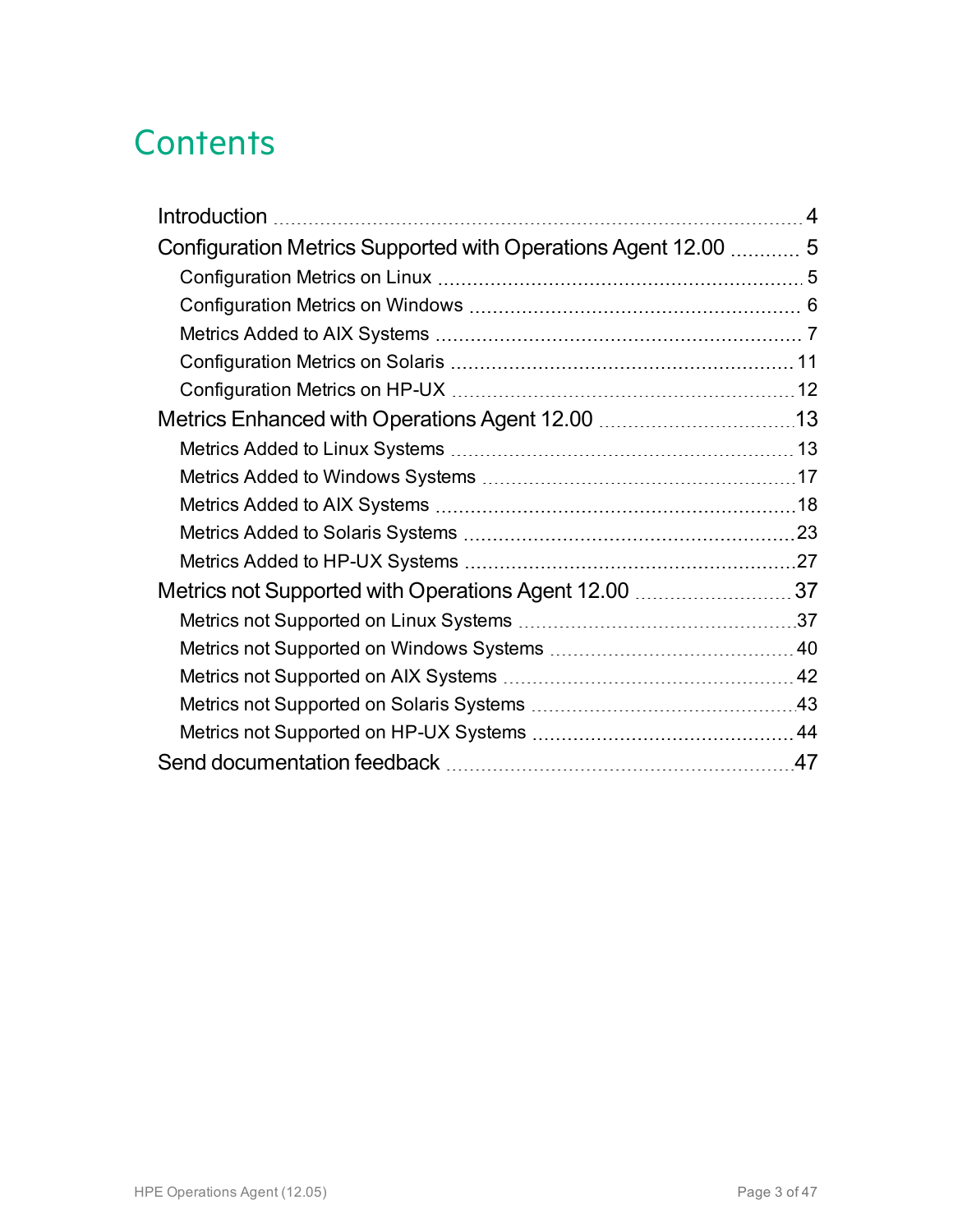### **Contents**

| Configuration Metrics Supported with Operations Agent 12.00  5 |  |
|----------------------------------------------------------------|--|
|                                                                |  |
|                                                                |  |
|                                                                |  |
|                                                                |  |
|                                                                |  |
|                                                                |  |
|                                                                |  |
|                                                                |  |
|                                                                |  |
|                                                                |  |
|                                                                |  |
| Metrics not Supported with Operations Agent 12.00 37           |  |
|                                                                |  |
|                                                                |  |
|                                                                |  |
|                                                                |  |
|                                                                |  |
|                                                                |  |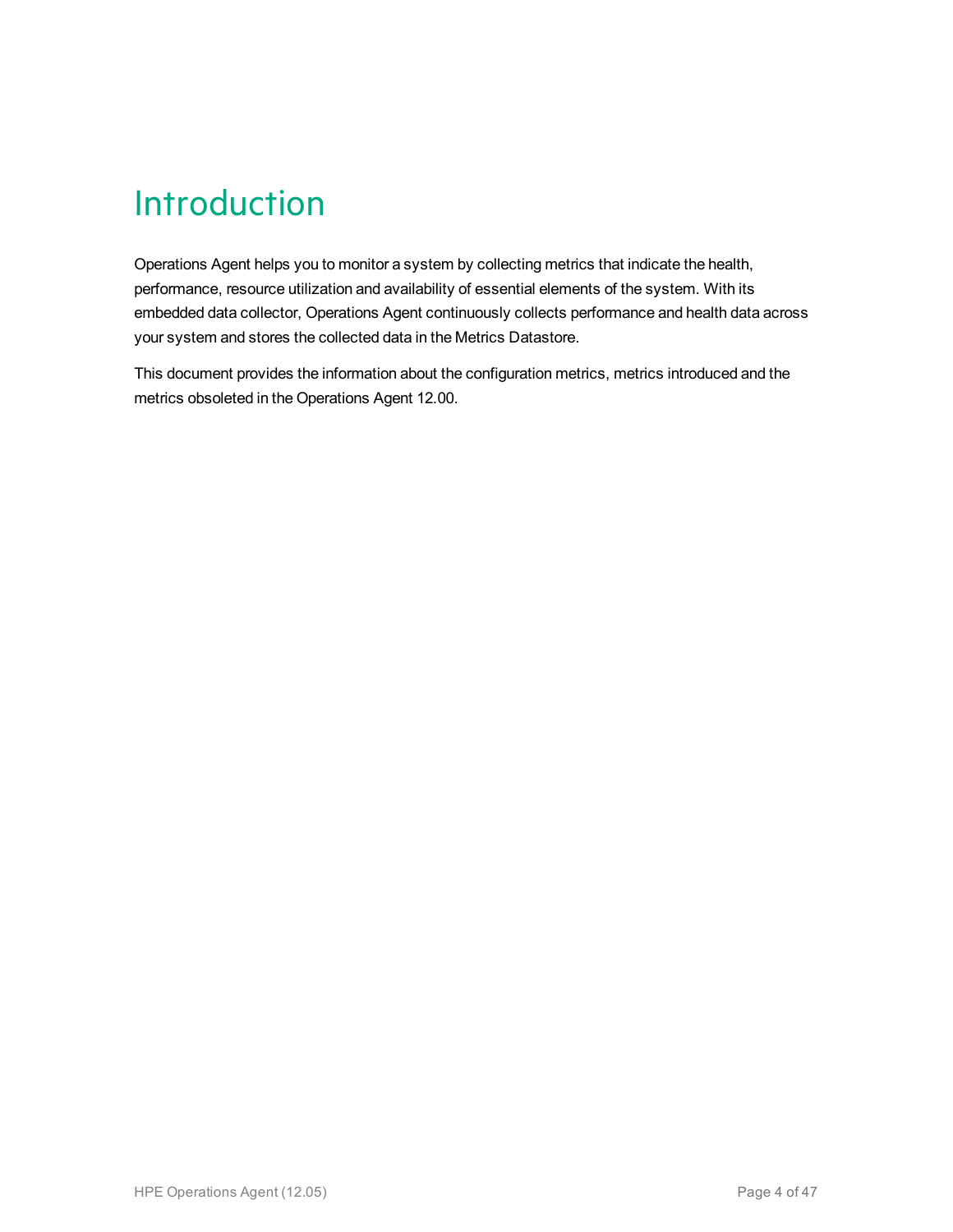### <span id="page-3-0"></span>Introduction

Operations Agent helps you to monitor a system by collecting metrics that indicate the health, performance, resource utilization and availability of essential elements of the system. With its embedded data collector, Operations Agent continuously collects performance and health data across your system and stores the collected data in the Metrics Datastore.

This document provides the information about the configuration metrics, metrics introduced and the metrics obsoleted in the Operations Agent 12.00.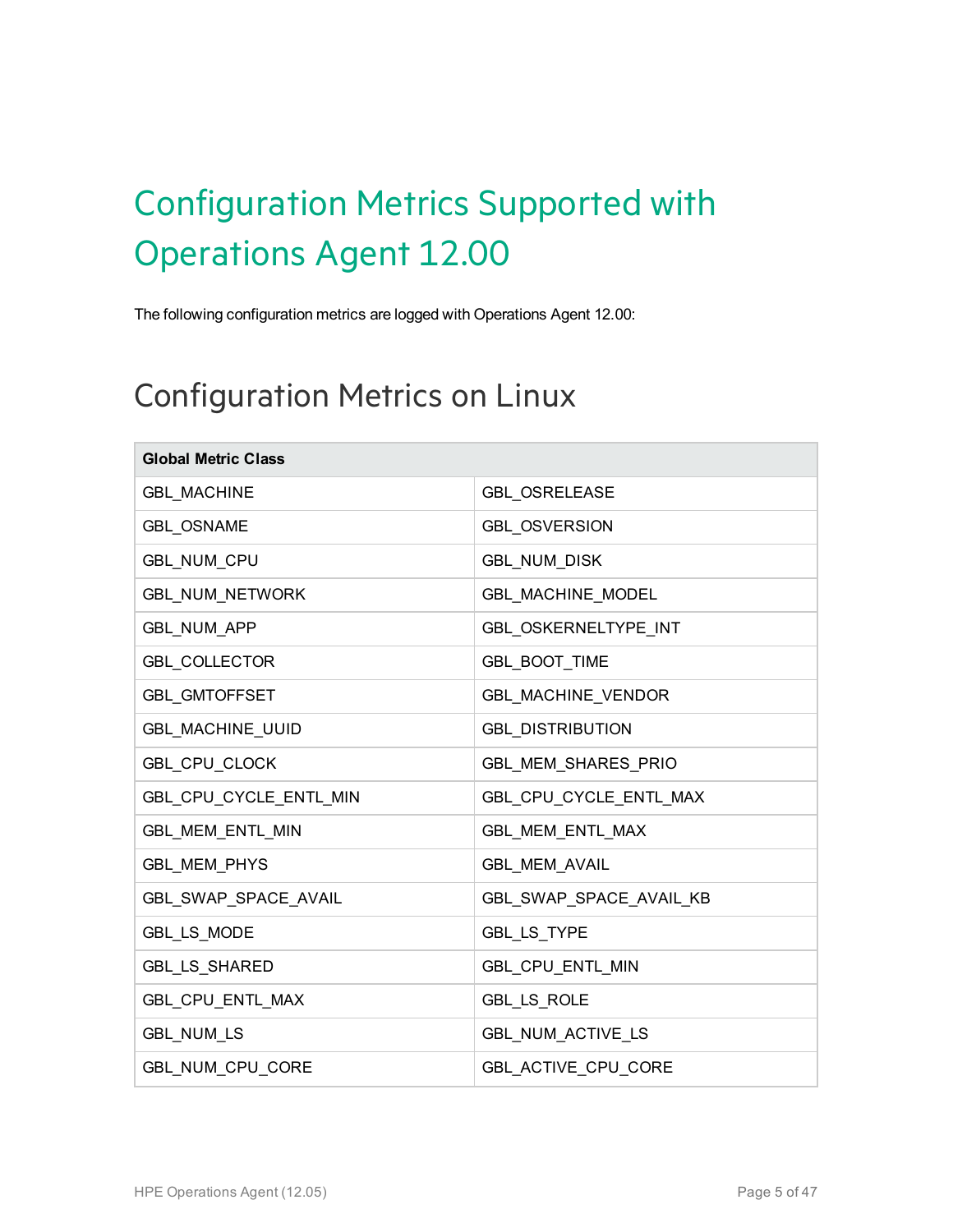# <span id="page-4-0"></span>Configuration Metrics Supported with Operations Agent 12.00

<span id="page-4-1"></span>The following configuration metrics are logged with Operations Agent 12.00:

#### Configuration Metrics on Linux

| <b>Global Metric Class</b> |                             |
|----------------------------|-----------------------------|
| <b>GBL_MACHINE</b>         | <b>GBL OSRELEASE</b>        |
| <b>GBL OSNAME</b>          | <b>GBL OSVERSION</b>        |
| GBL_NUM_CPU                | <b>GBL_NUM_DISK</b>         |
| GBL_NUM_NETWORK            | GBL_MACHINE_MODEL           |
| <b>GBL_NUM_APP</b>         | <b>GBL OSKERNELTYPE INT</b> |
| <b>GBL_COLLECTOR</b>       | <b>GBL_BOOT_TIME</b>        |
| <b>GBL_GMTOFFSET</b>       | GBL_MACHINE_VENDOR          |
| <b>GBL MACHINE UUID</b>    | <b>GBL DISTRIBUTION</b>     |
| GBL_CPU_CLOCK              | GBL_MEM_SHARES_PRIO         |
| GBL_CPU_CYCLE_ENTL_MIN     | GBL_CPU_CYCLE_ENTL_MAX      |
| <b>GBL MEM ENTL MIN</b>    | GBL_MEM_ENTL_MAX            |
| <b>GBL_MEM_PHYS</b>        | <b>GBL MEM AVAIL</b>        |
| GBL_SWAP_SPACE_AVAIL       | GBL_SWAP_SPACE_AVAIL_KB     |
| GBL_LS_MODE                | GBL_LS_TYPE                 |
| <b>GBL_LS_SHARED</b>       | GBL_CPU_ENTL_MIN            |
| GBL_CPU_ENTL_MAX           | GBL_LS_ROLE                 |
| <b>GBL NUM LS</b>          | GBL_NUM_ACTIVE_LS           |
| GBL_NUM_CPU_CORE           | GBL_ACTIVE_CPU_CORE         |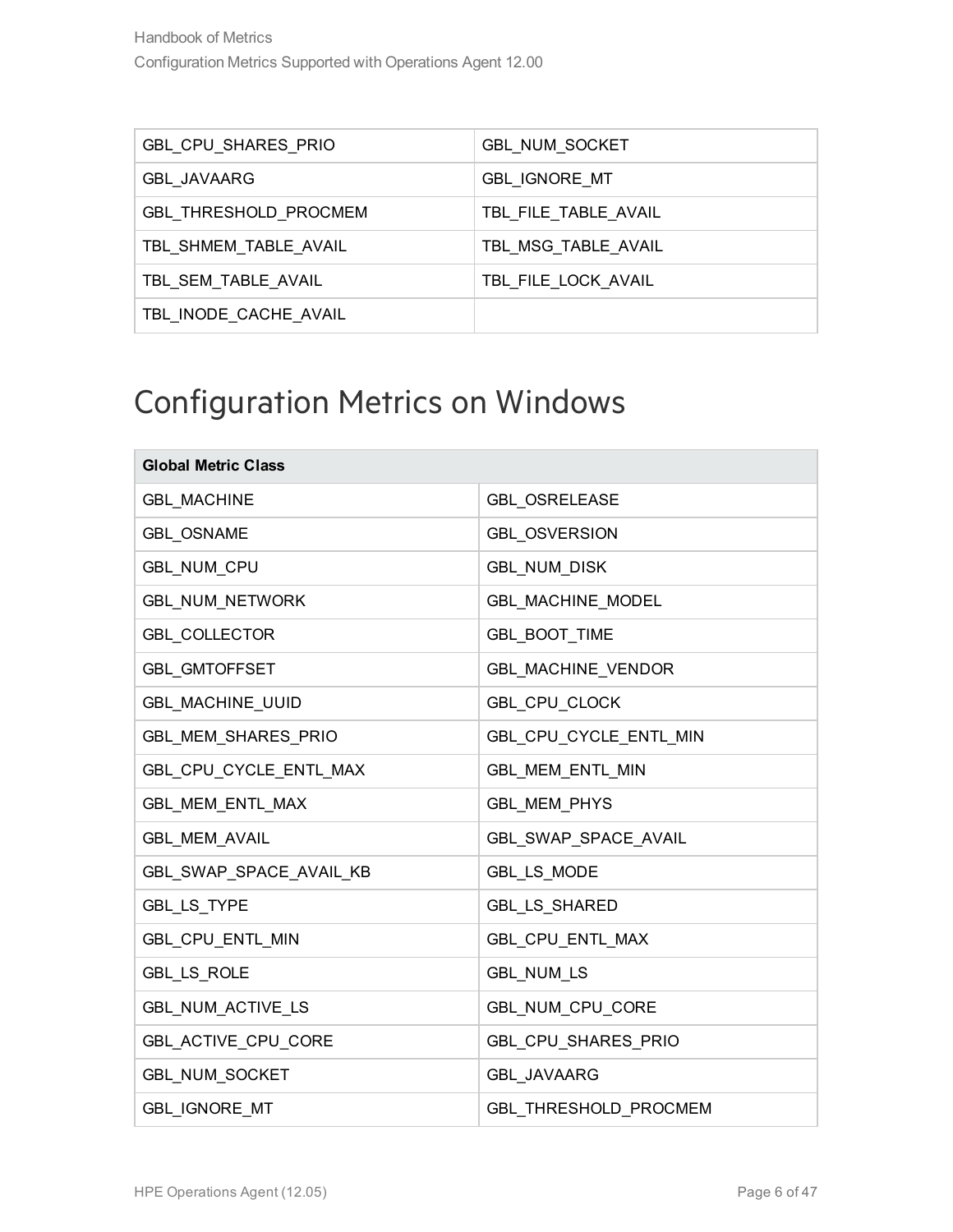| GBL_CPU_SHARES_PRIO   | <b>GBL NUM SOCKET</b> |
|-----------------------|-----------------------|
| <b>GBL JAVAARG</b>    | <b>GBL IGNORE MT</b>  |
| GBL_THRESHOLD_PROCMEM | TBL_FILE_TABLE_AVAIL  |
| TBL_SHMEM_TABLE_AVAIL | TBL MSG TABLE AVAIL   |
| TBL SEM TABLE AVAIL   | TBL FILE LOCK AVAIL   |
| TBL INODE CACHE AVAIL |                       |

#### <span id="page-5-0"></span>Configuration Metrics on Windows

| <b>Global Metric Class</b> |                              |
|----------------------------|------------------------------|
| <b>GBL MACHINE</b>         | <b>GBL OSRELEASE</b>         |
| <b>GBL OSNAME</b>          | <b>GBL OSVERSION</b>         |
| GBL_NUM_CPU                | <b>GBL_NUM_DISK</b>          |
| <b>GBL_NUM_NETWORK</b>     | <b>GBL MACHINE MODEL</b>     |
| <b>GBL COLLECTOR</b>       | <b>GBL BOOT TIME</b>         |
| <b>GBL GMTOFFSET</b>       | <b>GBL MACHINE VENDOR</b>    |
| <b>GBL MACHINE UUID</b>    | GBL_CPU_CLOCK                |
| <b>GBL MEM SHARES PRIO</b> | GBL_CPU_CYCLE_ENTL_MIN       |
| GBL_CPU_CYCLE_ENTL_MAX     | GBL_MEM_ENTL_MIN             |
| GBL MEM ENTL MAX           | GBL_MEM_PHYS                 |
| <b>GBL_MEM_AVAIL</b>       | GBL_SWAP_SPACE_AVAIL         |
| GBL_SWAP_SPACE_AVAIL_KB    | GBL_LS_MODE                  |
| GBL_LS_TYPE                | GBL_LS_SHARED                |
| GBL CPU ENTL MIN           | GBL_CPU_ENTL_MAX             |
| <b>GBL_LS_ROLE</b>         | <b>GBL_NUM_LS</b>            |
| <b>GBL NUM ACTIVE LS</b>   | GBL_NUM_CPU_CORE             |
| GBL_ACTIVE_CPU_CORE        | GBL CPU SHARES PRIO          |
| <b>GBL NUM SOCKET</b>      | <b>GBL JAVAARG</b>           |
| <b>GBL IGNORE MT</b>       | <b>GBL THRESHOLD PROCMEM</b> |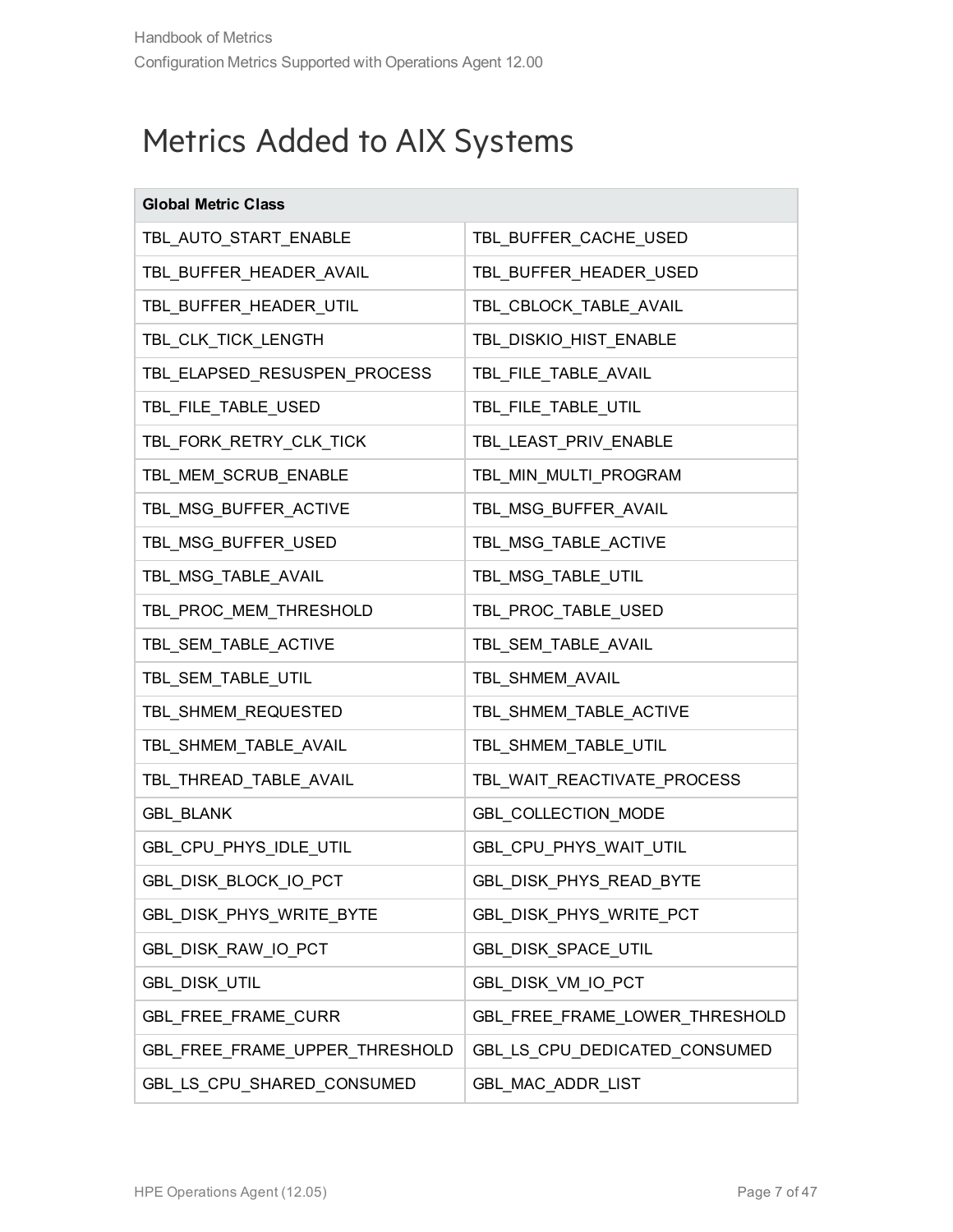#### <span id="page-6-0"></span>Metrics Added to AIX Systems

| <b>Global Metric Class</b>     |                                |
|--------------------------------|--------------------------------|
| TBL_AUTO_START_ENABLE          | TBL_BUFFER_CACHE_USED          |
| TBL_BUFFER_HEADER_AVAIL        | TBL_BUFFER_HEADER_USED         |
| TBL_BUFFER_HEADER_UTIL         | TBL_CBLOCK_TABLE_AVAIL         |
| TBL_CLK_TICK_LENGTH            | TBL_DISKIO_HIST_ENABLE         |
| TBL_ELAPSED_RESUSPEN_PROCESS   | TBL_FILE_TABLE_AVAIL           |
| TBL_FILE_TABLE_USED            | TBL_FILE_TABLE_UTIL            |
| TBL_FORK_RETRY_CLK_TICK        | TBL_LEAST_PRIV_ENABLE          |
| TBL_MEM_SCRUB_ENABLE           | TBL_MIN_MULTI_PROGRAM          |
| TBL_MSG_BUFFER_ACTIVE          | TBL_MSG_BUFFER_AVAIL           |
| TBL_MSG_BUFFER_USED            | TBL_MSG_TABLE_ACTIVE           |
| TBL_MSG_TABLE_AVAIL            | TBL_MSG_TABLE_UTIL             |
| TBL_PROC_MEM_THRESHOLD         | TBL_PROC_TABLE_USED            |
| TBL_SEM_TABLE_ACTIVE           | TBL_SEM_TABLE_AVAIL            |
| TBL_SEM_TABLE_UTIL             | TBL_SHMEM_AVAIL                |
| TBL_SHMEM_REQUESTED            | TBL_SHMEM_TABLE_ACTIVE         |
| TBL_SHMEM_TABLE_AVAIL          | TBL_SHMEM_TABLE_UTIL           |
| TBL_THREAD_TABLE_AVAIL         | TBL_WAIT_REACTIVATE_PROCESS    |
| <b>GBL_BLANK</b>               | GBL_COLLECTION_MODE            |
| GBL_CPU_PHYS_IDLE_UTIL         | GBL_CPU_PHYS_WAIT_UTIL         |
| GBL_DISK_BLOCK_IO_PCT          | GBL_DISK_PHYS_READ_BYTE        |
| GBL_DISK_PHYS_WRITE_BYTE       | GBL DISK PHYS WRITE PCT        |
| GBL_DISK_RAW_IO_PCT            | GBL_DISK_SPACE_UTIL            |
| <b>GBL_DISK_UTIL</b>           | GBL_DISK_VM_IO_PCT             |
| GBL_FREE_FRAME_CURR            | GBL_FREE_FRAME_LOWER_THRESHOLD |
| GBL_FREE_FRAME_UPPER_THRESHOLD | GBL_LS_CPU_DEDICATED_CONSUMED  |
| GBL_LS_CPU_SHARED_CONSUMED     | GBL_MAC_ADDR_LIST              |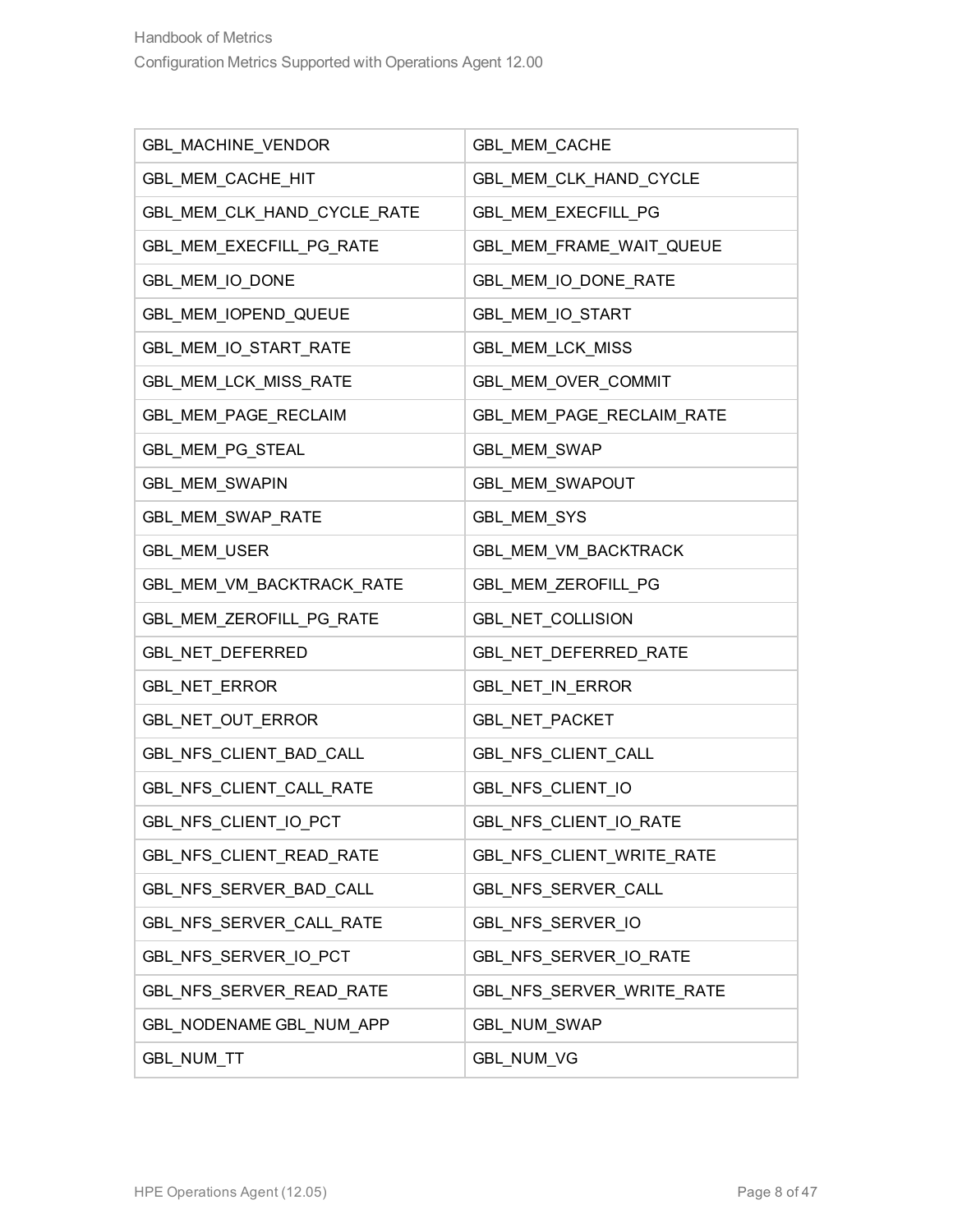| GBL_MACHINE_VENDOR          | GBL_MEM_CACHE              |
|-----------------------------|----------------------------|
| GBL MEM CACHE HIT           | GBL_MEM_CLK_HAND_CYCLE     |
| GBL_MEM_CLK_HAND_CYCLE_RATE | <b>GBL MEM EXECFILL PG</b> |
| GBL_MEM_EXECFILL_PG_RATE    | GBL_MEM_FRAME_WAIT_QUEUE   |
| GBL_MEM_IO_DONE             | GBL_MEM_IO_DONE_RATE       |
| GBL_MEM_IOPEND_QUEUE        | GBL_MEM_IO_START           |
| GBL_MEM_IO_START_RATE       | GBL_MEM_LCK_MISS           |
| GBL_MEM_LCK_MISS_RATE       | GBL_MEM_OVER_COMMIT        |
| GBL_MEM_PAGE_RECLAIM        | GBL_MEM_PAGE_RECLAIM_RATE  |
| GBL_MEM_PG_STEAL            | GBL_MEM_SWAP               |
| GBL_MEM_SWAPIN              | GBL_MEM_SWAPOUT            |
| <b>GBL MEM SWAP RATE</b>    | GBL_MEM_SYS                |
| GBL_MEM_USER                | GBL_MEM_VM_BACKTRACK       |
| GBL_MEM_VM_BACKTRACK_RATE   | GBL_MEM_ZEROFILL_PG        |
| GBL_MEM_ZEROFILL_PG_RATE    | GBL_NET_COLLISION          |
| GBL_NET_DEFERRED            | GBL_NET_DEFERRED_RATE      |
| GBL_NET_ERROR               | GBL_NET_IN_ERROR           |
| GBL_NET_OUT_ERROR           | GBL_NET_PACKET             |
| GBL_NFS_CLIENT_BAD_CALL     | GBL_NFS_CLIENT_CALL        |
| GBL_NFS_CLIENT_CALL_RATE    | GBL_NFS_CLIENT_IO          |
| GBL_NFS_CLIENT_IO_PCT       | GBL_NFS_CLIENT_IO_RATE     |
| GBL_NFS_CLIENT_READ_RATE    | GBL_NFS_CLIENT_WRITE_RATE  |
| GBL_NFS_SERVER_BAD_CALL     | GBL_NFS_SERVER_CALL        |
| GBL_NFS_SERVER_CALL_RATE    | GBL_NFS_SERVER_IO          |
| GBL_NFS_SERVER_IO_PCT       | GBL NFS SERVER IO RATE     |
| GBL_NFS_SERVER_READ_RATE    | GBL_NFS_SERVER_WRITE_RATE  |
| GBL NODENAME GBL NUM APP    | GBL_NUM_SWAP               |
| GBL_NUM_TT                  | GBL_NUM_VG                 |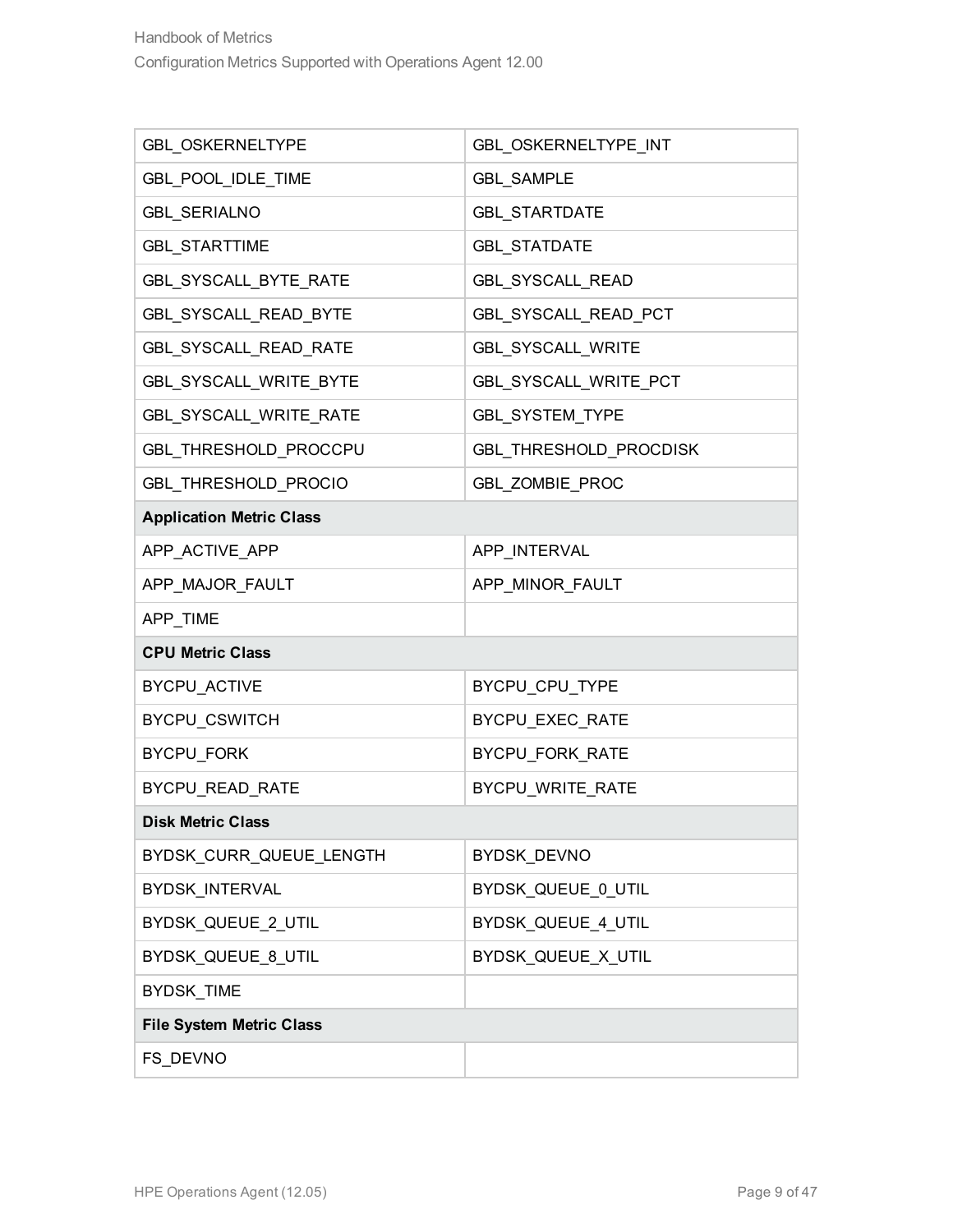| GBL_OSKERNELTYPE                | GBL_OSKERNELTYPE_INT     |
|---------------------------------|--------------------------|
| GBL POOL IDLE TIME              | <b>GBL SAMPLE</b>        |
| <b>GBL_SERIALNO</b>             | <b>GBL_STARTDATE</b>     |
| GBL_STARTTIME                   | <b>GBL_STATDATE</b>      |
| GBL_SYSCALL_BYTE_RATE           | GBL_SYSCALL_READ         |
| <b>GBL SYSCALL READ BYTE</b>    | GBL_SYSCALL_READ_PCT     |
| GBL_SYSCALL_READ_RATE           | <b>GBL_SYSCALL_WRITE</b> |
| GBL_SYSCALL_WRITE_BYTE          | GBL_SYSCALL_WRITE_PCT    |
| GBL_SYSCALL_WRITE_RATE          | GBL_SYSTEM_TYPE          |
| GBL_THRESHOLD_PROCCPU           | GBL_THRESHOLD_PROCDISK   |
| GBL_THRESHOLD_PROCIO            | GBL_ZOMBIE_PROC          |
| <b>Application Metric Class</b> |                          |
| APP_ACTIVE_APP                  | APP_INTERVAL             |
| APP_MAJOR_FAULT                 | APP_MINOR_FAULT          |
|                                 |                          |
| APP_TIME                        |                          |
| <b>CPU Metric Class</b>         |                          |
| BYCPU_ACTIVE                    | BYCPU_CPU_TYPE           |
| BYCPU_CSWITCH                   | BYCPU_EXEC_RATE          |
| <b>BYCPU_FORK</b>               | BYCPU_FORK_RATE          |
| BYCPU_READ_RATE                 | BYCPU_WRITE_RATE         |
| <b>Disk Metric Class</b>        |                          |
| BYDSK_CURR_QUEUE_LENGTH         | <b>BYDSK_DEVNO</b>       |
| <b>BYDSK INTERVAL</b>           | BYDSK_QUEUE_0_UTIL       |
| BYDSK_QUEUE_2_UTIL              | BYDSK_QUEUE_4_UTIL       |
| BYDSK QUEUE 8 UTIL              | BYDSK_QUEUE_X_UTIL       |
| <b>BYDSK_TIME</b>               |                          |
| <b>File System Metric Class</b> |                          |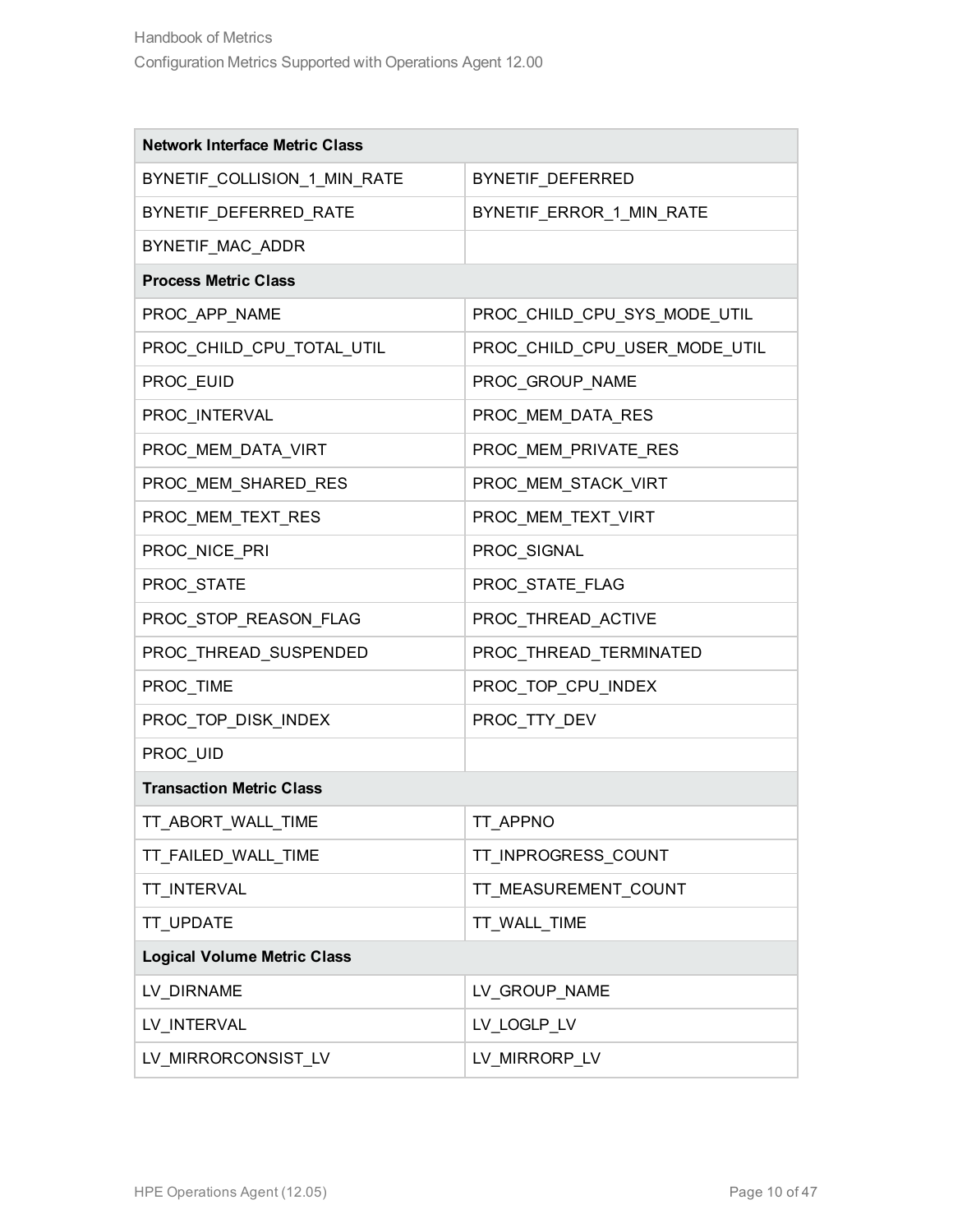| <b>Network Interface Metric Class</b> |                               |  |
|---------------------------------------|-------------------------------|--|
| BYNETIF_COLLISION_1_MIN_RATE          | BYNETIF_DEFERRED              |  |
| BYNETIF_DEFERRED_RATE                 | BYNETIF_ERROR_1_MIN_RATE      |  |
| BYNETIF MAC ADDR                      |                               |  |
| <b>Process Metric Class</b>           |                               |  |
| PROC_APP_NAME                         | PROC_CHILD_CPU_SYS_MODE_UTIL  |  |
| PROC_CHILD_CPU_TOTAL_UTIL             | PROC_CHILD_CPU_USER_MODE_UTIL |  |
| PROC_EUID                             | PROC_GROUP_NAME               |  |
| PROC_INTERVAL                         | PROC_MEM_DATA_RES             |  |
| PROC_MEM_DATA_VIRT                    | PROC_MEM_PRIVATE_RES          |  |
| PROC MEM SHARED RES                   | PROC_MEM_STACK_VIRT           |  |
| PROC_MEM_TEXT_RES                     | PROC_MEM_TEXT_VIRT            |  |
| PROC_NICE_PRI                         | PROC_SIGNAL                   |  |
| PROC_STATE                            | PROC_STATE_FLAG               |  |
| PROC_STOP_REASON_FLAG                 | PROC_THREAD_ACTIVE            |  |
| PROC_THREAD_SUSPENDED                 | PROC_THREAD_TERMINATED        |  |
| PROC_TIME                             | PROC_TOP_CPU_INDEX            |  |
| PROC_TOP_DISK_INDEX                   | PROC_TTY_DEV                  |  |
| PROC_UID                              |                               |  |
| <b>Transaction Metric Class</b>       |                               |  |
| TT_ABORT_WALL_TIME                    | TT_APPNO                      |  |
| TT_FAILED_WALL_TIME                   | TT_INPROGRESS_COUNT           |  |
| TT_INTERVAL                           | TT_MEASUREMENT_COUNT          |  |
| <b>TT UPDATE</b>                      | TT_WALL_TIME                  |  |
| <b>Logical Volume Metric Class</b>    |                               |  |
| LV DIRNAME                            | LV_GROUP_NAME                 |  |
| LV_INTERVAL                           | LV_LOGLP_LV                   |  |
| LV_MIRRORCONSIST_LV                   | LV_MIRRORP_LV                 |  |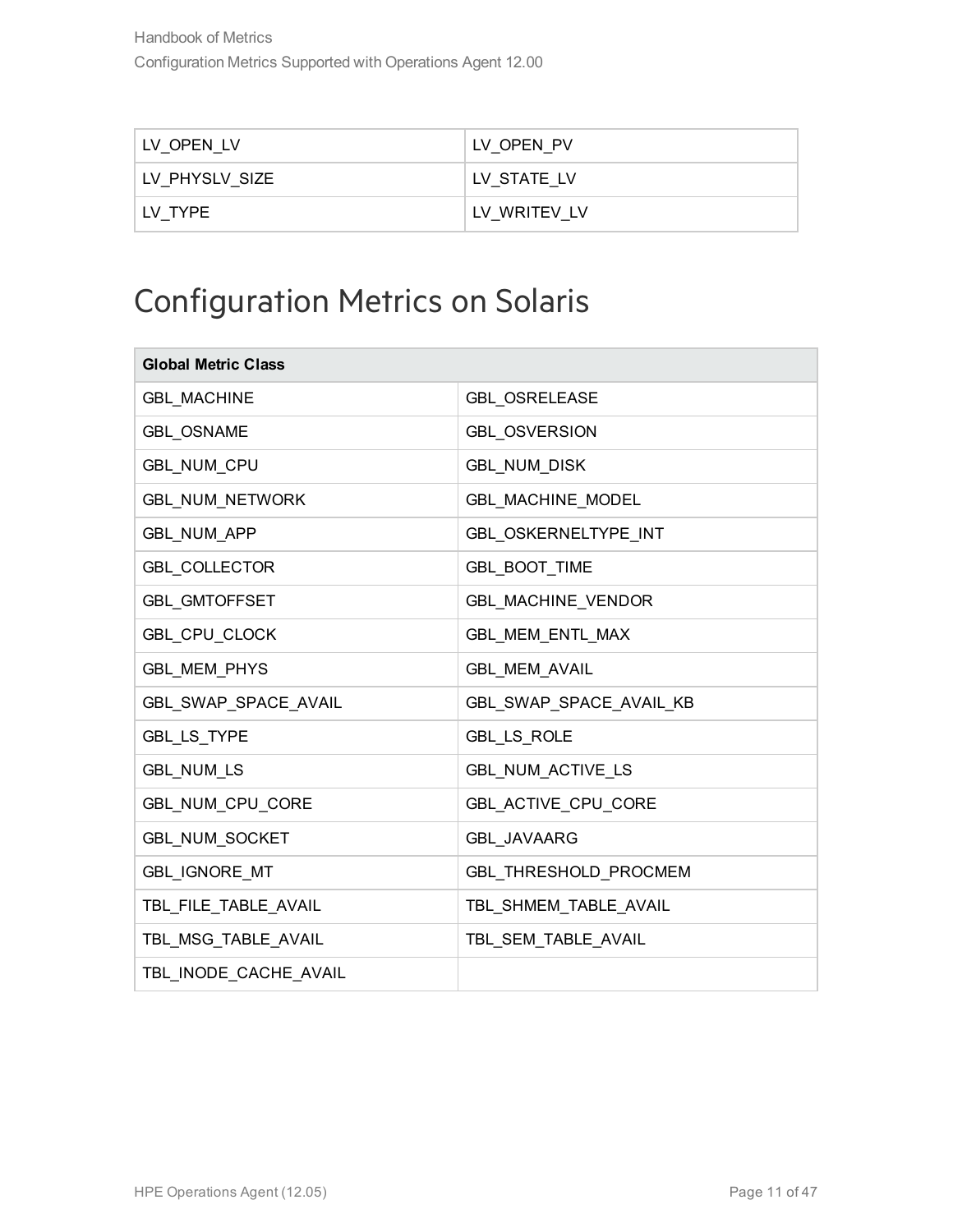| LV OPEN LV       | LV OPEN PV   |
|------------------|--------------|
| I LV PHYSLV SIZE | LV STATE LV  |
| I LV TYPE        | LV WRITEV LV |

### <span id="page-10-0"></span>Configuration Metrics on Solaris

| <b>Global Metric Class</b> |                             |
|----------------------------|-----------------------------|
| <b>GBL MACHINE</b>         | <b>GBL OSRELEASE</b>        |
| <b>GBL OSNAME</b>          | <b>GBL OSVERSION</b>        |
| GBL_NUM_CPU                | GBL_NUM_DISK                |
| <b>GBL_NUM_NETWORK</b>     | <b>GBL MACHINE MODEL</b>    |
| <b>GBL_NUM_APP</b>         | <b>GBL OSKERNELTYPE INT</b> |
| <b>GBL_COLLECTOR</b>       | <b>GBL_BOOT_TIME</b>        |
| <b>GBL GMTOFFSET</b>       | <b>GBL MACHINE VENDOR</b>   |
| GBL_CPU_CLOCK              | GBL MEM ENTL MAX            |
| <b>GBL_MEM_PHYS</b>        | <b>GBL_MEM_AVAIL</b>        |
| GBL_SWAP_SPACE_AVAIL       | GBL_SWAP_SPACE_AVAIL_KB     |
| GBL_LS_TYPE                | GBL_LS_ROLE                 |
| <b>GBL_NUM_LS</b>          | GBL_NUM_ACTIVE_LS           |
| GBL_NUM_CPU_CORE           | GBL_ACTIVE_CPU_CORE         |
| <b>GBL NUM SOCKET</b>      | <b>GBL JAVAARG</b>          |
| GBL_IGNORE_MT              | GBL_THRESHOLD_PROCMEM       |
| TBL_FILE_TABLE_AVAIL       | TBL_SHMEM_TABLE_AVAIL       |
| TBL MSG TABLE AVAIL        | TBL_SEM_TABLE_AVAIL         |
| TBL INODE CACHE AVAIL      |                             |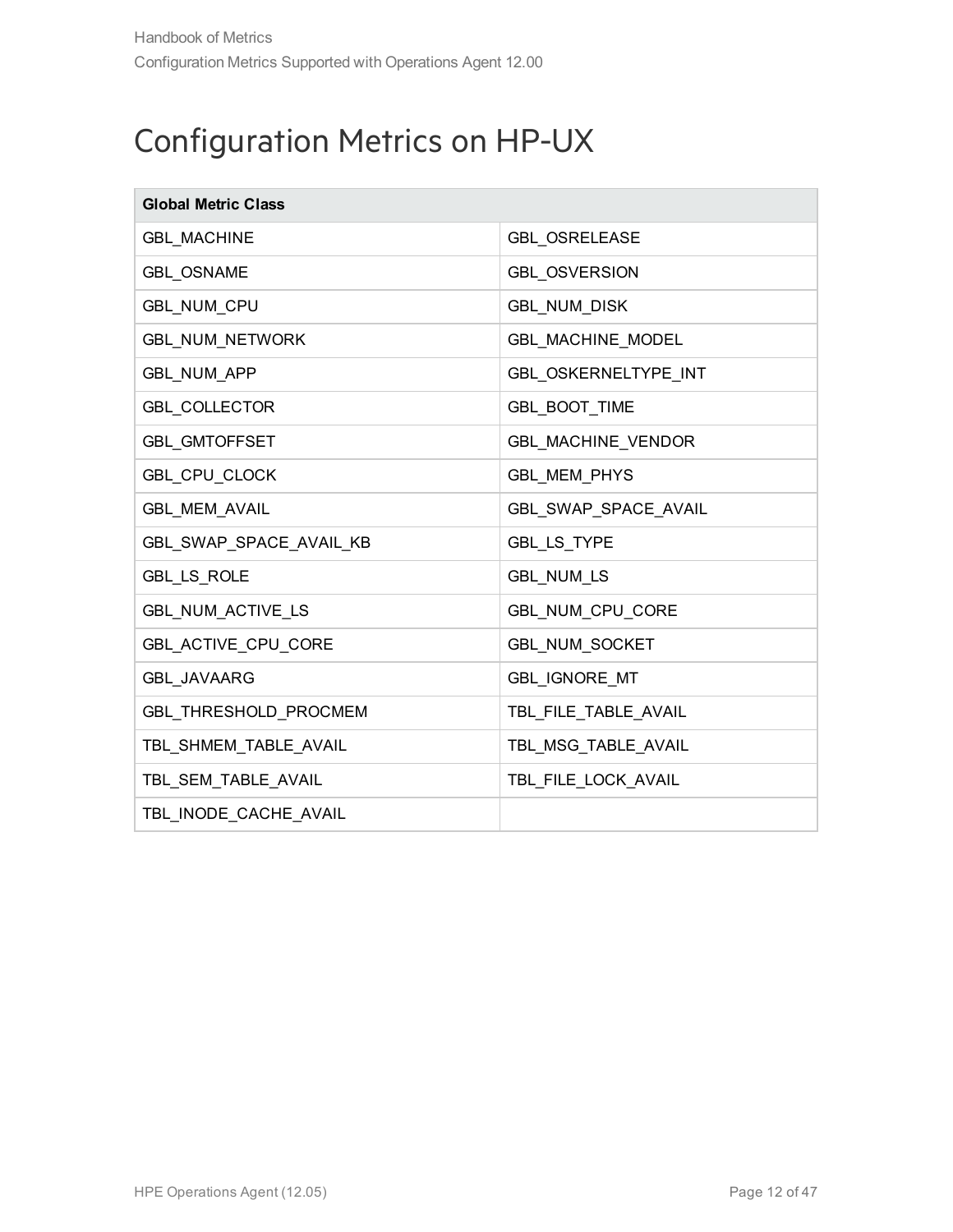#### <span id="page-11-0"></span>Configuration Metrics on HP-UX

| <b>Global Metric Class</b> |                          |
|----------------------------|--------------------------|
| <b>GBL_MACHINE</b>         | <b>GBL_OSRELEASE</b>     |
| <b>GBL_OSNAME</b>          | <b>GBL_OSVERSION</b>     |
| GBL_NUM_CPU                | <b>GBL_NUM_DISK</b>      |
| <b>GBL_NUM_NETWORK</b>     | <b>GBL MACHINE MODEL</b> |
| <b>GBL_NUM_APP</b>         | GBL_OSKERNELTYPE_INT     |
| <b>GBL_COLLECTOR</b>       | GBL_BOOT_TIME            |
| <b>GBL GMTOFFSET</b>       | GBL_MACHINE_VENDOR       |
| GBL_CPU_CLOCK              | <b>GBL_MEM_PHYS</b>      |
| GBL_MEM_AVAIL              | GBL_SWAP_SPACE_AVAIL     |
| GBL_SWAP_SPACE_AVAIL_KB    | GBL_LS_TYPE              |
| <b>GBL_LS_ROLE</b>         | <b>GBL_NUM_LS</b>        |
| GBL_NUM_ACTIVE_LS          | GBL_NUM_CPU_CORE         |
| GBL_ACTIVE_CPU_CORE        | <b>GBL NUM SOCKET</b>    |
| <b>GBL JAVAARG</b>         | GBL_IGNORE_MT            |
| GBL_THRESHOLD_PROCMEM      | TBL_FILE_TABLE_AVAIL     |
| TBL_SHMEM_TABLE_AVAIL      | TBL_MSG_TABLE_AVAIL      |
| TBL_SEM_TABLE_AVAIL        | TBL_FILE_LOCK_AVAIL      |
| TBL_INODE_CACHE_AVAIL      |                          |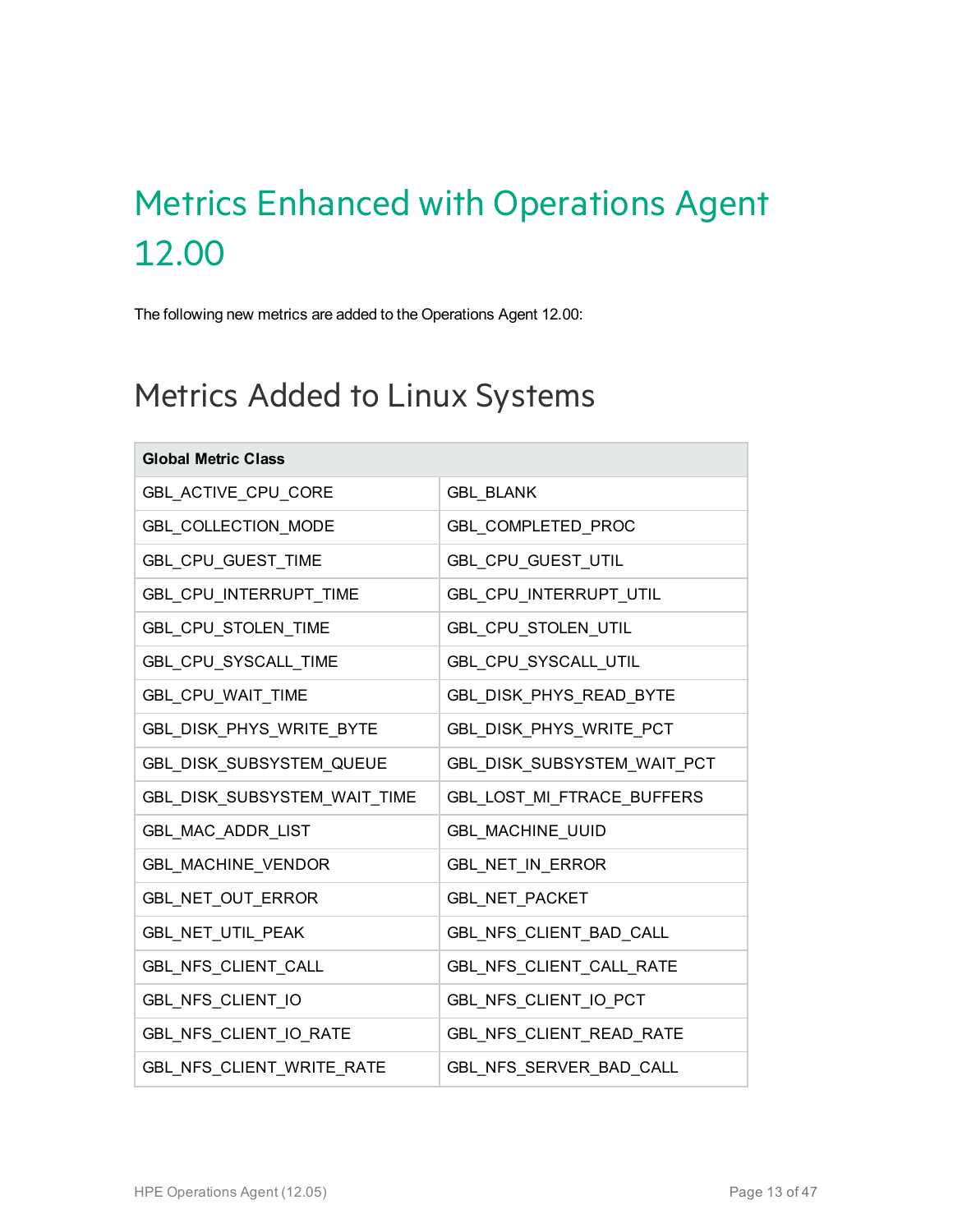## <span id="page-12-0"></span>Metrics Enhanced with Operations Agent 12.00

<span id="page-12-1"></span>The following new metrics are added to the Operations Agent 12.00:

#### Metrics Added to Linux Systems

| <b>Global Metric Class</b>   |                             |
|------------------------------|-----------------------------|
| GBL_ACTIVE_CPU_CORE          | <b>GBL BLANK</b>            |
| GBL_COLLECTION_MODE          | GBL_COMPLETED_PROC          |
| GBL_CPU_GUEST_TIME           | GBL_CPU_GUEST_UTIL          |
| GBL_CPU_INTERRUPT_TIME       | GBL_CPU_INTERRUPT_UTIL      |
| GBL_CPU_STOLEN_TIME          | GBL_CPU_STOLEN_UTIL         |
| GBL_CPU_SYSCALL_TIME         | GBL_CPU_SYSCALL_UTIL        |
| GBL_CPU_WAIT_TIME            | GBL DISK PHYS READ BYTE     |
| GBL_DISK_PHYS_WRITE_BYTE     | GBL_DISK_PHYS_WRITE_PCT     |
| GBL_DISK_SUBSYSTEM_QUEUE     | GBL_DISK_SUBSYSTEM_WAIT_PCT |
| GBL_DISK_SUBSYSTEM_WAIT_TIME | GBL_LOST_MI_FTRACE_BUFFERS  |
| GBL_MAC_ADDR_LIST            | <b>GBL MACHINE UUID</b>     |
| GBL_MACHINE_VENDOR           | GBL_NET_IN_ERROR            |
| GBL_NET_OUT_ERROR            | GBL_NET_PACKET              |
| GBL_NET_UTIL_PEAK            | GBL_NFS_CLIENT_BAD_CALL     |
| GBL_NFS_CLIENT_CALL          | GBL_NFS_CLIENT_CALL_RATE    |
| GBL_NFS_CLIENT_IO            | GBL_NFS_CLIENT_IO_PCT       |
| GBL_NFS_CLIENT_IO_RATE       | GBL_NFS_CLIENT_READ_RATE    |
| GBL NFS CLIENT WRITE RATE    | GBL_NFS_SERVER_BAD_CALL     |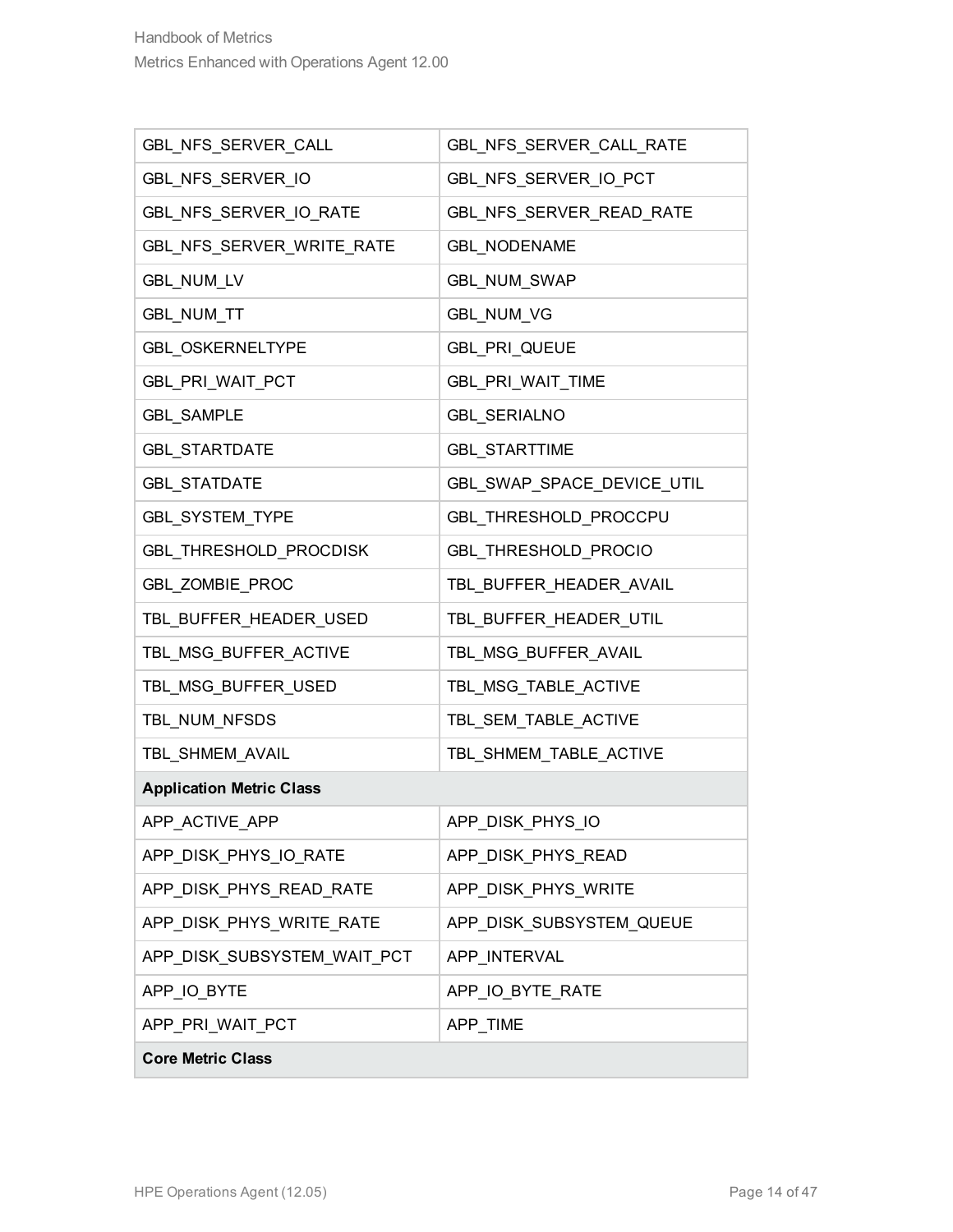| GBL NFS SERVER CALL             | GBL NFS SERVER CALL RATE   |
|---------------------------------|----------------------------|
| GBL_NFS_SERVER_IO               | GBL_NFS_SERVER_IO_PCT      |
| GBL_NFS_SERVER_IO_RATE          | GBL_NFS_SERVER_READ_RATE   |
| GBL_NFS_SERVER_WRITE_RATE       | <b>GBL_NODENAME</b>        |
| GBL_NUM_LV                      | GBL_NUM_SWAP               |
| GBL_NUM_TT                      | GBL_NUM_VG                 |
| <b>GBL OSKERNELTYPE</b>         | GBL_PRI_QUEUE              |
| GBL_PRI_WAIT_PCT                | GBL_PRI_WAIT_TIME          |
| <b>GBL_SAMPLE</b>               | <b>GBL_SERIALNO</b>        |
| <b>GBL STARTDATE</b>            | <b>GBL_STARTTIME</b>       |
| <b>GBL STATDATE</b>             | GBL_SWAP_SPACE_DEVICE_UTIL |
| GBL_SYSTEM_TYPE                 | GBL_THRESHOLD_PROCCPU      |
| GBL_THRESHOLD_PROCDISK          | GBL_THRESHOLD_PROCIO       |
| GBL_ZOMBIE_PROC                 | TBL_BUFFER_HEADER_AVAIL    |
| TBL_BUFFER_HEADER_USED          | TBL_BUFFER_HEADER_UTIL     |
| TBL_MSG_BUFFER_ACTIVE           | TBL_MSG_BUFFER_AVAIL       |
| TBL_MSG_BUFFER_USED             | TBL_MSG_TABLE_ACTIVE       |
| TBL_NUM_NFSDS                   | TBL_SEM_TABLE_ACTIVE       |
| TBL_SHMEM_AVAIL                 | TBL_SHMEM_TABLE_ACTIVE     |
| <b>Application Metric Class</b> |                            |
| APP_ACTIVE_APP                  | APP DISK PHYS IO           |
| APP_DISK_PHYS_IO_RATE           | APP DISK PHYS READ         |
| APP_DISK_PHYS_READ_RATE         | APP_DISK_PHYS_WRITE        |
| APP_DISK_PHYS_WRITE_RATE        | APP_DISK_SUBSYSTEM_QUEUE   |
| APP_DISK_SUBSYSTEM_WAIT_PCT     | APP INTERVAL               |
| APP_IO_BYTE                     | APP_IO_BYTE_RATE           |
| APP_PRI_WAIT_PCT                | APP_TIME                   |
| <b>Core Metric Class</b>        |                            |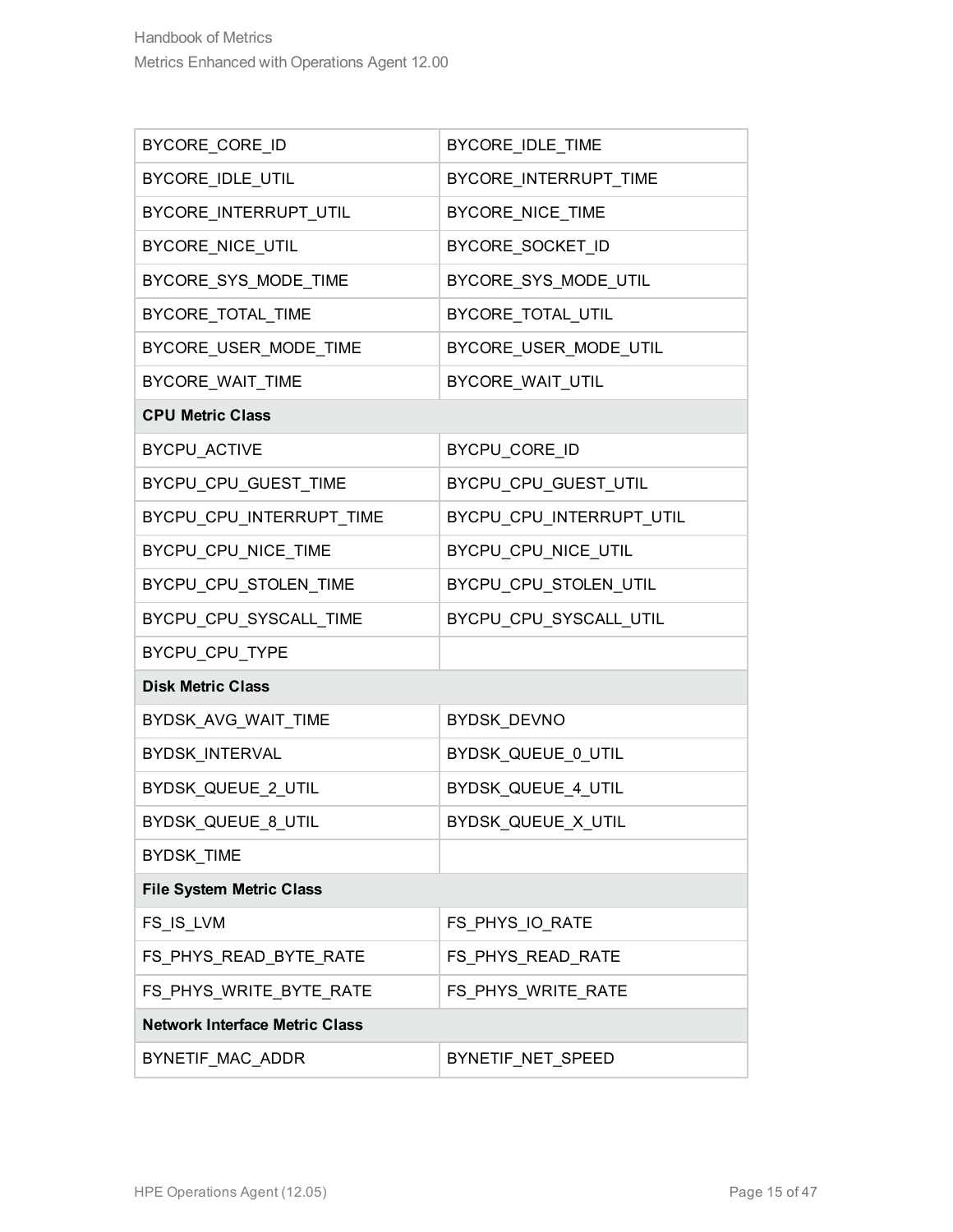| BYCORE_CORE_ID                        | BYCORE_IDLE_TIME         |  |
|---------------------------------------|--------------------------|--|
| BYCORE_IDLE_UTIL                      | BYCORE_INTERRUPT_TIME    |  |
| BYCORE_INTERRUPT_UTIL                 | BYCORE_NICE_TIME         |  |
| BYCORE_NICE_UTIL                      | BYCORE_SOCKET_ID         |  |
| BYCORE_SYS_MODE_TIME                  | BYCORE_SYS_MODE_UTIL     |  |
| BYCORE_TOTAL_TIME                     | BYCORE_TOTAL_UTIL        |  |
| BYCORE_USER_MODE_TIME                 | BYCORE_USER_MODE_UTIL    |  |
| BYCORE_WAIT_TIME                      | BYCORE_WAIT_UTIL         |  |
| <b>CPU Metric Class</b>               |                          |  |
| BYCPU_ACTIVE                          | BYCPU_CORE_ID            |  |
| BYCPU_CPU_GUEST_TIME                  | BYCPU_CPU_GUEST_UTIL     |  |
| BYCPU_CPU_INTERRUPT_TIME              | BYCPU_CPU_INTERRUPT_UTIL |  |
| BYCPU_CPU_NICE_TIME                   | BYCPU_CPU_NICE_UTIL      |  |
| BYCPU_CPU_STOLEN_TIME                 | BYCPU_CPU_STOLEN_UTIL    |  |
| BYCPU_CPU_SYSCALL_TIME                | BYCPU_CPU_SYSCALL_UTIL   |  |
| BYCPU_CPU_TYPE                        |                          |  |
| <b>Disk Metric Class</b>              |                          |  |
| BYDSK_AVG_WAIT_TIME                   | BYDSK_DEVNO              |  |
| BYDSK_INTERVAL                        | BYDSK_QUEUE_0_UTIL       |  |
| BYDSK_QUEUE_2_UTIL                    | BYDSK_QUEUE_4_UTIL       |  |
| BYDSK_QUEUE_8_UTIL                    | BYDSK_QUEUE_X_UTIL       |  |
| <b>BYDSK TIME</b>                     |                          |  |
| <b>File System Metric Class</b>       |                          |  |
| FS_IS_LVM                             | FS_PHYS_IO_RATE          |  |
| FS_PHYS_READ_BYTE_RATE                | FS_PHYS_READ_RATE        |  |
| FS_PHYS_WRITE_BYTE_RATE               | FS_PHYS_WRITE_RATE       |  |
| <b>Network Interface Metric Class</b> |                          |  |
| BYNETIF_MAC_ADDR                      | BYNETIF_NET_SPEED        |  |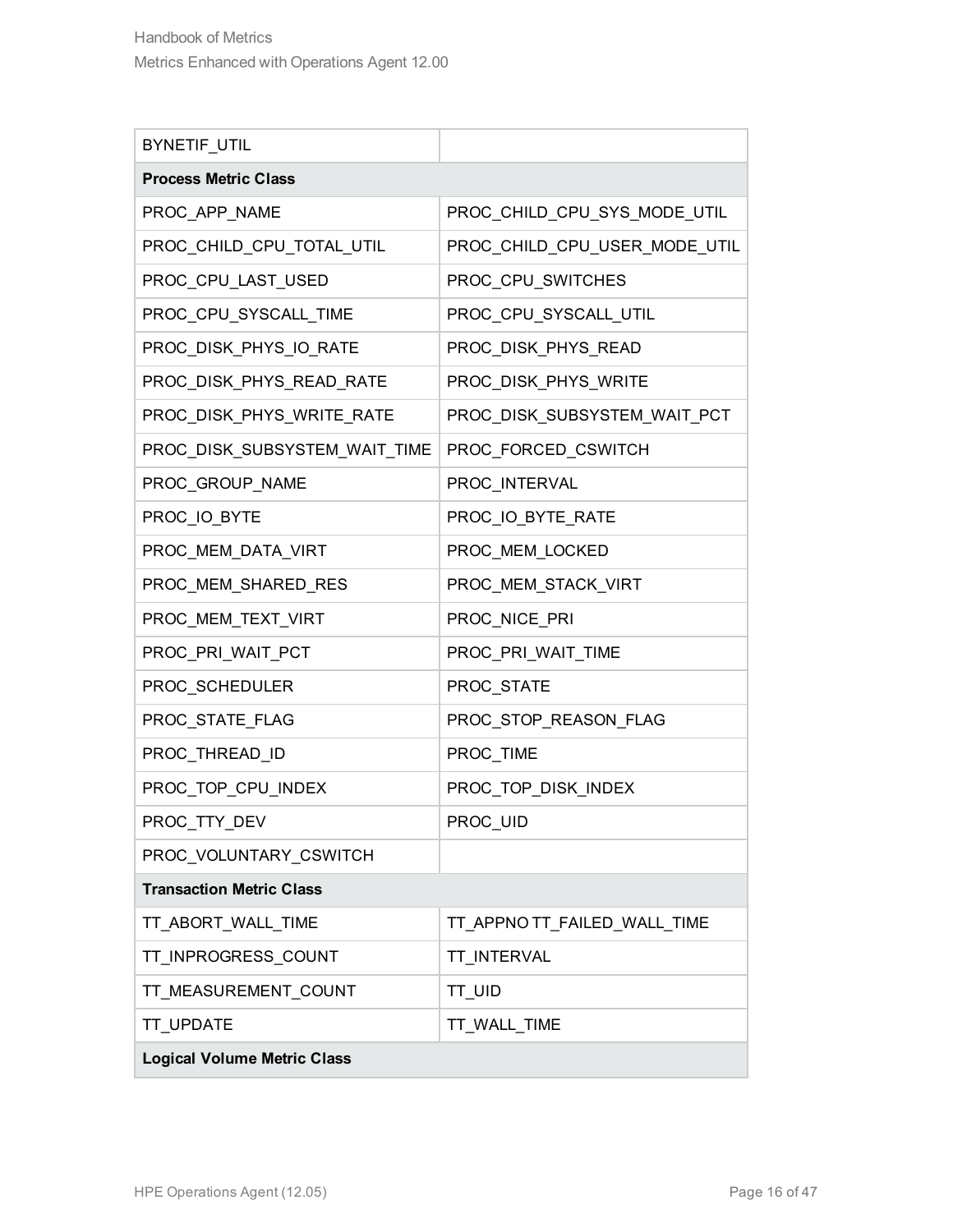| BYNETIF_UTIL                       |                               |  |
|------------------------------------|-------------------------------|--|
| <b>Process Metric Class</b>        |                               |  |
| PROC_APP_NAME                      | PROC_CHILD_CPU_SYS_MODE_UTIL  |  |
| PROC_CHILD_CPU_TOTAL_UTIL          | PROC_CHILD_CPU_USER_MODE_UTIL |  |
| PROC_CPU_LAST_USED                 | PROC_CPU_SWITCHES             |  |
| PROC_CPU_SYSCALL_TIME              | PROC_CPU_SYSCALL_UTIL         |  |
| PROC_DISK_PHYS_IO_RATE             | PROC_DISK_PHYS_READ           |  |
| PROC_DISK_PHYS_READ_RATE           | PROC_DISK_PHYS_WRITE          |  |
| PROC_DISK_PHYS_WRITE_RATE          | PROC_DISK_SUBSYSTEM_WAIT_PCT  |  |
| PROC_DISK_SUBSYSTEM_WAIT_TIME      | PROC_FORCED_CSWITCH           |  |
| PROC_GROUP_NAME                    | PROC_INTERVAL                 |  |
| PROC_IO_BYTE                       | PROC_IO_BYTE_RATE             |  |
| PROC_MEM_DATA_VIRT                 | PROC_MEM_LOCKED               |  |
| PROC_MEM_SHARED_RES                | PROC_MEM_STACK_VIRT           |  |
| PROC_MEM_TEXT_VIRT                 | PROC_NICE_PRI                 |  |
| PROC_PRI_WAIT_PCT                  | PROC_PRI_WAIT_TIME            |  |
| PROC_SCHEDULER                     | PROC_STATE                    |  |
| PROC_STATE_FLAG                    | PROC_STOP_REASON_FLAG         |  |
| PROC_THREAD_ID                     | PROC_TIME                     |  |
| PROC_TOP_CPU_INDEX                 | PROC_TOP_DISK_INDEX           |  |
| PROC_TTY_DEV                       | PROC_UID                      |  |
| PROC_VOLUNTARY_CSWITCH             |                               |  |
| <b>Transaction Metric Class</b>    |                               |  |
| TT_ABORT_WALL_TIME                 | TT_APPNO TT_FAILED_WALL_TIME  |  |
| TT_INPROGRESS_COUNT                | TT_INTERVAL                   |  |
| TT_MEASUREMENT_COUNT               | TT_UID                        |  |
| TT_UPDATE                          | TT_WALL_TIME                  |  |
| <b>Logical Volume Metric Class</b> |                               |  |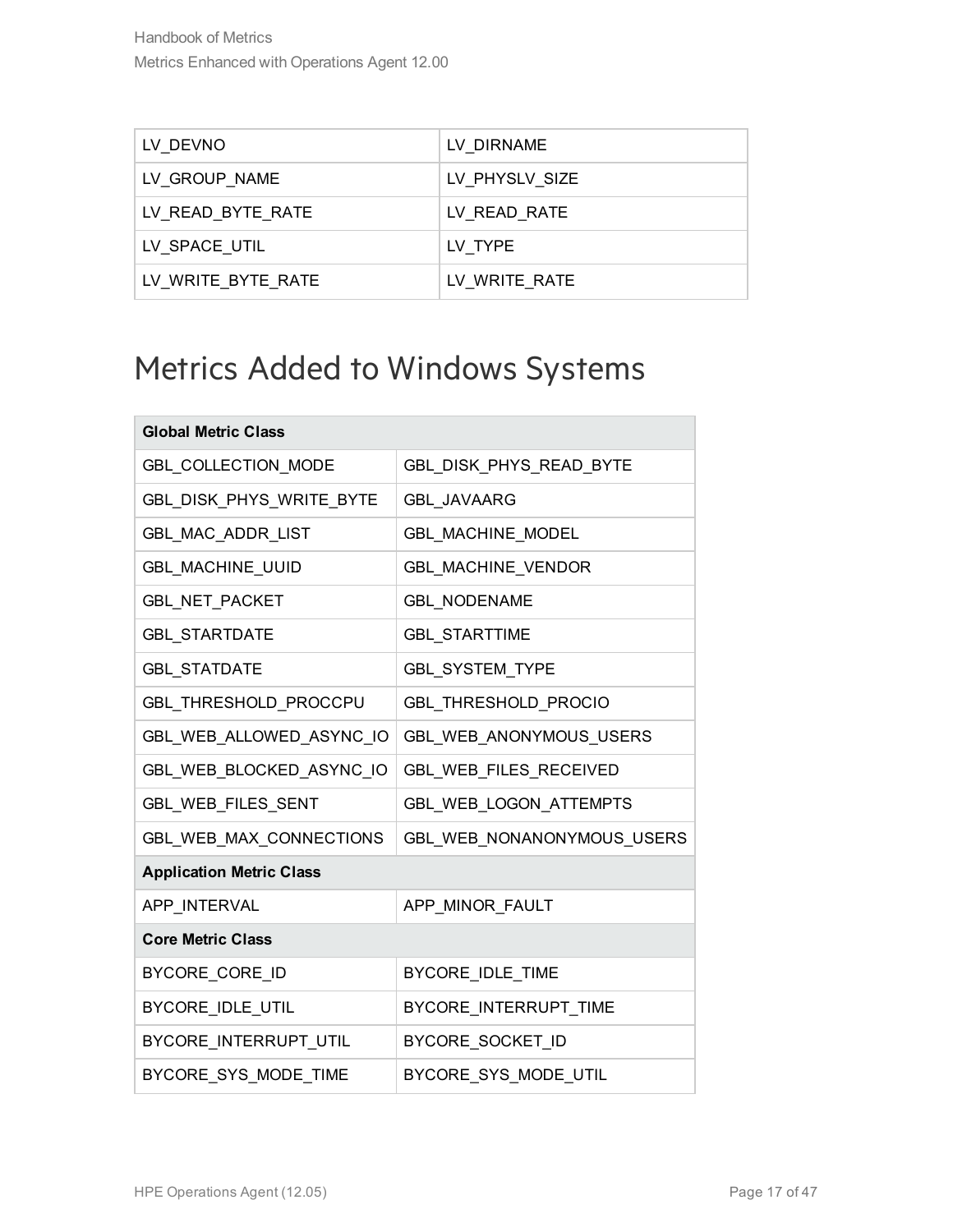| LV DEVNO           | LV DIRNAME     |
|--------------------|----------------|
| LV GROUP NAME      | LV_PHYSLV_SIZE |
| LV_READ_BYTE_RATE  | LV READ RATE   |
| LV SPACE UTIL      | LV TYPE        |
| LV WRITE BYTE RATE | LV WRITE RATE  |

### <span id="page-16-0"></span>Metrics Added to Windows Systems

| <b>Global Metric Class</b>      |                            |
|---------------------------------|----------------------------|
| <b>GBL COLLECTION MODE</b>      | GBL_DISK_PHYS_READ_BYTE    |
| GBL_DISK_PHYS_WRITE_BYTE        | <b>GBL JAVAARG</b>         |
| GBL_MAC_ADDR_LIST               | GBL_MACHINE_MODEL          |
| GBL_MACHINE_UUID                | GBL_MACHINE_VENDOR         |
| GBL_NET_PACKET                  | <b>GBL NODENAME</b>        |
| <b>GBL_STARTDATE</b>            | <b>GBL_STARTTIME</b>       |
| <b>GBL_STATDATE</b>             | GBL_SYSTEM_TYPE            |
| GBL_THRESHOLD_PROCCPU           | GBL THRESHOLD PROCIO       |
| GBL_WEB_ALLOWED_ASYNC_IO        | GBL_WEB_ANONYMOUS_USERS    |
| GBL_WEB_BLOCKED_ASYNC_IO        | GBL_WEB_FILES_RECEIVED     |
| GBL_WEB_FILES_SENT              | GBL_WEB_LOGON_ATTEMPTS     |
| GBL_WEB_MAX_CONNECTIONS         | GBL_WEB_NONANONYMOUS_USERS |
| <b>Application Metric Class</b> |                            |
| APP_INTERVAL                    | APP_MINOR_FAULT            |
| <b>Core Metric Class</b>        |                            |
| BYCORE_CORE_ID                  | BYCORE_IDLE_TIME           |
| BYCORE_IDLE_UTIL                | BYCORE_INTERRUPT_TIME      |
| BYCORE_INTERRUPT_UTIL           | BYCORE_SOCKET_ID           |
| BYCORE SYS MODE TIME            | BYCORE SYS MODE UTIL       |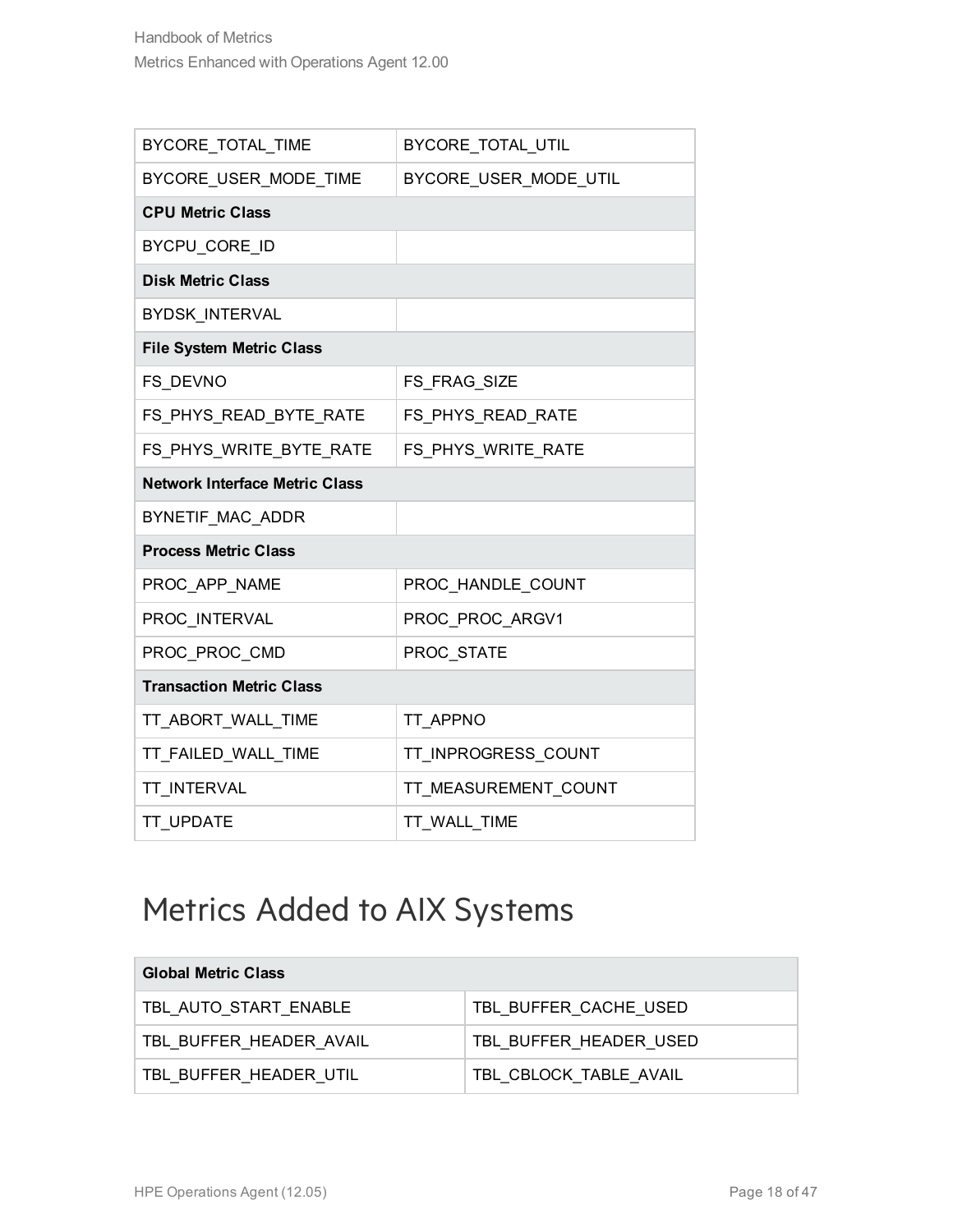| BYCORE_TOTAL_TIME                     | BYCORE_TOTAL_UTIL     |
|---------------------------------------|-----------------------|
| BYCORE_USER_MODE_TIME                 | BYCORE_USER_MODE_UTIL |
| <b>CPU Metric Class</b>               |                       |
| BYCPU_CORE_ID                         |                       |
| <b>Disk Metric Class</b>              |                       |
| <b>BYDSK INTERVAL</b>                 |                       |
| <b>File System Metric Class</b>       |                       |
| FS DEVNO                              | FS_FRAG_SIZE          |
| FS_PHYS_READ_BYTE_RATE                | FS_PHYS_READ_RATE     |
| FS_PHYS_WRITE_BYTE_RATE               | FS_PHYS_WRITE_RATE    |
| <b>Network Interface Metric Class</b> |                       |
| BYNETIF MAC ADDR                      |                       |
| <b>Process Metric Class</b>           |                       |
| PROC_APP_NAME                         | PROC_HANDLE_COUNT     |
| PROC INTERVAL                         | PROC PROC ARGV1       |
| PROC_PROC_CMD                         | PROC_STATE            |
| <b>Transaction Metric Class</b>       |                       |
| TT_ABORT_WALL_TIME                    | TT APPNO              |
| TT_FAILED_WALL_TIME                   | TT_INPROGRESS_COUNT   |
| <b>TT INTERVAL</b>                    | TT_MEASUREMENT_COUNT  |
| <b>TT UPDATE</b>                      | TT WALL TIME          |

### <span id="page-17-0"></span>Metrics Added to AIX Systems

| <b>Global Metric Class</b> |                        |
|----------------------------|------------------------|
| TBL AUTO START ENABLE      | TBL BUFFER CACHE USED  |
| TBL BUFFER HEADER AVAIL    | TBL BUFFER HEADER USED |
| TBL BUFFER HEADER UTIL     | TBL_CBLOCK_TABLE_AVAIL |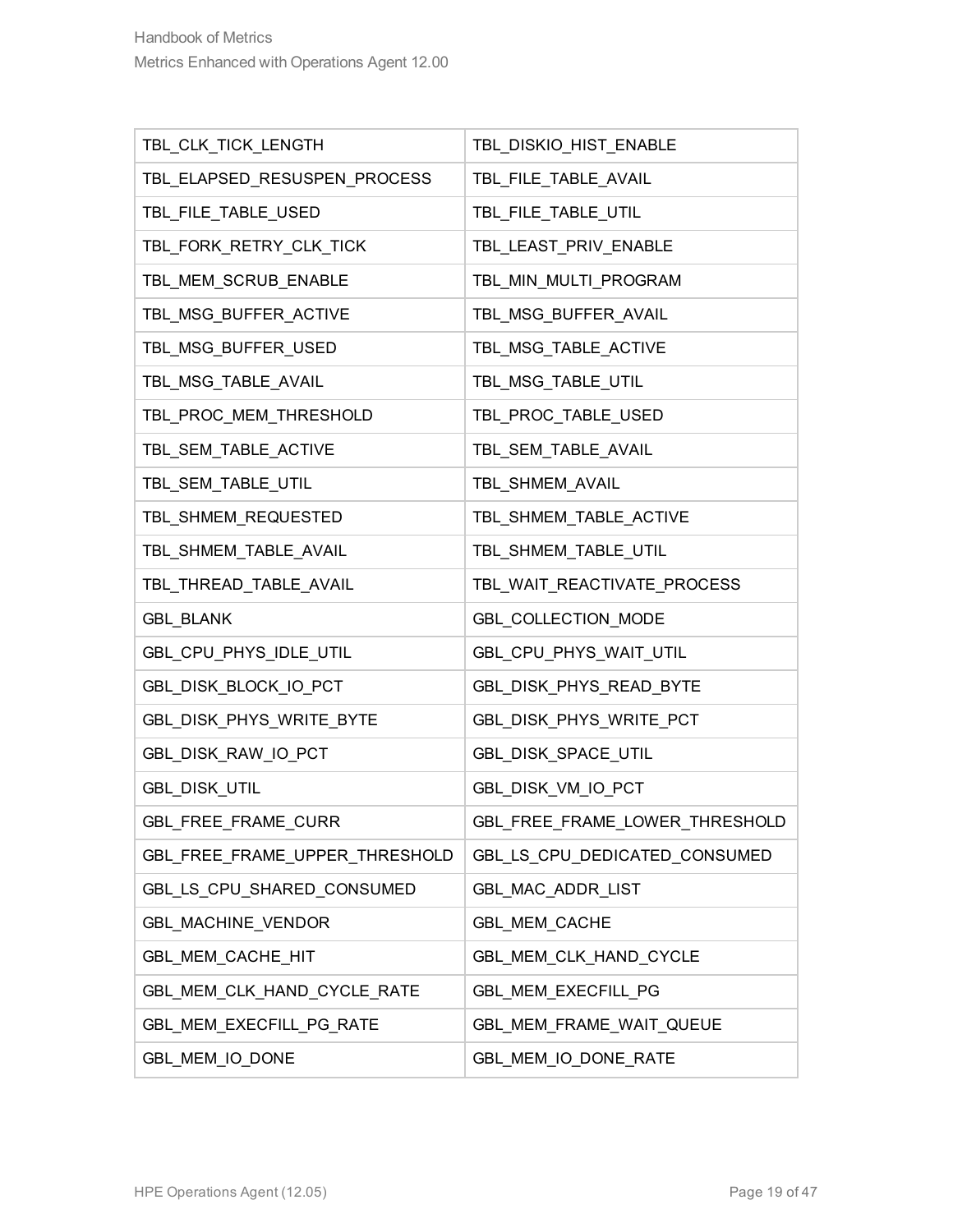| TBL_CLK_TICK_LENGTH            | TBL_DISKIO_HIST_ENABLE         |
|--------------------------------|--------------------------------|
| TBL_ELAPSED_RESUSPEN_PROCESS   | TBL_FILE_TABLE_AVAIL           |
| TBL_FILE_TABLE_USED            | TBL_FILE_TABLE_UTIL            |
| TBL_FORK_RETRY_CLK_TICK        | TBL_LEAST_PRIV_ENABLE          |
| TBL_MEM_SCRUB_ENABLE           | TBL_MIN_MULTI_PROGRAM          |
| TBL_MSG_BUFFER_ACTIVE          | TBL MSG BUFFER AVAIL           |
| TBL_MSG_BUFFER_USED            | TBL_MSG_TABLE_ACTIVE           |
| TBL_MSG_TABLE_AVAIL            | TBL_MSG_TABLE_UTIL             |
| TBL_PROC_MEM_THRESHOLD         | TBL_PROC_TABLE_USED            |
| TBL_SEM_TABLE_ACTIVE           | TBL_SEM_TABLE_AVAIL            |
| TBL_SEM_TABLE_UTIL             | TBL_SHMEM_AVAIL                |
| TBL_SHMEM_REQUESTED            | TBL_SHMEM_TABLE_ACTIVE         |
| TBL_SHMEM_TABLE_AVAIL          | TBL_SHMEM_TABLE_UTIL           |
| TBL_THREAD_TABLE_AVAIL         | TBL_WAIT_REACTIVATE_PROCESS    |
| <b>GBL_BLANK</b>               | GBL_COLLECTION_MODE            |
| GBL_CPU_PHYS_IDLE_UTIL         | GBL_CPU_PHYS_WAIT_UTIL         |
| GBL_DISK_BLOCK_IO_PCT          | GBL_DISK_PHYS_READ_BYTE        |
| GBL_DISK_PHYS_WRITE_BYTE       | GBL_DISK_PHYS_WRITE_PCT        |
| GBL_DISK_RAW_IO_PCT            | GBL_DISK_SPACE_UTIL            |
| <b>GBL_DISK_UTIL</b>           | GBL_DISK_VM_IO_PCT             |
| GBL_FREE_FRAME_CURR            | GBL_FREE_FRAME_LOWER_THRESHOLD |
| GBL_FREE_FRAME_UPPER_THRESHOLD | GBL_LS_CPU_DEDICATED_CONSUMED  |
| GBL_LS_CPU_SHARED_CONSUMED     | GBL_MAC_ADDR_LIST              |
| GBL_MACHINE_VENDOR             | GBL_MEM_CACHE                  |
| GBL_MEM_CACHE_HIT              | GBL_MEM_CLK_HAND_CYCLE         |
| GBL_MEM_CLK_HAND_CYCLE_RATE    | <b>GBL MEM EXECFILL PG</b>     |
| GBL_MEM_EXECFILL_PG_RATE       | GBL_MEM_FRAME_WAIT_QUEUE       |
| GBL_MEM_IO_DONE                | GBL_MEM_IO_DONE_RATE           |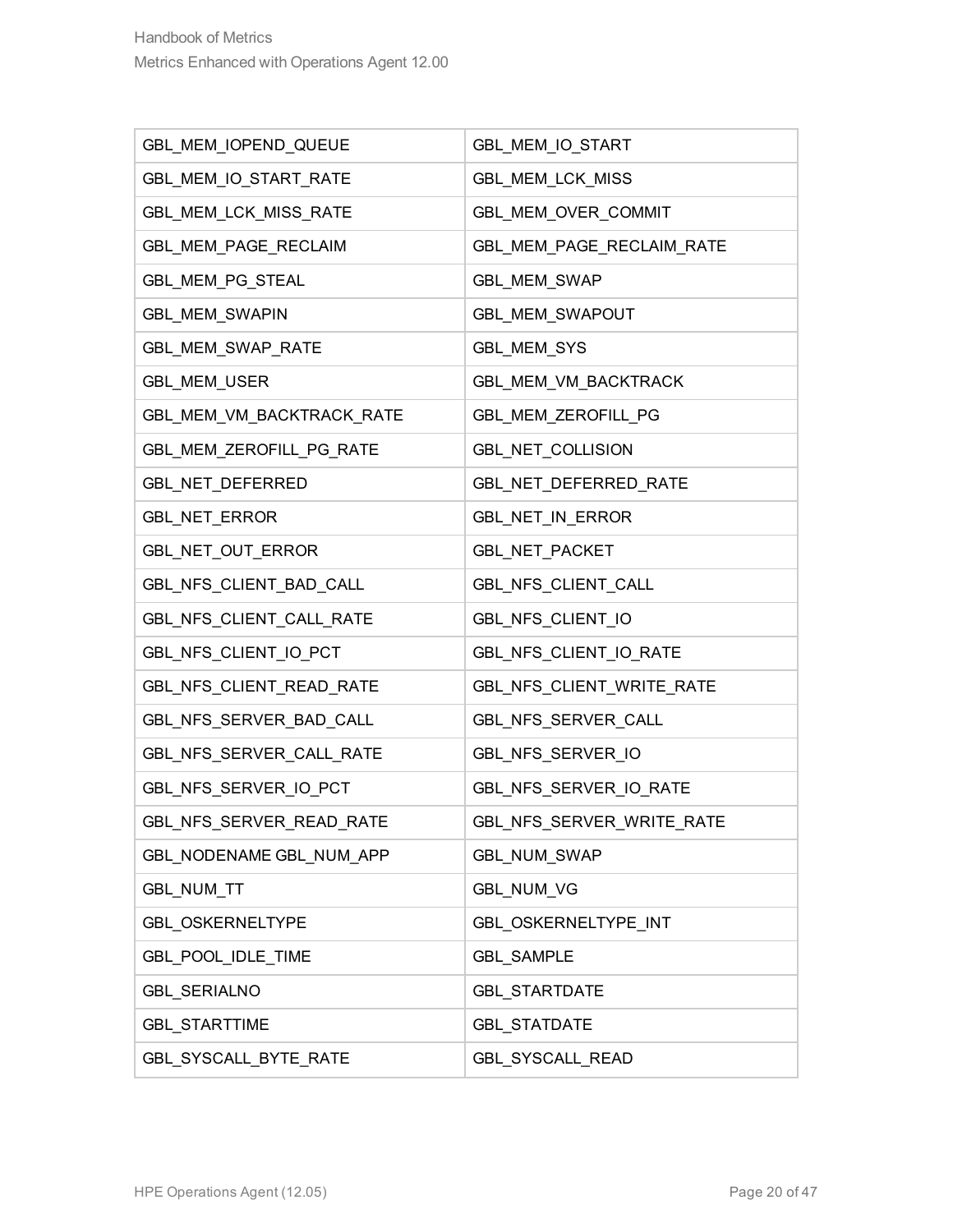| GBL_MEM_IOPEND_QUEUE      | GBL_MEM_IO_START          |
|---------------------------|---------------------------|
| GBL_MEM_IO_START_RATE     | GBL_MEM_LCK_MISS          |
| GBL_MEM_LCK_MISS_RATE     | GBL_MEM_OVER_COMMIT       |
| GBL_MEM_PAGE_RECLAIM      | GBL_MEM_PAGE_RECLAIM_RATE |
| GBL_MEM_PG_STEAL          | GBL_MEM_SWAP              |
| GBL_MEM_SWAPIN            | GBL_MEM_SWAPOUT           |
| GBL_MEM_SWAP_RATE         | GBL_MEM_SYS               |
| GBL_MEM_USER              | GBL_MEM_VM_BACKTRACK      |
| GBL_MEM_VM_BACKTRACK_RATE | GBL_MEM_ZEROFILL_PG       |
| GBL_MEM_ZEROFILL_PG_RATE  | GBL_NET_COLLISION         |
| GBL_NET_DEFERRED          | GBL_NET_DEFERRED_RATE     |
| GBL_NET_ERROR             | GBL_NET_IN_ERROR          |
| GBL_NET_OUT_ERROR         | <b>GBL_NET_PACKET</b>     |
| GBL_NFS_CLIENT_BAD_CALL   | GBL_NFS_CLIENT_CALL       |
| GBL_NFS_CLIENT_CALL_RATE  | GBL_NFS_CLIENT_IO         |
| GBL_NFS_CLIENT_IO_PCT     | GBL_NFS_CLIENT_IO_RATE    |
| GBL_NFS_CLIENT_READ_RATE  | GBL_NFS_CLIENT_WRITE_RATE |
| GBL_NFS_SERVER_BAD_CALL   | GBL_NFS_SERVER_CALL       |
| GBL_NFS_SERVER_CALL_RATE  | GBL_NFS_SERVER_IO         |
| GBL_NFS_SERVER_IO_PCT     | GBL_NFS_SERVER_IO_RATE    |
| GBL NFS SERVER READ RATE  | GBL NFS SERVER WRITE RATE |
| GBL NODENAME GBL NUM APP  | GBL_NUM_SWAP              |
| GBL_NUM_TT                | <b>GBL_NUM_VG</b>         |
| GBL_OSKERNELTYPE          | GBL_OSKERNELTYPE_INT      |
| GBL_POOL_IDLE_TIME        | <b>GBL_SAMPLE</b>         |
| <b>GBL_SERIALNO</b>       | <b>GBL_STARTDATE</b>      |
| <b>GBL_STARTTIME</b>      | <b>GBL_STATDATE</b>       |
| GBL_SYSCALL_BYTE_RATE     | GBL_SYSCALL_READ          |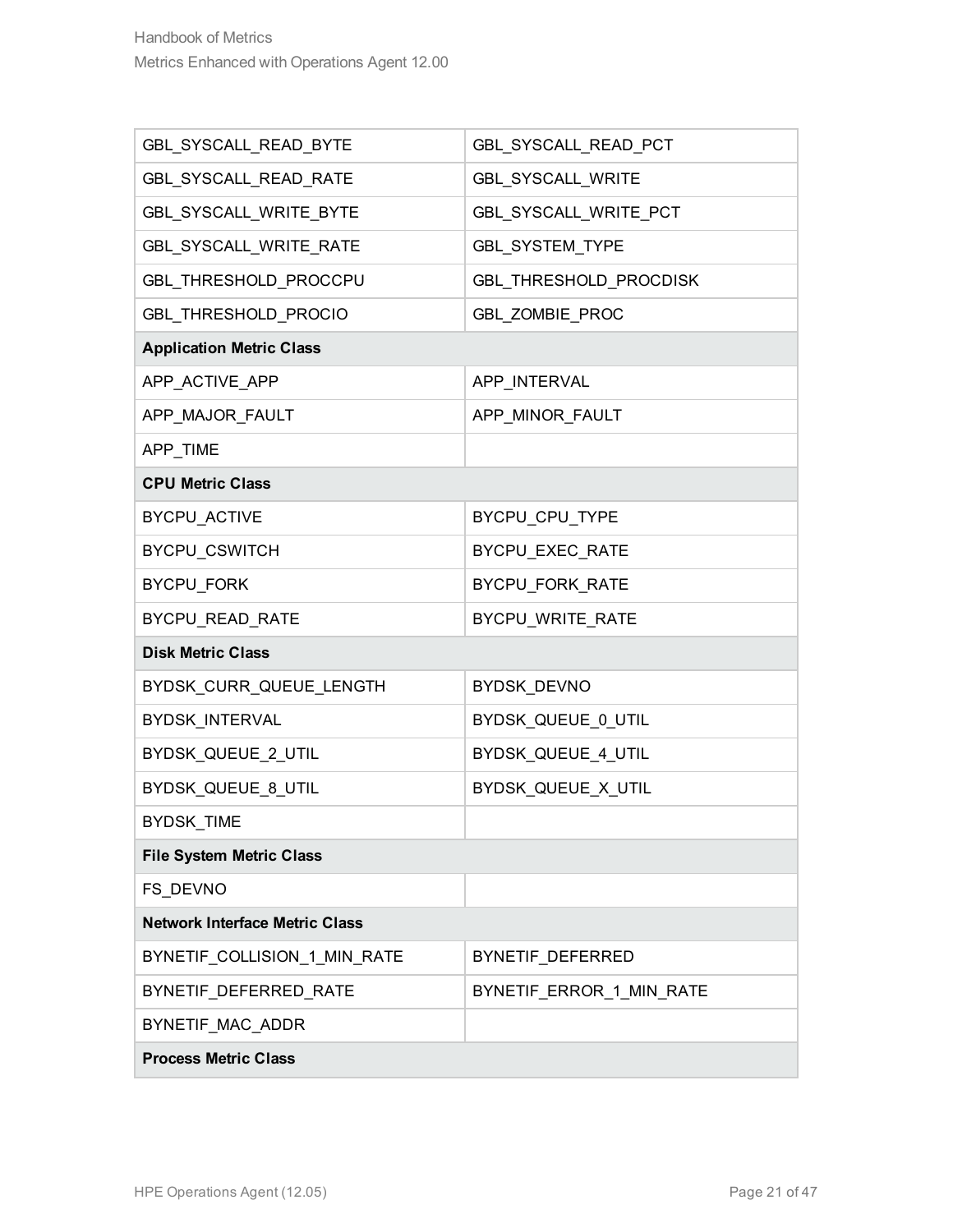| GBL_SYSCALL_READ_BYTE                 | GBL_SYSCALL_READ_PCT     |  |
|---------------------------------------|--------------------------|--|
| GBL_SYSCALL_READ_RATE                 | GBL_SYSCALL_WRITE        |  |
| GBL_SYSCALL_WRITE_BYTE                | GBL_SYSCALL_WRITE_PCT    |  |
| GBL_SYSCALL_WRITE_RATE                | GBL_SYSTEM_TYPE          |  |
| GBL_THRESHOLD_PROCCPU                 | GBL_THRESHOLD_PROCDISK   |  |
| GBL_THRESHOLD_PROCIO                  | GBL_ZOMBIE_PROC          |  |
| <b>Application Metric Class</b>       |                          |  |
| APP_ACTIVE_APP                        | APP_INTERVAL             |  |
| APP_MAJOR_FAULT                       | APP_MINOR_FAULT          |  |
| APP_TIME                              |                          |  |
| <b>CPU Metric Class</b>               |                          |  |
| <b>BYCPU ACTIVE</b>                   | BYCPU_CPU_TYPE           |  |
| BYCPU_CSWITCH                         | BYCPU_EXEC_RATE          |  |
| BYCPU_FORK                            | BYCPU_FORK_RATE          |  |
| BYCPU_READ_RATE                       | BYCPU_WRITE_RATE         |  |
| <b>Disk Metric Class</b>              |                          |  |
| BYDSK_CURR_QUEUE_LENGTH               | BYDSK_DEVNO              |  |
| BYDSK_INTERVAL                        | BYDSK_QUEUE_0_UTIL       |  |
| BYDSK_QUEUE_2_UTIL                    | BYDSK_QUEUE_4_UTIL       |  |
| BYDSK_QUEUE_8_UTIL                    | BYDSK_QUEUE_X_UTIL       |  |
| BYDSK_TIME                            |                          |  |
| <b>File System Metric Class</b>       |                          |  |
| FS_DEVNO                              |                          |  |
| <b>Network Interface Metric Class</b> |                          |  |
| BYNETIF_COLLISION_1_MIN_RATE          | BYNETIF_DEFERRED         |  |
| BYNETIF_DEFERRED_RATE                 | BYNETIF_ERROR_1_MIN_RATE |  |
| BYNETIF_MAC_ADDR                      |                          |  |
| <b>Process Metric Class</b>           |                          |  |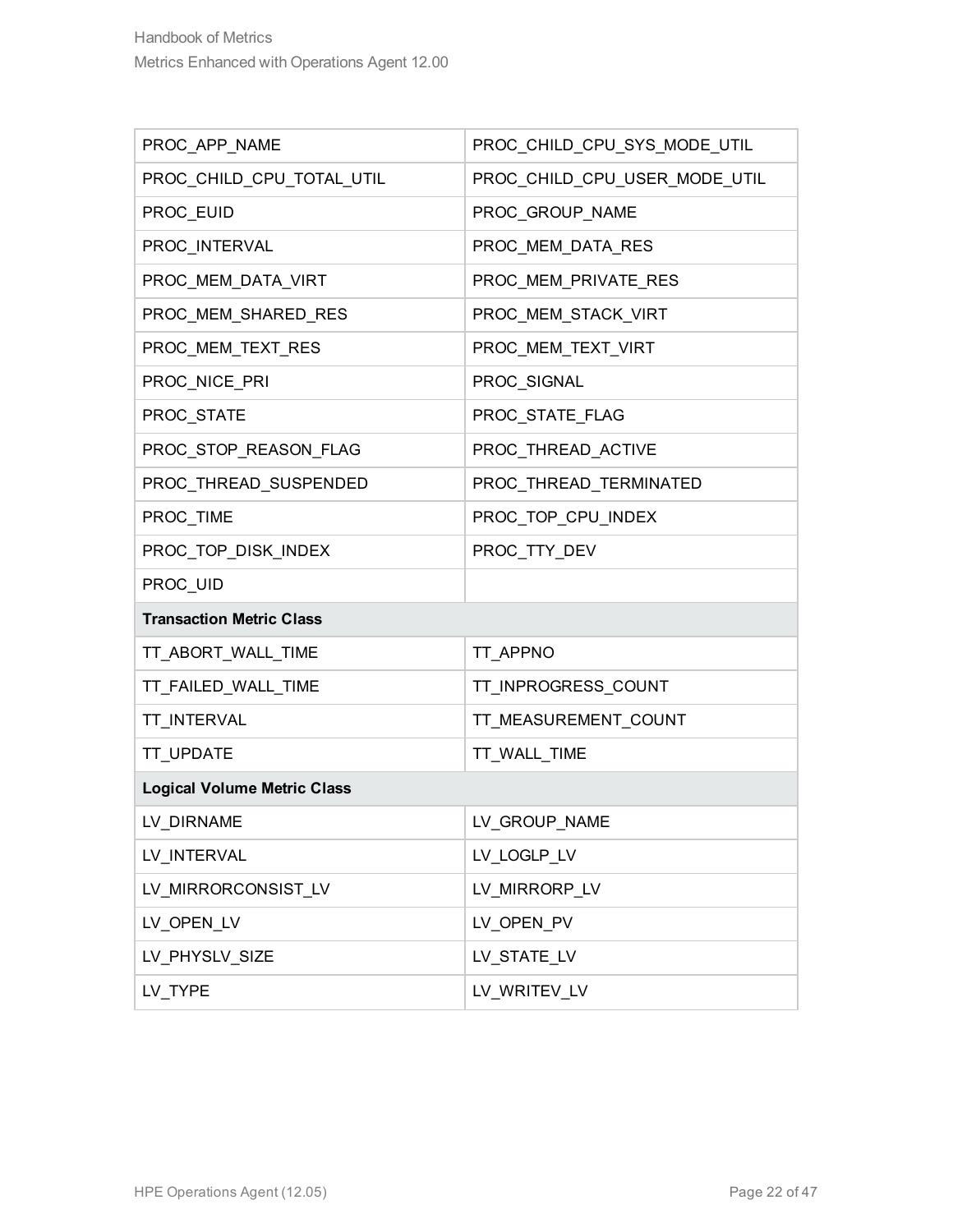| PROC_APP_NAME                      | PROC_CHILD_CPU_SYS_MODE_UTIL  |
|------------------------------------|-------------------------------|
| PROC_CHILD_CPU_TOTAL_UTIL          | PROC_CHILD_CPU_USER_MODE_UTIL |
| PROC_EUID                          | PROC_GROUP_NAME               |
| PROC_INTERVAL                      | PROC_MEM_DATA_RES             |
| PROC_MEM_DATA_VIRT                 | PROC_MEM_PRIVATE_RES          |
| PROC_MEM_SHARED_RES                | PROC_MEM_STACK_VIRT           |
| PROC_MEM_TEXT_RES                  | PROC_MEM_TEXT_VIRT            |
| PROC_NICE_PRI                      | PROC_SIGNAL                   |
| PROC_STATE                         | PROC_STATE_FLAG               |
| PROC_STOP_REASON_FLAG              | PROC_THREAD_ACTIVE            |
| PROC_THREAD_SUSPENDED              | PROC_THREAD_TERMINATED        |
| PROC TIME                          | PROC_TOP_CPU_INDEX            |
| PROC_TOP_DISK_INDEX                | PROC_TTY_DEV                  |
| PROC_UID                           |                               |
| <b>Transaction Metric Class</b>    |                               |
| TT_ABORT_WALL_TIME                 | TT_APPNO                      |
| TT_FAILED_WALL_TIME                | TT_INPROGRESS_COUNT           |
| TT_INTERVAL                        | TT_MEASUREMENT_COUNT          |
| <b>TT UPDATE</b>                   | TT_WALL_TIME                  |
| <b>Logical Volume Metric Class</b> |                               |
| LV_DIRNAME                         | LV_GROUP_NAME                 |
| LV INTERVAL                        | LV_LOGLP_LV                   |
| LV_MIRRORCONSIST_LV                | LV_MIRRORP_LV                 |
| LV OPEN LV                         | LV_OPEN_PV                    |
| LV_PHYSLV_SIZE                     | LV_STATE_LV                   |
| LV_TYPE                            | LV WRITEV LV                  |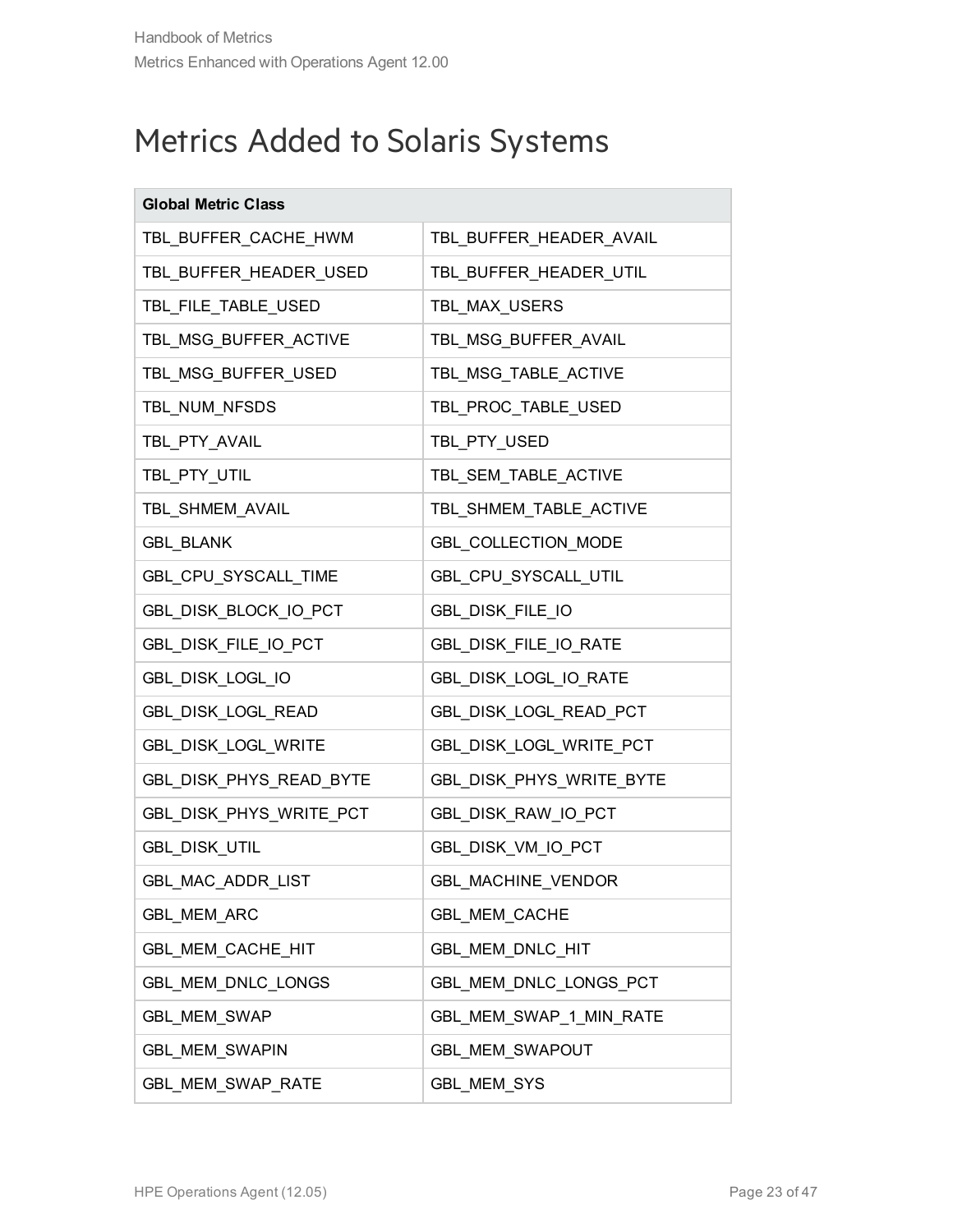### <span id="page-22-0"></span>Metrics Added to Solaris Systems

| <b>Global Metric Class</b> |                          |
|----------------------------|--------------------------|
| TBL_BUFFER_CACHE_HWM       | TBL_BUFFER_HEADER_AVAIL  |
| TBL_BUFFER_HEADER_USED     | TBL_BUFFER_HEADER_UTIL   |
| TBL_FILE_TABLE_USED        | TBL_MAX_USERS            |
| TBL_MSG_BUFFER_ACTIVE      | TBL_MSG_BUFFER_AVAIL     |
| TBL_MSG_BUFFER_USED        | TBL_MSG_TABLE_ACTIVE     |
| TBL_NUM_NFSDS              | TBL_PROC_TABLE_USED      |
| TBL_PTY_AVAIL              | TBL_PTY_USED             |
| TBL_PTY_UTIL               | TBL_SEM_TABLE_ACTIVE     |
| TBL_SHMEM_AVAIL            | TBL_SHMEM_TABLE_ACTIVE   |
| <b>GBL_BLANK</b>           | GBL_COLLECTION_MODE      |
| GBL_CPU_SYSCALL_TIME       | GBL_CPU_SYSCALL_UTIL     |
| GBL DISK BLOCK IO PCT      | GBL_DISK_FILE_IO         |
| GBL_DISK_FILE_IO_PCT       | GBL_DISK_FILE_IO_RATE    |
| GBL_DISK_LOGL_IO           | GBL_DISK_LOGL_IO_RATE    |
| GBL_DISK_LOGL_READ         | GBL_DISK_LOGL_READ_PCT   |
| GBL_DISK_LOGL_WRITE        | GBL_DISK_LOGL_WRITE_PCT  |
| GBL_DISK_PHYS_READ_BYTE    | GBL_DISK_PHYS_WRITE_BYTE |
| GBL_DISK_PHYS_WRITE_PCT    | GBL_DISK_RAW_IO_PCT      |
| GBL_DISK_UTIL              | GBL_DISK_VM_IO_PCT       |
| GBL_MAC_ADDR_LIST          | GBL_MACHINE_VENDOR       |
| <b>GBL MEM ARC</b>         | <b>GBL_MEM_CACHE</b>     |
| GBL_MEM_CACHE_HIT          | GBL_MEM_DNLC_HIT         |
| GBL MEM DNLC LONGS         | GBL MEM DNLC LONGS PCT   |
| <b>GBL_MEM_SWAP</b>        | GBL_MEM_SWAP_1_MIN_RATE  |
| <b>GBL MEM SWAPIN</b>      | GBL_MEM_SWAPOUT          |
| GBL_MEM_SWAP_RATE          | GBL_MEM_SYS              |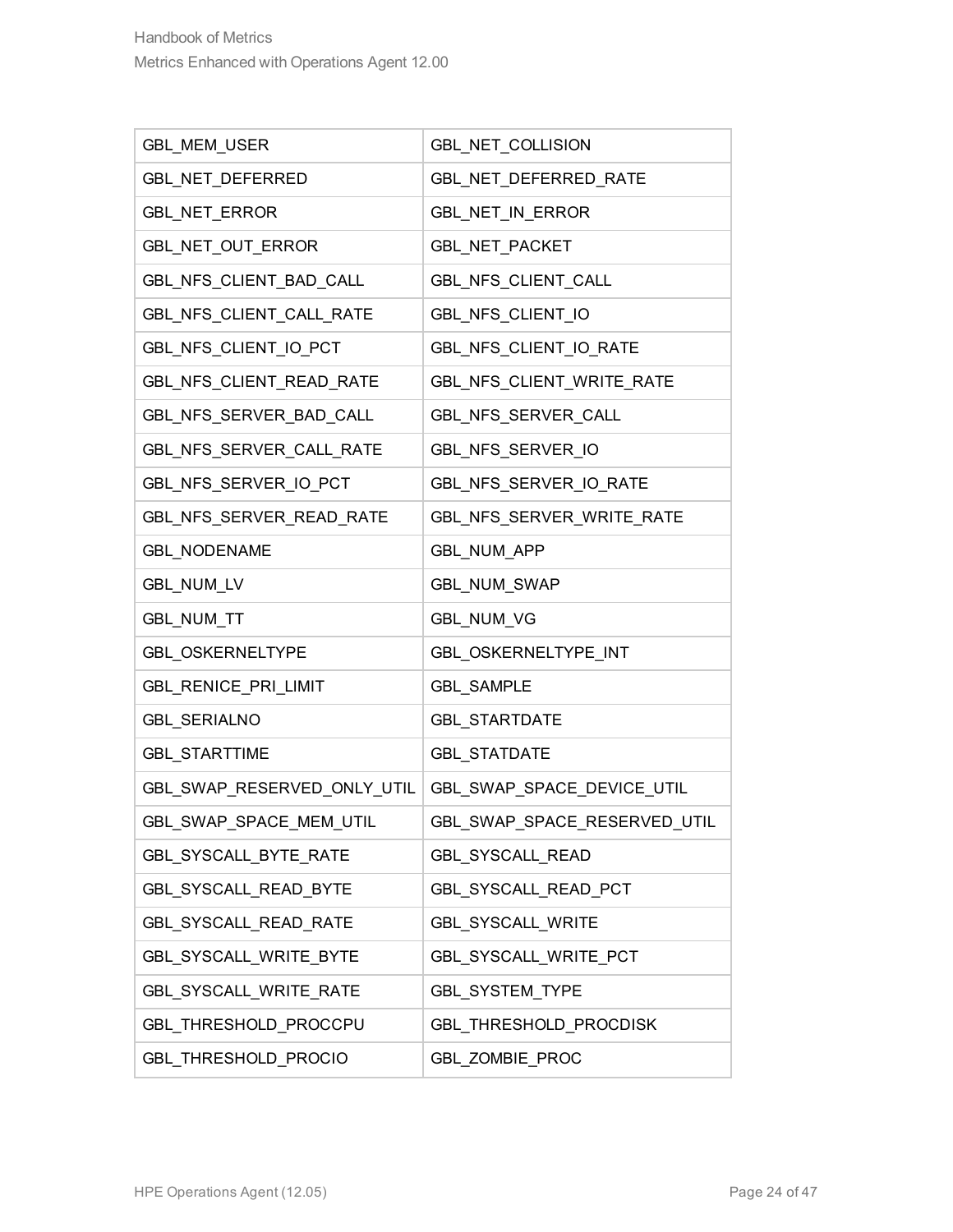| GBL_MEM_USER                  | GBL_NET_COLLISION            |
|-------------------------------|------------------------------|
| GBL_NET_DEFERRED              | GBL_NET_DEFERRED_RATE        |
| GBL_NET_ERROR                 | GBL_NET_IN_ERROR             |
| GBL_NET_OUT_ERROR             | GBL_NET_PACKET               |
| GBL_NFS_CLIENT_BAD_CALL       | GBL_NFS_CLIENT_CALL          |
| GBL_NFS_CLIENT_CALL_RATE      | GBL_NFS_CLIENT_IO            |
| GBL NFS CLIENT IO PCT         | GBL_NFS_CLIENT_IO_RATE       |
| GBL_NFS_CLIENT_READ_RATE      | GBL_NFS_CLIENT_WRITE_RATE    |
| GBL_NFS_SERVER_BAD_CALL       | GBL_NFS_SERVER_CALL          |
| GBL_NFS_SERVER_CALL_RATE      | GBL_NFS_SERVER_IO            |
| GBL_NFS_SERVER_IO_PCT         | GBL_NFS_SERVER_IO_RATE       |
| GBL_NFS_SERVER_READ_RATE      | GBL NFS SERVER WRITE RATE    |
| <b>GBL_NODENAME</b>           | GBL_NUM_APP                  |
| GBL_NUM_LV                    | GBL_NUM_SWAP                 |
| GBL_NUM_TT                    | GBL_NUM_VG                   |
| GBL_OSKERNELTYPE              | GBL_OSKERNELTYPE_INT         |
| GBL_RENICE_PRI_LIMIT          | <b>GBL_SAMPLE</b>            |
| <b>GBL_SERIALNO</b>           | <b>GBL_STARTDATE</b>         |
| <b>GBL STARTTIME</b>          | <b>GBL_STATDATE</b>          |
| GBL_SWAP_RESERVED_ONLY_UTIL   | GBL_SWAP_SPACE_DEVICE_UTIL   |
| GBL_SWAP_SPACE_MEM_UTIL       | GBL_SWAP_SPACE_RESERVED_UTIL |
| GBL_SYSCALL_BYTE_RATE         | <b>GBL_SYSCALL_READ</b>      |
| GBL_SYSCALL_READ_BYTE         | GBL_SYSCALL_READ_PCT         |
| <b>GBL_SYSCALL_READ_RATE</b>  | <b>GBL SYSCALL WRITE</b>     |
| GBL_SYSCALL_WRITE_BYTE        | GBL_SYSCALL_WRITE_PCT        |
| <b>GBL SYSCALL WRITE RATE</b> | <b>GBL SYSTEM TYPE</b>       |
| GBL_THRESHOLD_PROCCPU         | GBL_THRESHOLD_PROCDISK       |
| GBL_THRESHOLD_PROCIO          | GBL_ZOMBIE_PROC              |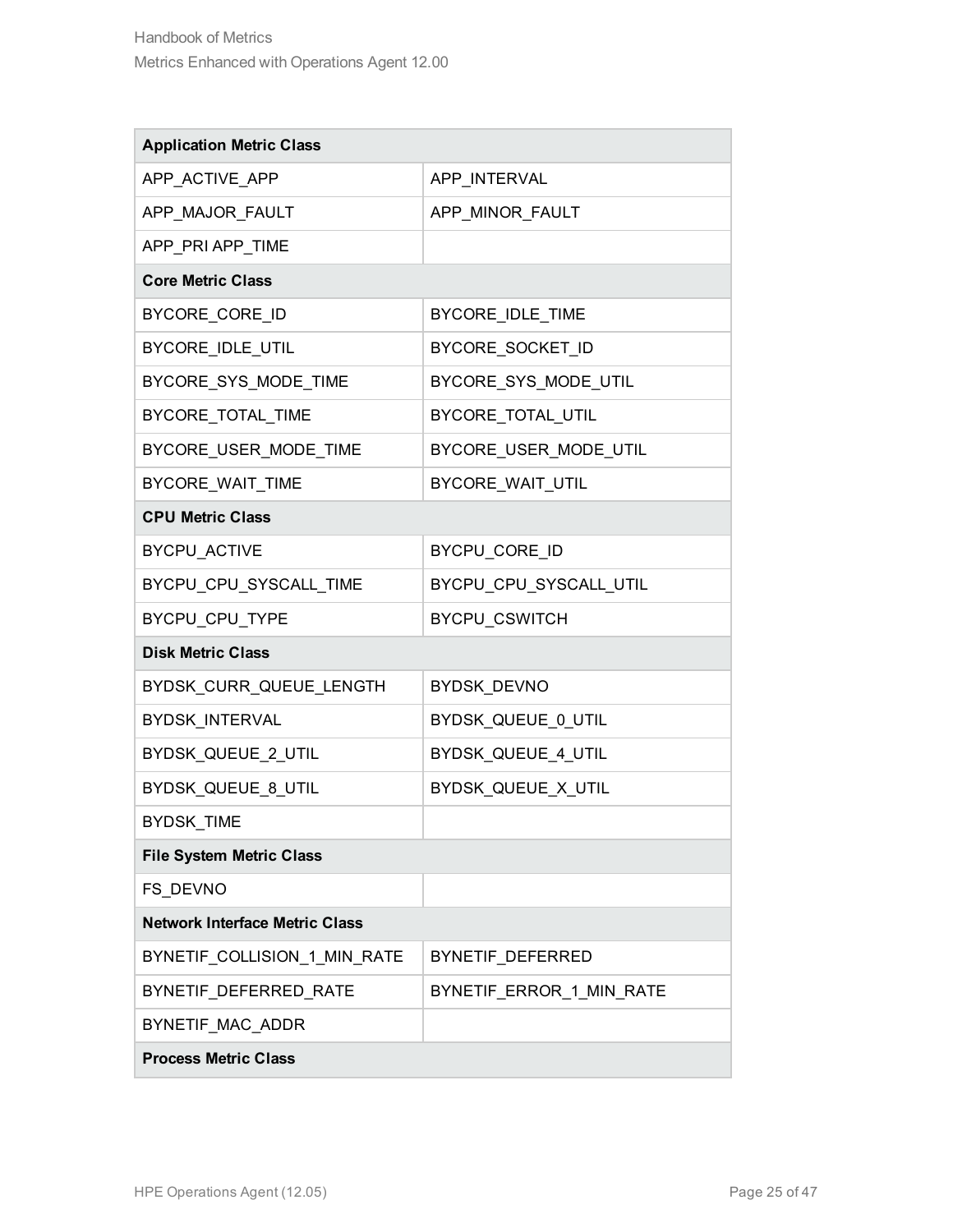| <b>Application Metric Class</b>       |                          |
|---------------------------------------|--------------------------|
| APP_ACTIVE_APP                        | APP_INTERVAL             |
| APP_MAJOR_FAULT                       | APP_MINOR_FAULT          |
| APP_PRI APP_TIME                      |                          |
| <b>Core Metric Class</b>              |                          |
| BYCORE_CORE_ID                        | BYCORE_IDLE_TIME         |
| BYCORE_IDLE_UTIL                      | BYCORE_SOCKET_ID         |
| BYCORE_SYS_MODE_TIME                  | BYCORE_SYS_MODE_UTIL     |
| BYCORE_TOTAL_TIME                     | BYCORE_TOTAL_UTIL        |
| BYCORE_USER_MODE_TIME                 | BYCORE_USER_MODE_UTIL    |
| <b>BYCORE WAIT TIME</b>               | BYCORE_WAIT_UTIL         |
| <b>CPU Metric Class</b>               |                          |
| <b>BYCPU_ACTIVE</b>                   | BYCPU_CORE_ID            |
| BYCPU_CPU_SYSCALL_TIME                | BYCPU_CPU_SYSCALL_UTIL   |
| BYCPU_CPU_TYPE                        | BYCPU_CSWITCH            |
| <b>Disk Metric Class</b>              |                          |
| BYDSK_CURR_QUEUE_LENGTH               | BYDSK_DEVNO              |
| BYDSK_INTERVAL                        | BYDSK_QUEUE_0_UTIL       |
| BYDSK_QUEUE_2_UTIL                    | BYDSK_QUEUE_4_UTIL       |
| BYDSK_QUEUE_8_UTIL                    | BYDSK_QUEUE_X_UTIL       |
| BYDSK_TIME                            |                          |
| <b>File System Metric Class</b>       |                          |
| FS DEVNO                              |                          |
| <b>Network Interface Metric Class</b> |                          |
| BYNETIF COLLISION 1 MIN RATE          | BYNETIF_DEFERRED         |
| BYNETIF_DEFERRED_RATE                 | BYNETIF ERROR 1 MIN RATE |
| BYNETIF MAC ADDR                      |                          |
| <b>Process Metric Class</b>           |                          |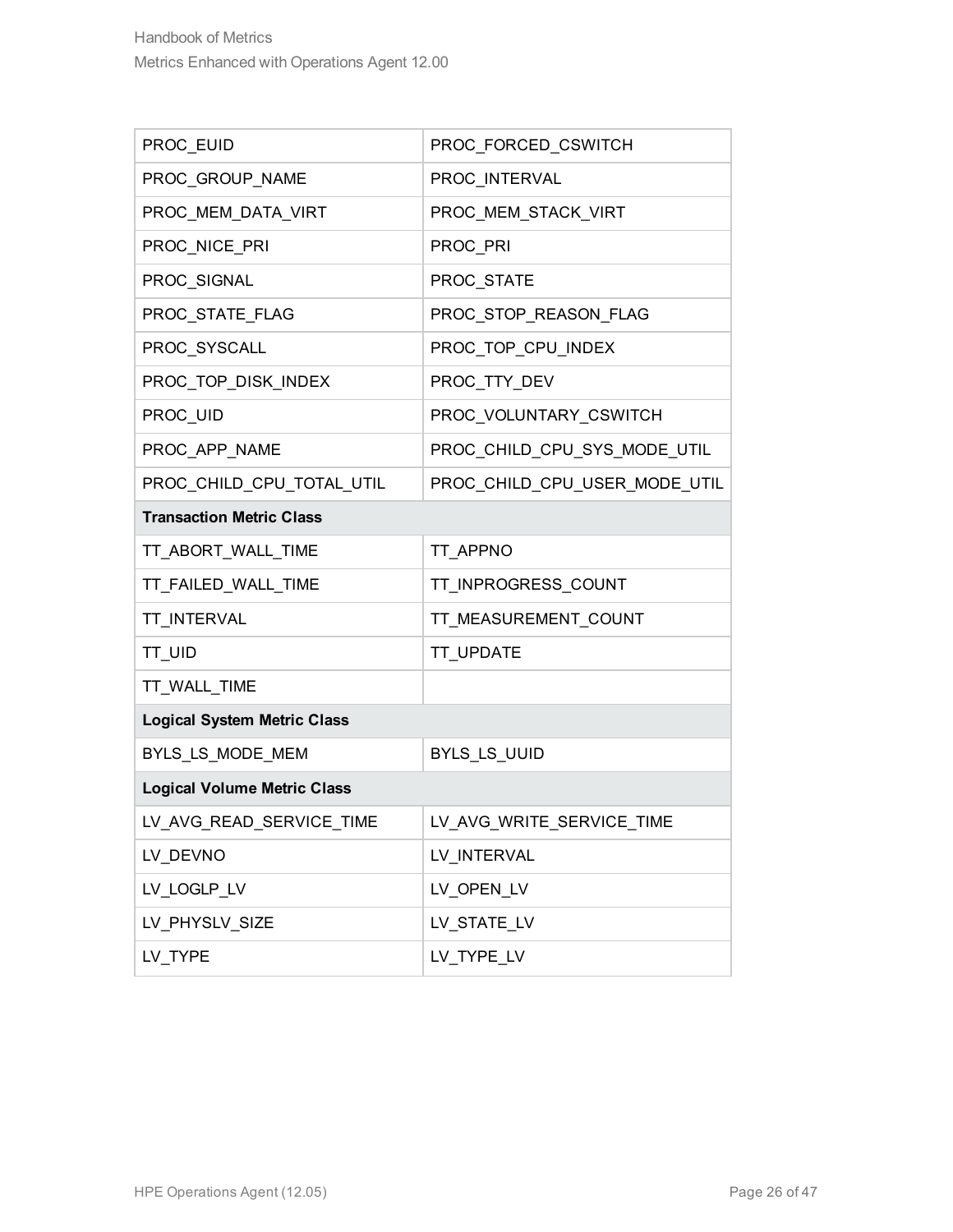| PROC_EUID                          | PROC_FORCED_CSWITCH           |
|------------------------------------|-------------------------------|
| PROC_GROUP_NAME                    | PROC INTERVAL                 |
| PROC_MEM_DATA_VIRT                 | PROC_MEM_STACK_VIRT           |
| PROC_NICE_PRI                      | PROC_PRI                      |
| PROC_SIGNAL                        | PROC_STATE                    |
| PROC_STATE_FLAG                    | PROC_STOP_REASON_FLAG         |
| PROC_SYSCALL                       | PROC_TOP_CPU_INDEX            |
| PROC_TOP_DISK_INDEX                | PROC_TTY_DEV                  |
| PROC_UID                           | PROC_VOLUNTARY_CSWITCH        |
| PROC_APP_NAME                      | PROC_CHILD_CPU_SYS_MODE_UTIL  |
| PROC_CHILD_CPU_TOTAL_UTIL          | PROC_CHILD_CPU_USER_MODE_UTIL |
| <b>Transaction Metric Class</b>    |                               |
| TT_ABORT_WALL_TIME                 | TT_APPNO                      |
| TT_FAILED_WALL_TIME                | TT_INPROGRESS_COUNT           |
| TT_INTERVAL                        | TT_MEASUREMENT_COUNT          |
| TT_UID                             | TT_UPDATE                     |
| TT_WALL_TIME                       |                               |
| <b>Logical System Metric Class</b> |                               |
| BYLS_LS_MODE_MEM                   | BYLS_LS_UUID                  |
| <b>Logical Volume Metric Class</b> |                               |
| LV_AVG_READ_SERVICE_TIME           | LV_AVG_WRITE_SERVICE_TIME     |
| LV_DEVNO                           | LV_INTERVAL                   |
| LV_LOGLP_LV                        | LV_OPEN_LV                    |
| LV_PHYSLV_SIZE                     | LV_STATE_LV                   |
| LV_TYPE                            | LV_TYPE_LV                    |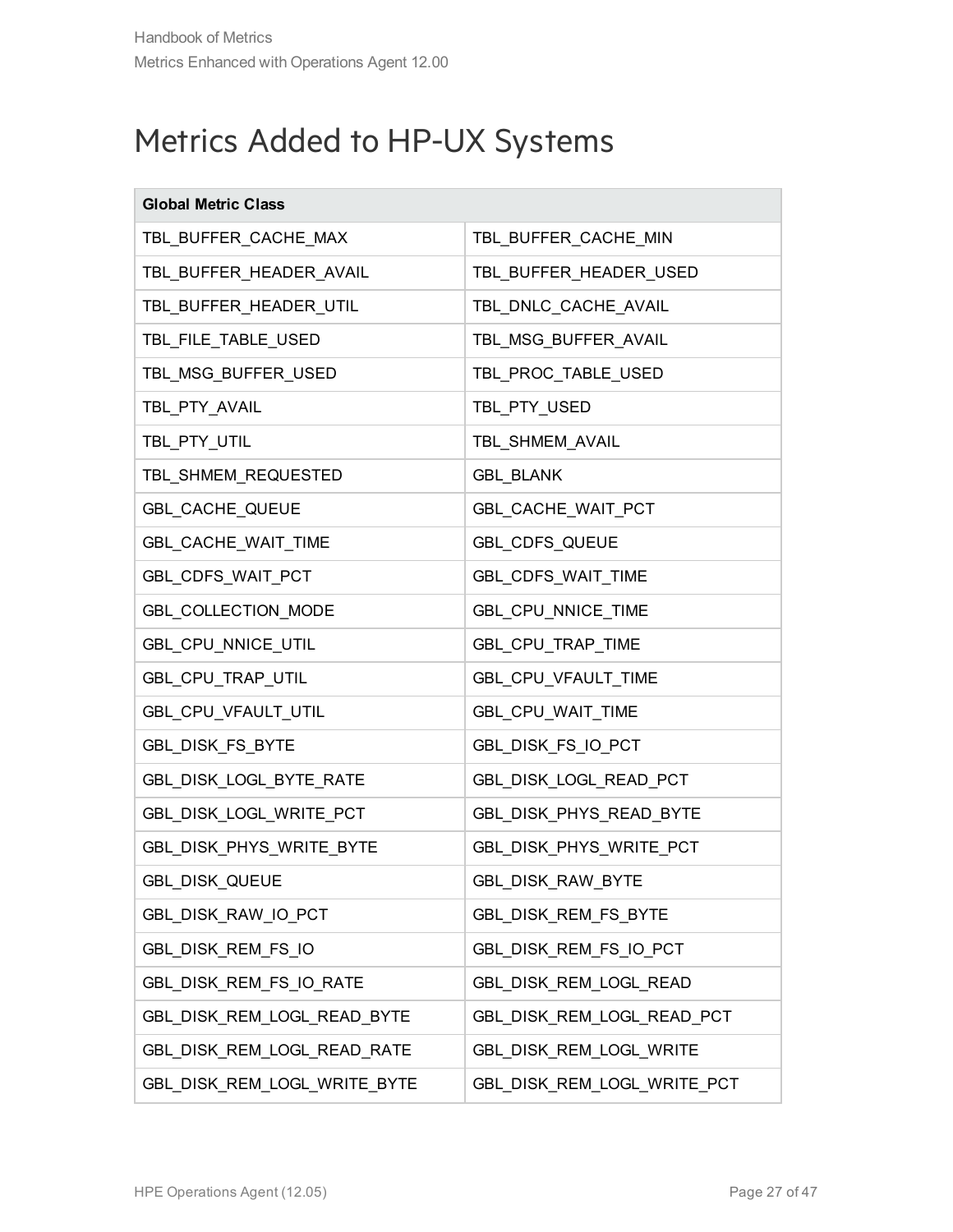### <span id="page-26-0"></span>Metrics Added to HP-UX Systems

| <b>Global Metric Class</b>   |                             |
|------------------------------|-----------------------------|
| TBL_BUFFER_CACHE_MAX         | TBL_BUFFER_CACHE_MIN        |
| TBL_BUFFER_HEADER_AVAIL      | TBL_BUFFER_HEADER_USED      |
| TBL_BUFFER_HEADER_UTIL       | TBL_DNLC_CACHE_AVAIL        |
| TBL_FILE_TABLE_USED          | TBL_MSG_BUFFER_AVAIL        |
| TBL_MSG_BUFFER_USED          | TBL_PROC_TABLE_USED         |
| TBL_PTY_AVAIL                | TBL_PTY_USED                |
| TBL_PTY_UTIL                 | TBL_SHMEM_AVAIL             |
| TBL_SHMEM_REQUESTED          | <b>GBL_BLANK</b>            |
| GBL_CACHE_QUEUE              | GBL_CACHE_WAIT_PCT          |
| GBL CACHE WAIT TIME          | GBL_CDFS_QUEUE              |
| GBL_CDFS_WAIT_PCT            | GBL_CDFS_WAIT_TIME          |
| GBL_COLLECTION_MODE          | GBL_CPU_NNICE_TIME          |
| GBL_CPU_NNICE_UTIL           | GBL_CPU_TRAP_TIME           |
| GBL_CPU_TRAP_UTIL            | GBL_CPU_VFAULT_TIME         |
| GBL_CPU_VFAULT_UTIL          | GBL_CPU_WAIT_TIME           |
| GBL_DISK_FS_BYTE             | GBL_DISK_FS_IO_PCT          |
| GBL_DISK_LOGL_BYTE_RATE      | GBL_DISK_LOGL_READ_PCT      |
| GBL_DISK_LOGL_WRITE_PCT      | GBL_DISK_PHYS_READ_BYTE     |
| GBL_DISK_PHYS_WRITE_BYTE     | GBL_DISK_PHYS_WRITE_PCT     |
| GBL_DISK_QUEUE               | GBL_DISK_RAW_BYTE           |
| GBL_DISK_RAW_IO_PCT          | GBL_DISK_REM_FS_BYTE        |
| GBL_DISK_REM_FS_IO           | GBL DISK REM FS IO PCT      |
| GBL_DISK_REM_FS_IO_RATE      | GBL_DISK_REM_LOGL_READ      |
| GBL_DISK_REM_LOGL_READ_BYTE  | GBL DISK REM LOGL READ PCT  |
| GBL_DISK_REM_LOGL_READ_RATE  | GBL_DISK_REM_LOGL_WRITE     |
| GBL DISK REM LOGL WRITE BYTE | GBL_DISK_REM_LOGL_WRITE_PCT |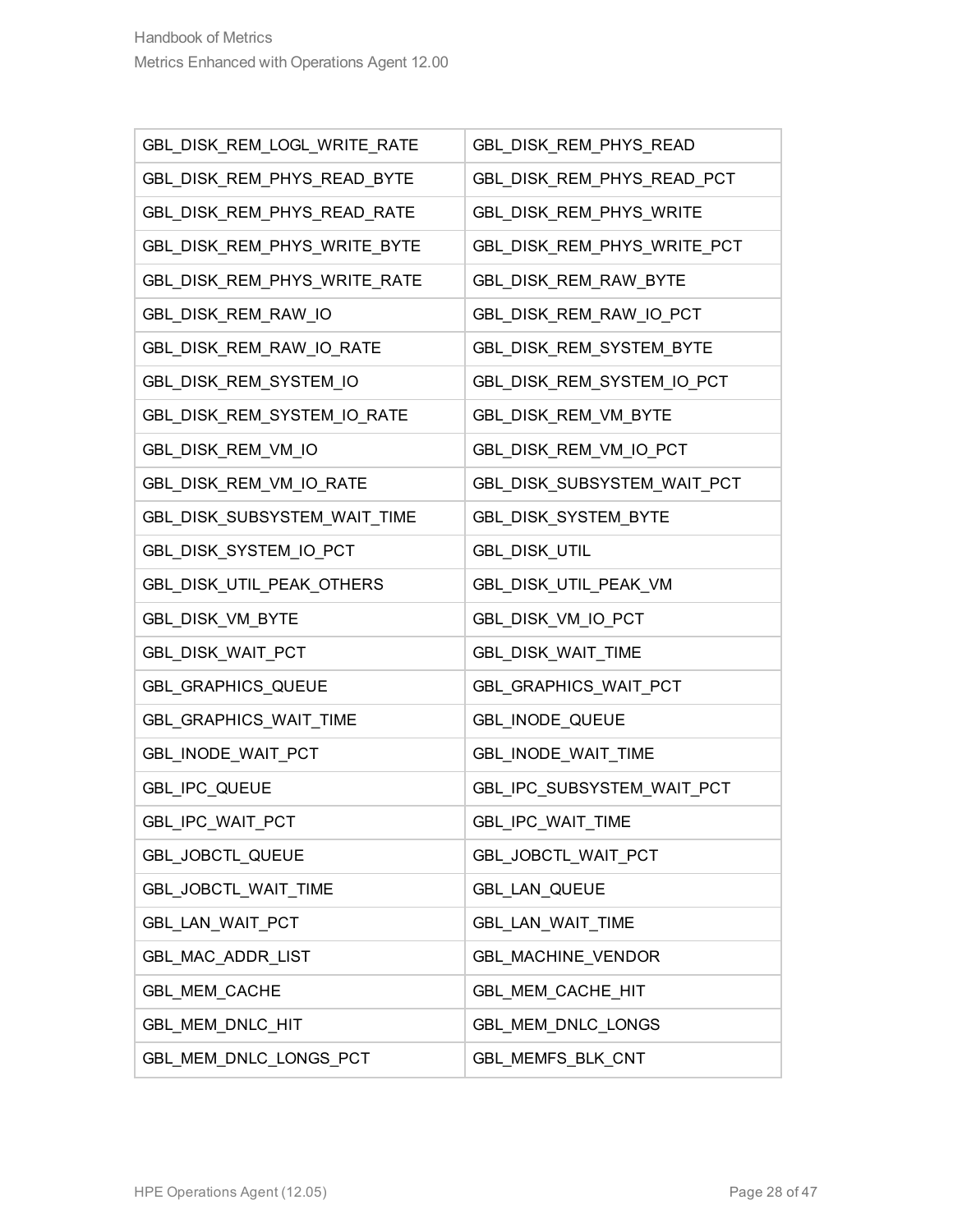| GBL_DISK_REM_LOGL_WRITE_RATE | GBL_DISK_REM_PHYS_READ      |
|------------------------------|-----------------------------|
| GBL_DISK_REM_PHYS_READ_BYTE  | GBL_DISK_REM_PHYS_READ_PCT  |
| GBL_DISK_REM_PHYS_READ_RATE  | GBL_DISK_REM_PHYS_WRITE     |
| GBL_DISK_REM_PHYS_WRITE_BYTE | GBL_DISK_REM_PHYS_WRITE_PCT |
| GBL_DISK_REM_PHYS_WRITE_RATE | GBL_DISK_REM_RAW_BYTE       |
| GBL_DISK_REM_RAW_IO          | GBL_DISK_REM_RAW_IO_PCT     |
| GBL_DISK_REM_RAW_IO_RATE     | GBL_DISK_REM_SYSTEM_BYTE    |
| GBL_DISK_REM_SYSTEM_IO       | GBL_DISK_REM_SYSTEM_IO_PCT  |
| GBL_DISK_REM_SYSTEM_IO_RATE  | GBL_DISK_REM_VM_BYTE        |
| GBL_DISK_REM_VM_IO           | GBL_DISK_REM_VM_IO_PCT      |
| GBL_DISK_REM_VM_IO_RATE      | GBL_DISK_SUBSYSTEM_WAIT_PCT |
| GBL_DISK_SUBSYSTEM_WAIT_TIME | GBL_DISK_SYSTEM_BYTE        |
| GBL_DISK_SYSTEM_IO_PCT       | GBL_DISK_UTIL               |
| GBL_DISK_UTIL_PEAK_OTHERS    | GBL_DISK_UTIL_PEAK_VM       |
| GBL_DISK_VM_BYTE             | GBL_DISK_VM_IO_PCT          |
| GBL_DISK_WAIT_PCT            | GBL_DISK_WAIT_TIME          |
| GBL_GRAPHICS_QUEUE           | GBL_GRAPHICS_WAIT_PCT       |
| GBL_GRAPHICS_WAIT_TIME       | GBL_INODE_QUEUE             |
| GBL_INODE_WAIT_PCT           | GBL_INODE_WAIT_TIME         |
| GBL_IPC_QUEUE                | GBL_IPC_SUBSYSTEM_WAIT_PCT  |
| GBL_IPC_WAIT_PCT             | GBL_IPC_WAIT_TIME           |
| GBL_JOBCTL_QUEUE             | GBL_JOBCTL_WAIT_PCT         |
| GBL_JOBCTL_WAIT_TIME         | GBL_LAN_QUEUE               |
| GBL_LAN_WAIT_PCT             | GBL_LAN_WAIT_TIME           |
| GBL MAC ADDR LIST            | GBL_MACHINE_VENDOR          |
| GBL_MEM_CACHE                | GBL_MEM_CACHE_HIT           |
| GBL_MEM_DNLC_HIT             | GBL_MEM_DNLC_LONGS          |
| GBL_MEM_DNLC_LONGS_PCT       | GBL_MEMFS_BLK_CNT           |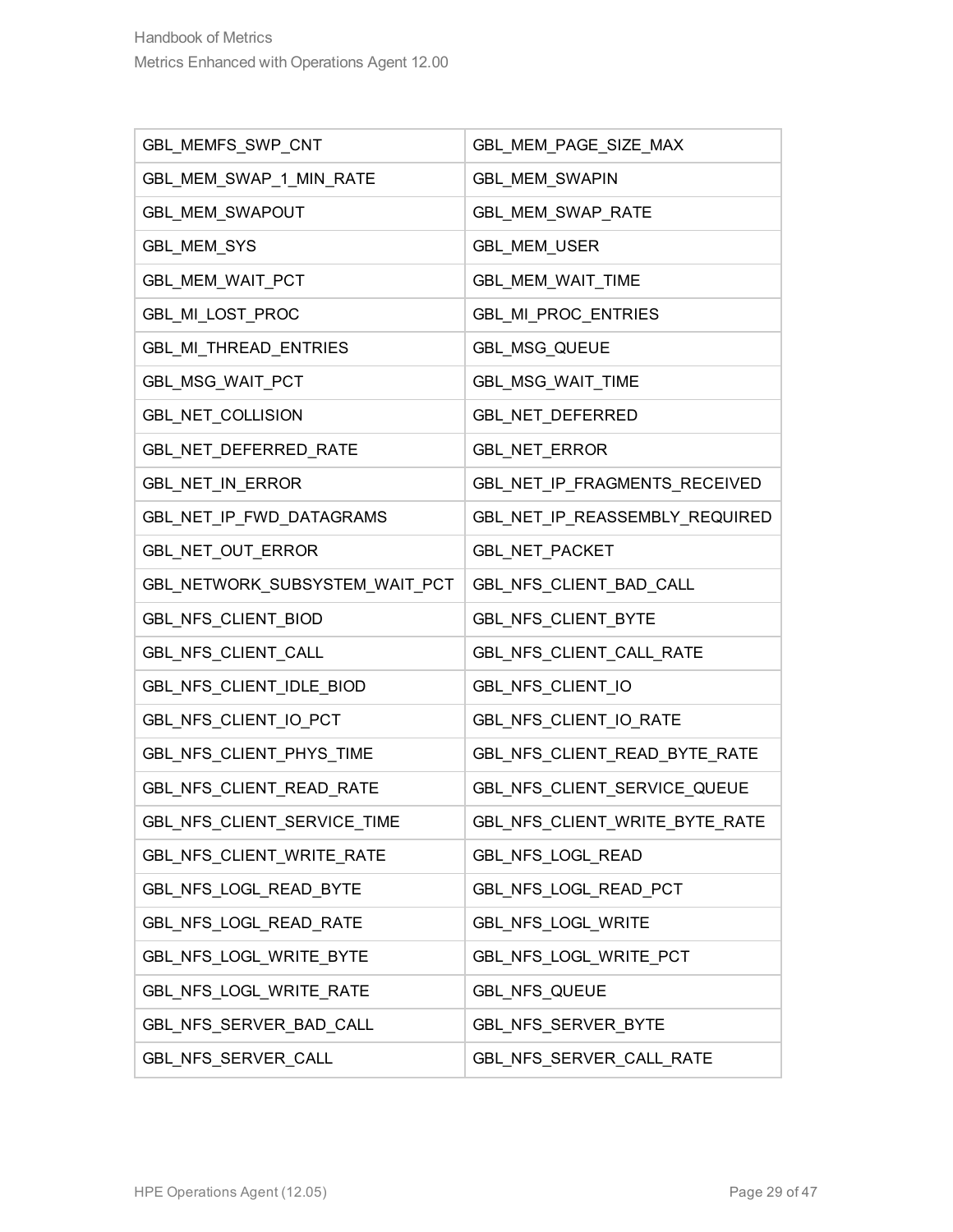| GBL_MEMFS_SWP_CNT              | GBL_MEM_PAGE_SIZE_MAX          |
|--------------------------------|--------------------------------|
| GBL_MEM_SWAP_1_MIN_RATE        | <b>GBL MEM SWAPIN</b>          |
| GBL_MEM_SWAPOUT                | GBL_MEM_SWAP_RATE              |
| GBL_MEM_SYS                    | GBL_MEM_USER                   |
| GBL_MEM_WAIT_PCT               | GBL_MEM_WAIT_TIME              |
| GBL_MI_LOST_PROC               | GBL_MI_PROC_ENTRIES            |
| GBL_MI_THREAD_ENTRIES          | GBL_MSG_QUEUE                  |
| GBL_MSG_WAIT_PCT               | GBL_MSG_WAIT_TIME              |
| GBL_NET_COLLISION              | GBL_NET_DEFERRED               |
| GBL_NET_DEFERRED_RATE          | GBL_NET_ERROR                  |
| GBL_NET_IN_ERROR               | GBL_NET_IP_FRAGMENTS_RECEIVED  |
| GBL_NET_IP_FWD_DATAGRAMS       | GBL_NET_IP_REASSEMBLY_REQUIRED |
| GBL_NET_OUT_ERROR              | <b>GBL_NET_PACKET</b>          |
| GBL_NETWORK_SUBSYSTEM_WAIT_PCT | GBL_NFS_CLIENT_BAD_CALL        |
| GBL_NFS_CLIENT_BIOD            | GBL_NFS_CLIENT_BYTE            |
| GBL_NFS_CLIENT_CALL            | GBL_NFS_CLIENT_CALL_RATE       |
| GBL_NFS_CLIENT_IDLE_BIOD       | GBL_NFS_CLIENT_IO              |
| GBL_NFS_CLIENT_IO_PCT          | GBL_NFS_CLIENT_IO_RATE         |
| GBL_NFS_CLIENT_PHYS_TIME       | GBL_NFS_CLIENT_READ_BYTE_RATE  |
| GBL_NFS_CLIENT_READ_RATE       | GBL_NFS_CLIENT_SERVICE_QUEUE   |
| GBL NFS_CLIENT_SERVICE_TIME    | GBL_NFS_CLIENT_WRITE_BYTE_RATE |
| GBL NFS_CLIENT_WRITE_RATE      | GBL_NFS_LOGL_READ              |
| GBL_NFS_LOGL_READ_BYTE         | GBL_NFS_LOGL_READ_PCT          |
| GBL_NFS_LOGL_READ_RATE         | GBL_NFS_LOGL_WRITE             |
| GBL NFS LOGL WRITE BYTE        | GBL_NFS_LOGL_WRITE_PCT         |
| GBL NFS LOGL WRITE RATE        | GBL_NFS_QUEUE                  |
| GBL_NFS_SERVER_BAD_CALL        | GBL_NFS_SERVER_BYTE            |
| GBL_NFS_SERVER_CALL            | GBL_NFS_SERVER_CALL_RATE       |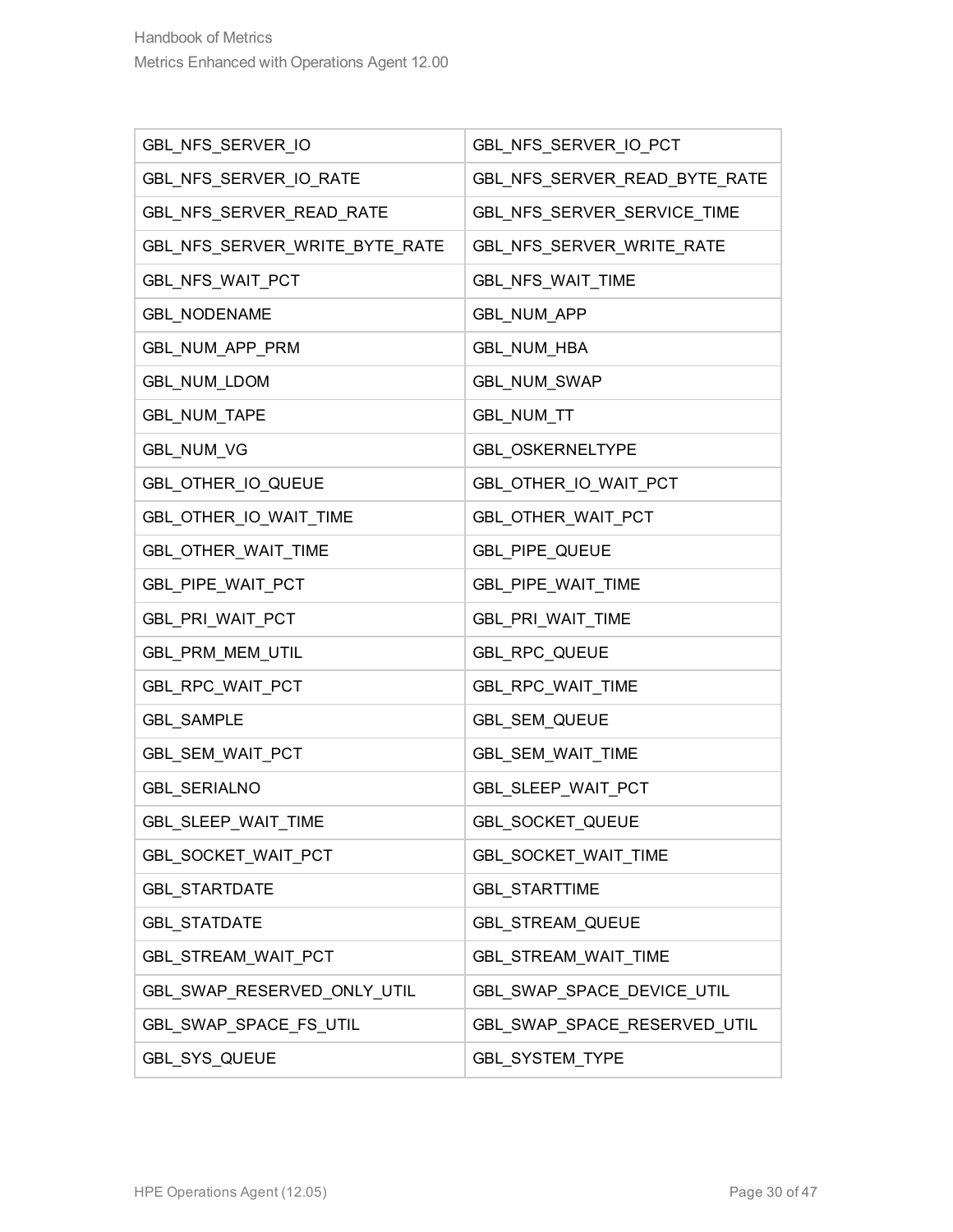| GBL_NFS_SERVER_IO              | GBL_NFS_SERVER_IO_PCT         |
|--------------------------------|-------------------------------|
| GBL_NFS_SERVER_IO_RATE         | GBL_NFS_SERVER_READ_BYTE_RATE |
| GBL_NFS_SERVER_READ_RATE       | GBL_NFS_SERVER_SERVICE_TIME   |
| GBL_NFS_SERVER_WRITE_BYTE_RATE | GBL_NFS_SERVER_WRITE_RATE     |
| GBL NFS WAIT PCT               | GBL_NFS_WAIT_TIME             |
| <b>GBL_NODENAME</b>            | <b>GBL_NUM_APP</b>            |
| GBL NUM APP PRM                | GBL_NUM_HBA                   |
| GBL_NUM_LDOM                   | GBL_NUM_SWAP                  |
| GBL_NUM_TAPE                   | GBL_NUM_TT                    |
| <b>GBL_NUM_VG</b>              | GBL_OSKERNELTYPE              |
| GBL_OTHER_IO_QUEUE             | GBL_OTHER_IO_WAIT_PCT         |
| GBL_OTHER_IO_WAIT_TIME         | GBL_OTHER_WAIT_PCT            |
| GBL_OTHER_WAIT_TIME            | GBL_PIPE_QUEUE                |
| GBL_PIPE_WAIT_PCT              | GBL_PIPE_WAIT_TIME            |
| GBL_PRI_WAIT_PCT               | GBL_PRI_WAIT_TIME             |
| GBL_PRM_MEM_UTIL               | GBL_RPC_QUEUE                 |
| GBL_RPC_WAIT_PCT               | GBL_RPC_WAIT_TIME             |
| <b>GBL_SAMPLE</b>              | GBL_SEM_QUEUE                 |
| GBL_SEM_WAIT_PCT               | GBL_SEM_WAIT_TIME             |
| <b>GBL_SERIALNO</b>            | GBL_SLEEP_WAIT_PCT            |
| GBL_SLEEP_WAIT_TIME            | GBL_SOCKET_QUEUE              |
| GBL_SOCKET_WAIT_PCT            | GBL_SOCKET_WAIT_TIME          |
| <b>GBL_STARTDATE</b>           | GBL_STARTTIME                 |
| <b>GBL_STATDATE</b>            | <b>GBL_STREAM_QUEUE</b>       |
| GBL_STREAM_WAIT_PCT            | GBL_STREAM_WAIT_TIME          |
| GBL_SWAP_RESERVED_ONLY_UTIL    | GBL SWAP_SPACE_DEVICE_UTIL    |
| GBL_SWAP_SPACE_FS_UTIL         | GBL_SWAP_SPACE_RESERVED_UTIL  |
| GBL_SYS_QUEUE                  | GBL_SYSTEM_TYPE               |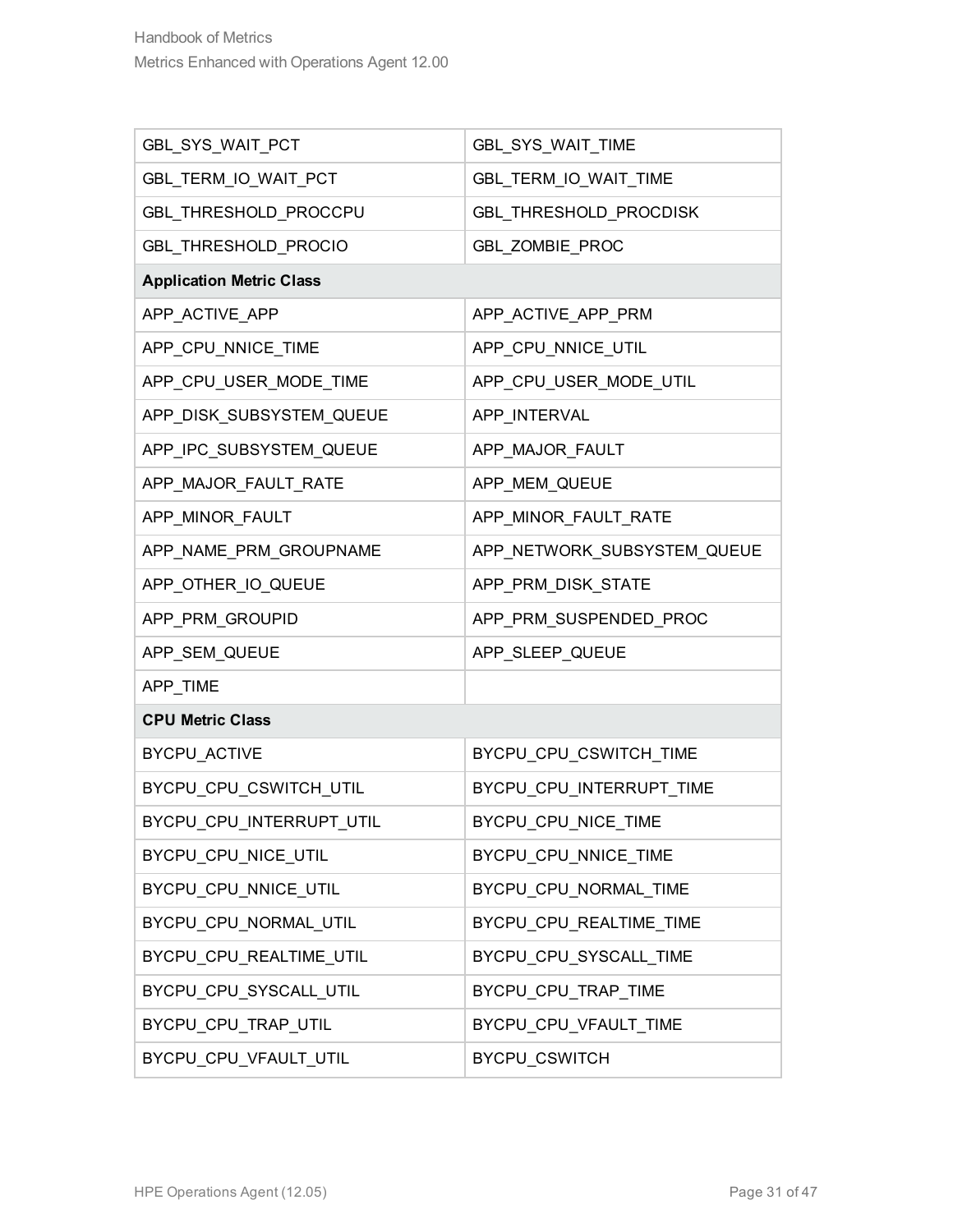| GBL_SYS_WAIT_PCT                | GBL_SYS_WAIT_TIME           |
|---------------------------------|-----------------------------|
| GBL_TERM_IO_WAIT_PCT            | GBL_TERM_IO_WAIT_TIME       |
| GBL_THRESHOLD_PROCCPU           | GBL_THRESHOLD_PROCDISK      |
| GBL_THRESHOLD_PROCIO            | GBL_ZOMBIE_PROC             |
| <b>Application Metric Class</b> |                             |
| APP_ACTIVE_APP                  | APP_ACTIVE_APP_PRM          |
| APP_CPU_NNICE_TIME              | APP_CPU_NNICE_UTIL          |
| APP_CPU_USER_MODE_TIME          | APP_CPU_USER_MODE_UTIL      |
| APP_DISK_SUBSYSTEM_QUEUE        | APP_INTERVAL                |
| APP_IPC_SUBSYSTEM_QUEUE         | APP_MAJOR_FAULT             |
| APP_MAJOR_FAULT_RATE            | APP_MEM_QUEUE               |
| APP_MINOR_FAULT                 | APP_MINOR_FAULT_RATE        |
| APP_NAME_PRM_GROUPNAME          | APP_NETWORK_SUBSYSTEM_QUEUE |
| APP_OTHER_IO_QUEUE              | APP_PRM_DISK_STATE          |
| APP_PRM_GROUPID                 | APP_PRM_SUSPENDED_PROC      |
| APP_SEM_QUEUE                   | APP_SLEEP_QUEUE             |
| APP_TIME                        |                             |
| <b>CPU Metric Class</b>         |                             |
| BYCPU_ACTIVE                    | BYCPU_CPU_CSWITCH_TIME      |
| BYCPU_CPU_CSWITCH_UTIL          | BYCPU_CPU_INTERRUPT_TIME    |
| BYCPU_CPU_INTERRUPT_UTIL        | BYCPU_CPU_NICE_TIME         |
| BYCPU_CPU_NICE_UTIL             | BYCPU_CPU_NNICE_TIME        |
| BYCPU_CPU_NNICE_UTIL            | BYCPU_CPU_NORMAL_TIME       |
| BYCPU CPU NORMAL UTIL           | BYCPU CPU REALTIME TIME     |
| BYCPU_CPU_REALTIME_UTIL         | BYCPU_CPU_SYSCALL_TIME      |
| BYCPU_CPU_SYSCALL_UTIL          | BYCPU_CPU_TRAP_TIME         |
| BYCPU_CPU_TRAP_UTIL             | BYCPU_CPU_VFAULT_TIME       |
| BYCPU_CPU_VFAULT_UTIL           | BYCPU_CSWITCH               |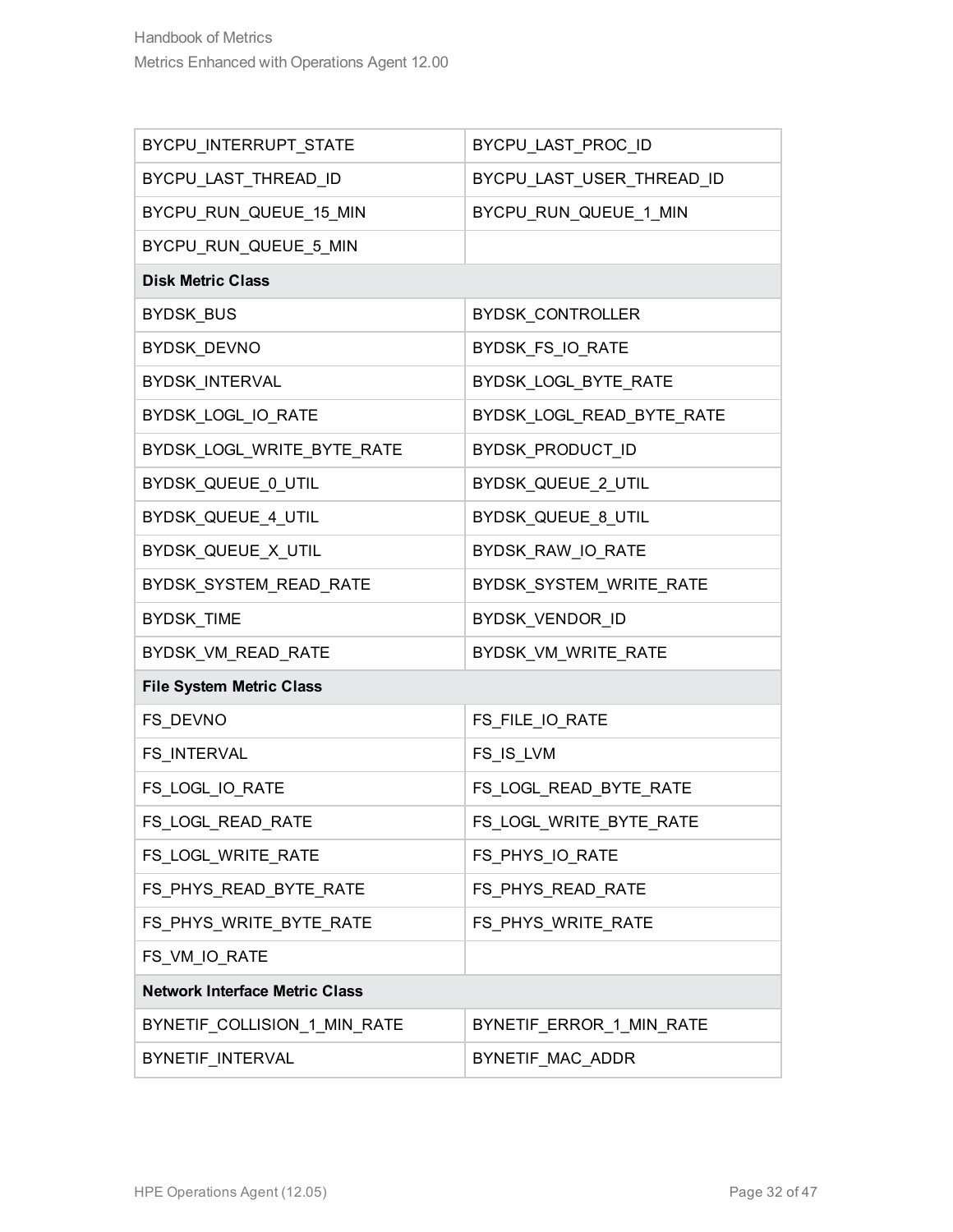| BYCPU_INTERRUPT_STATE                 | BYCPU LAST_PROC_ID        |
|---------------------------------------|---------------------------|
| BYCPU_LAST_THREAD_ID                  | BYCPU_LAST_USER_THREAD_ID |
| BYCPU_RUN_QUEUE_15_MIN                | BYCPU_RUN_QUEUE_1_MIN     |
| BYCPU_RUN_QUEUE_5_MIN                 |                           |
| <b>Disk Metric Class</b>              |                           |
| BYDSK_BUS                             | BYDSK_CONTROLLER          |
| BYDSK_DEVNO                           | BYDSK FS IO RATE          |
| BYDSK_INTERVAL                        | BYDSK_LOGL_BYTE_RATE      |
| BYDSK_LOGL_IO_RATE                    | BYDSK_LOGL_READ_BYTE_RATE |
| BYDSK_LOGL_WRITE_BYTE_RATE            | BYDSK_PRODUCT_ID          |
| BYDSK_QUEUE_0_UTIL                    | BYDSK_QUEUE_2_UTIL        |
| BYDSK_QUEUE_4_UTIL                    | BYDSK_QUEUE_8_UTIL        |
| BYDSK_QUEUE_X_UTIL                    | BYDSK_RAW_IO_RATE         |
| BYDSK_SYSTEM_READ_RATE                | BYDSK_SYSTEM_WRITE_RATE   |
| <b>BYDSK_TIME</b>                     | BYDSK_VENDOR_ID           |
| BYDSK_VM_READ_RATE                    | BYDSK_VM_WRITE_RATE       |
| <b>File System Metric Class</b>       |                           |
| FS_DEVNO                              | FS_FILE_IO_RATE           |
| FS_INTERVAL                           | FS_IS_LVM                 |
| FS_LOGL_IO_RATE                       | FS_LOGL_READ_BYTE_RATE    |
| FS_LOGL_READ_RATE                     | FS_LOGL_WRITE_BYTE_RATE   |
| FS_LOGL_WRITE_RATE                    | FS_PHYS_IO_RATE           |
| FS_PHYS_READ_BYTE_RATE                | FS_PHYS_READ_RATE         |
| FS_PHYS_WRITE_BYTE_RATE               | FS_PHYS_WRITE_RATE        |
| FS_VM_IO_RATE                         |                           |
| <b>Network Interface Metric Class</b> |                           |
| BYNETIF_COLLISION_1_MIN_RATE          | BYNETIF_ERROR_1_MIN_RATE  |
| BYNETIF_INTERVAL                      | BYNETIF_MAC_ADDR          |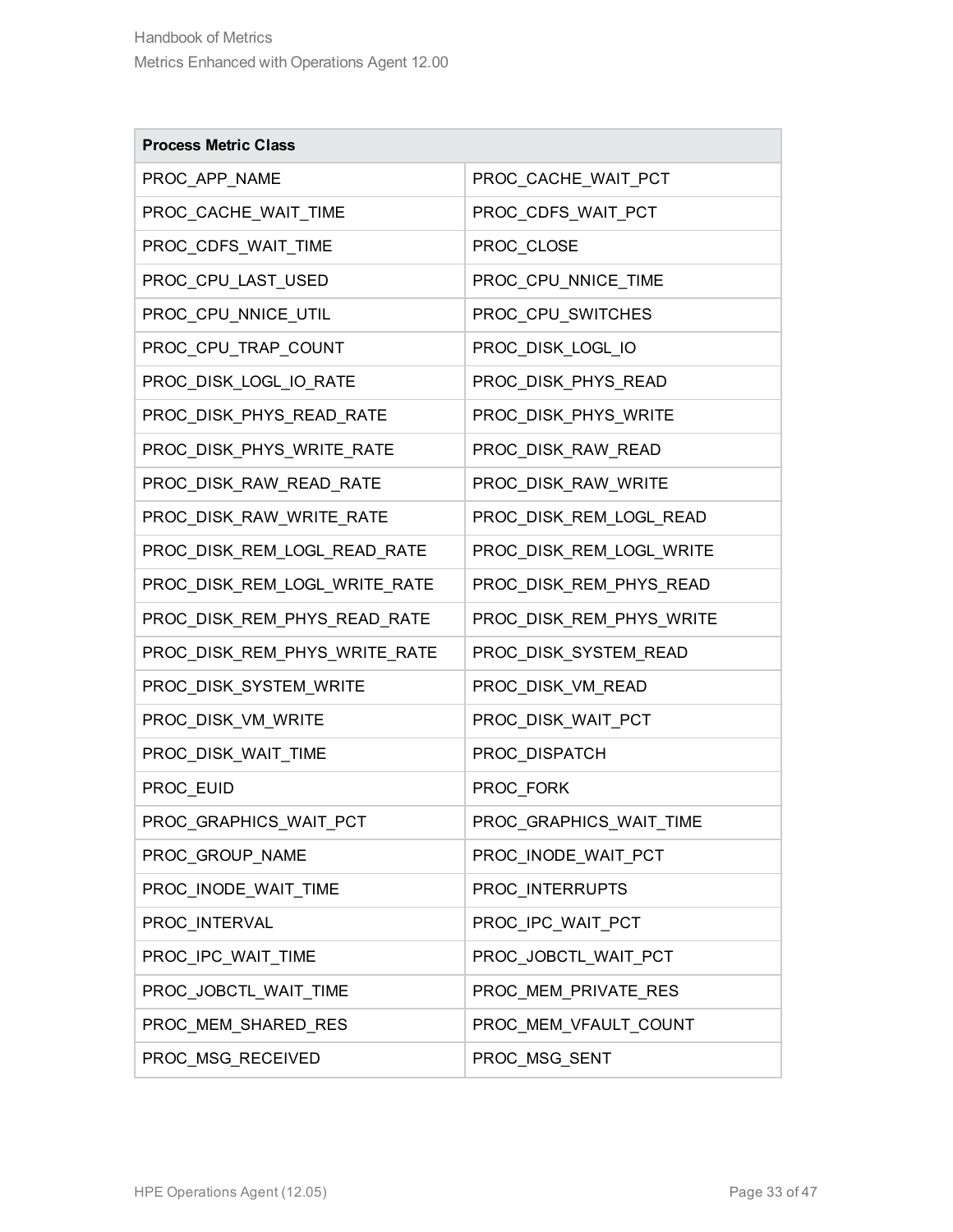| <b>Process Metric Class</b>   |                          |
|-------------------------------|--------------------------|
| PROC_APP_NAME                 | PROC_CACHE_WAIT_PCT      |
| PROC_CACHE_WAIT_TIME          | PROC_CDFS_WAIT_PCT       |
| PROC_CDFS_WAIT_TIME           | PROC_CLOSE               |
| PROC_CPU_LAST_USED            | PROC_CPU_NNICE_TIME      |
| PROC_CPU_NNICE_UTIL           | PROC_CPU_SWITCHES        |
| PROC_CPU_TRAP_COUNT           | PROC_DISK_LOGL_IO        |
| PROC_DISK_LOGL_IO_RATE        | PROC_DISK_PHYS_READ      |
| PROC_DISK_PHYS_READ_RATE      | PROC_DISK_PHYS_WRITE     |
| PROC_DISK_PHYS_WRITE_RATE     | PROC_DISK_RAW_READ       |
| PROC_DISK_RAW_READ_RATE       | PROC_DISK_RAW_WRITE      |
| PROC_DISK_RAW_WRITE_RATE      | PROC_DISK_REM_LOGL_READ  |
| PROC_DISK_REM_LOGL_READ_RATE  | PROC_DISK_REM_LOGL_WRITE |
| PROC_DISK_REM_LOGL_WRITE_RATE | PROC_DISK_REM_PHYS_READ  |
| PROC_DISK_REM_PHYS_READ_RATE  | PROC_DISK_REM_PHYS_WRITE |
| PROC_DISK_REM_PHYS_WRITE_RATE | PROC_DISK_SYSTEM_READ    |
| PROC_DISK_SYSTEM_WRITE        | PROC_DISK_VM_READ        |
| PROC_DISK_VM_WRITE            | PROC_DISK_WAIT_PCT       |
| PROC_DISK_WAIT_TIME           | PROC_DISPATCH            |
| PROC_EUID                     | PROC_FORK                |
| PROC_GRAPHICS_WAIT_PCT        | PROC_GRAPHICS_WAIT_TIME  |
| PROC_GROUP_NAME               | PROC_INODE_WAIT_PCT      |
| PROC_INODE_WAIT_TIME          | PROC INTERRUPTS          |
| PROC_INTERVAL                 | PROC IPC WAIT PCT        |
| PROC IPC WAIT TIME            | PROC JOBCTL WAIT PCT     |
| PROC_JOBCTL_WAIT_TIME         | PROC MEM PRIVATE RES     |
| PROC_MEM_SHARED_RES           | PROC_MEM_VFAULT_COUNT    |
| PROC_MSG_RECEIVED             | PROC_MSG_SENT            |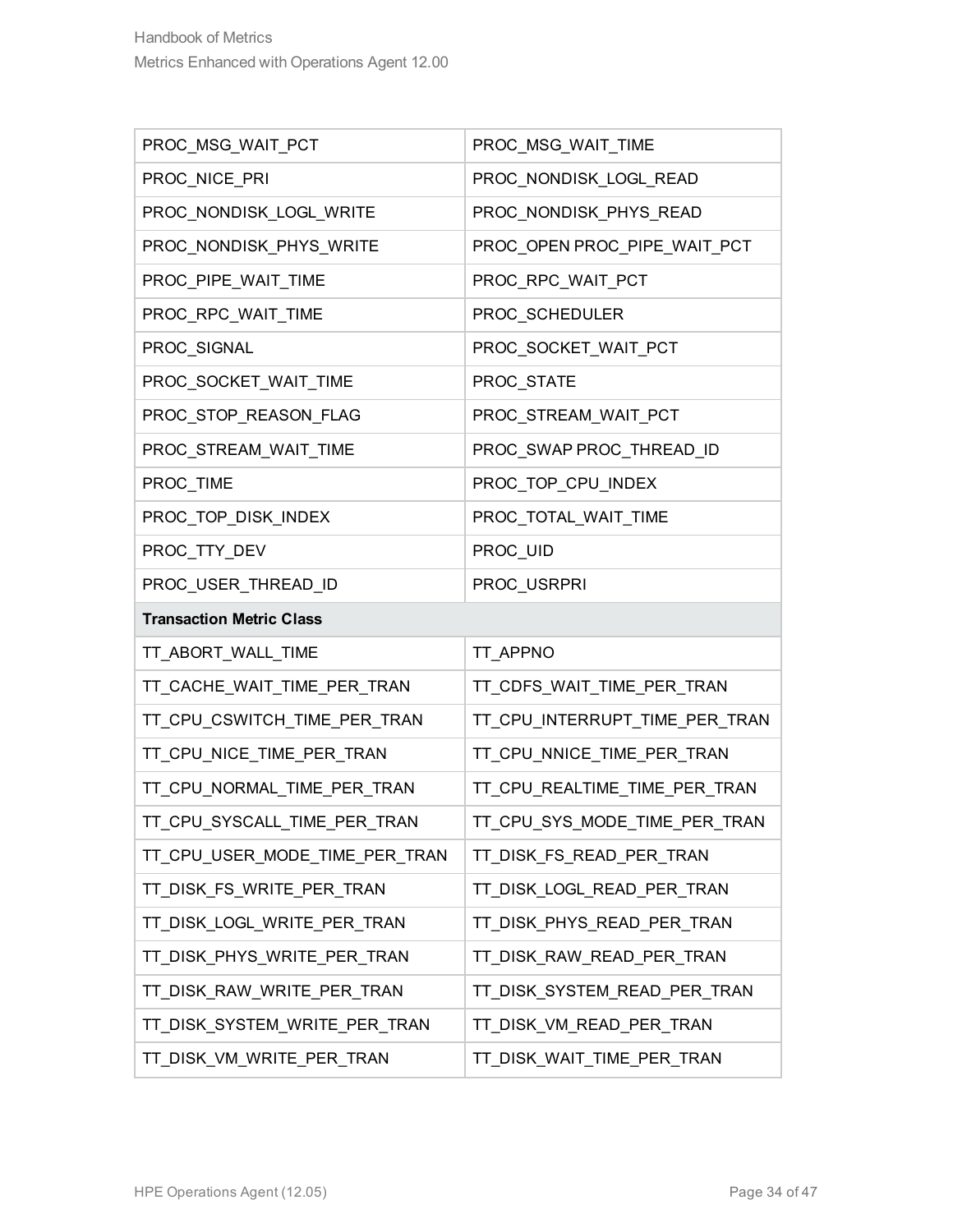| PROC_MSG_WAIT_PCT               | PROC_MSG_WAIT_TIME             |
|---------------------------------|--------------------------------|
| PROC_NICE_PRI                   | PROC_NONDISK_LOGL_READ         |
| PROC_NONDISK_LOGL_WRITE         | PROC_NONDISK_PHYS_READ         |
| PROC_NONDISK_PHYS_WRITE         | PROC_OPEN PROC_PIPE_WAIT_PCT   |
| PROC_PIPE_WAIT_TIME             | PROC_RPC_WAIT_PCT              |
| PROC_RPC_WAIT_TIME              | PROC_SCHEDULER                 |
| PROC_SIGNAL                     | PROC_SOCKET_WAIT_PCT           |
| PROC_SOCKET_WAIT_TIME           | PROC_STATE                     |
| PROC_STOP_REASON_FLAG           | PROC_STREAM_WAIT_PCT           |
| PROC_STREAM_WAIT_TIME           | PROC_SWAP PROC_THREAD_ID       |
| PROC_TIME                       | PROC_TOP_CPU_INDEX             |
| PROC_TOP_DISK_INDEX             | PROC_TOTAL_WAIT_TIME           |
| PROC_TTY_DEV                    | PROC_UID                       |
| PROC_USER_THREAD_ID             | PROC_USRPRI                    |
|                                 |                                |
| <b>Transaction Metric Class</b> |                                |
| TT_ABORT_WALL_TIME              | TT_APPNO                       |
| TT_CACHE_WAIT_TIME_PER_TRAN     | TT_CDFS_WAIT_TIME_PER_TRAN     |
| TT_CPU_CSWITCH_TIME_PER_TRAN    | TT_CPU_INTERRUPT_TIME_PER_TRAN |
| TT_CPU_NICE_TIME_PER_TRAN       | TT_CPU_NNICE_TIME_PER_TRAN     |
| TT_CPU_NORMAL_TIME_PER_TRAN     | TT_CPU_REALTIME_TIME_PER_TRAN  |
| TT_CPU_SYSCALL_TIME_PER_TRAN    | TT CPU SYS MODE TIME PER TRAN  |
| TT_CPU_USER_MODE_TIME_PER_TRAN  | TT_DISK_FS_READ_PER_TRAN       |
| TT_DISK_FS_WRITE_PER_TRAN       | TT_DISK_LOGL_READ_PER_TRAN     |
| TT_DISK_LOGL_WRITE_PER_TRAN     | TT_DISK_PHYS_READ_PER_TRAN     |
| TT_DISK_PHYS_WRITE_PER_TRAN     | TT_DISK_RAW_READ_PER_TRAN      |
| TT_DISK_RAW_WRITE_PER_TRAN      | TT_DISK_SYSTEM_READ_PER_TRAN   |
| TT_DISK_SYSTEM_WRITE_PER_TRAN   | TT_DISK_VM_READ_PER_TRAN       |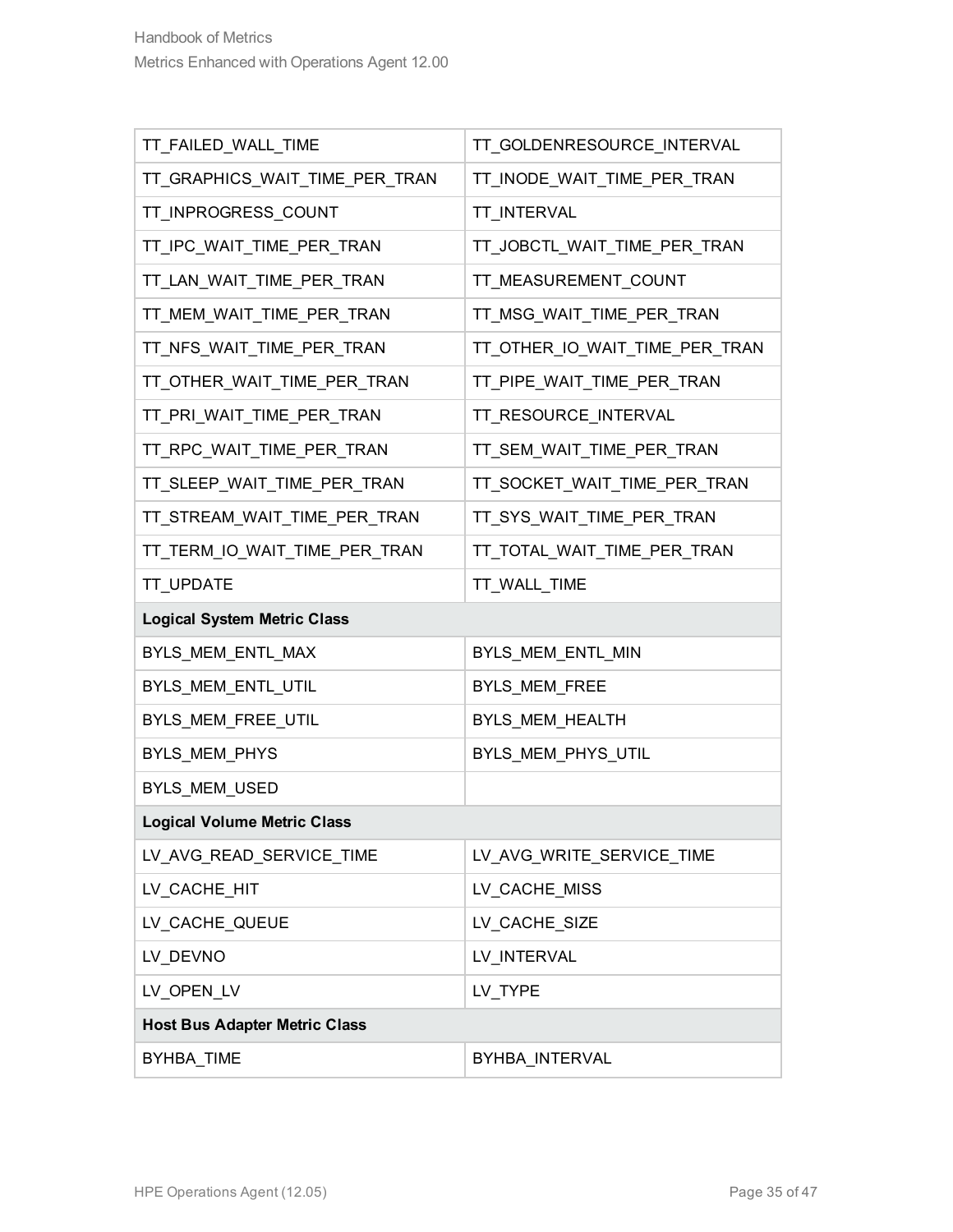| TT_FAILED_WALL_TIME                  | TT_GOLDENRESOURCE_INTERVAL     |
|--------------------------------------|--------------------------------|
| TT_GRAPHICS_WAIT_TIME_PER_TRAN       | TT_INODE_WAIT_TIME_PER_TRAN    |
| TT_INPROGRESS_COUNT                  | TT_INTERVAL                    |
| TT_IPC_WAIT_TIME_PER_TRAN            | TT_JOBCTL_WAIT_TIME_PER_TRAN   |
| TT_LAN_WAIT_TIME_PER_TRAN            | TT_MEASUREMENT_COUNT           |
| TT_MEM_WAIT_TIME_PER_TRAN            | TT_MSG_WAIT_TIME_PER_TRAN      |
| TT_NFS_WAIT_TIME_PER_TRAN            | TT_OTHER_IO_WAIT_TIME_PER_TRAN |
| TT_OTHER_WAIT_TIME_PER_TRAN          | TT_PIPE_WAIT_TIME_PER_TRAN     |
| TT_PRI_WAIT_TIME_PER_TRAN            | TT_RESOURCE_INTERVAL           |
| TT_RPC_WAIT_TIME_PER_TRAN            | TT_SEM_WAIT_TIME_PER_TRAN      |
| TT_SLEEP_WAIT_TIME_PER_TRAN          | TT_SOCKET_WAIT_TIME_PER_TRAN   |
| TT_STREAM_WAIT_TIME_PER_TRAN         | TT_SYS_WAIT_TIME_PER_TRAN      |
| TT_TERM_IO_WAIT_TIME_PER_TRAN        | TT_TOTAL_WAIT_TIME_PER_TRAN    |
| TT_UPDATE                            | TT_WALL_TIME                   |
|                                      |                                |
| <b>Logical System Metric Class</b>   |                                |
| BYLS_MEM_ENTL_MAX                    | BYLS_MEM_ENTL_MIN              |
| BYLS_MEM_ENTL_UTIL                   | BYLS_MEM_FREE                  |
| BYLS_MEM_FREE_UTIL                   | BYLS_MEM_HEALTH                |
| BYLS_MEM_PHYS                        | BYLS_MEM_PHYS_UTIL             |
| BYLS_MEM_USED                        |                                |
| <b>Logical Volume Metric Class</b>   |                                |
| LV_AVG_READ_SERVICE_TIME             | LV_AVG_WRITE_SERVICE_TIME      |
| LV_CACHE_HIT                         | LV_CACHE_MISS                  |
| LV_CACHE_QUEUE                       | LV_CACHE_SIZE                  |
| LV_DEVNO                             | LV_INTERVAL                    |
| LV_OPEN_LV                           | LV_TYPE                        |
| <b>Host Bus Adapter Metric Class</b> |                                |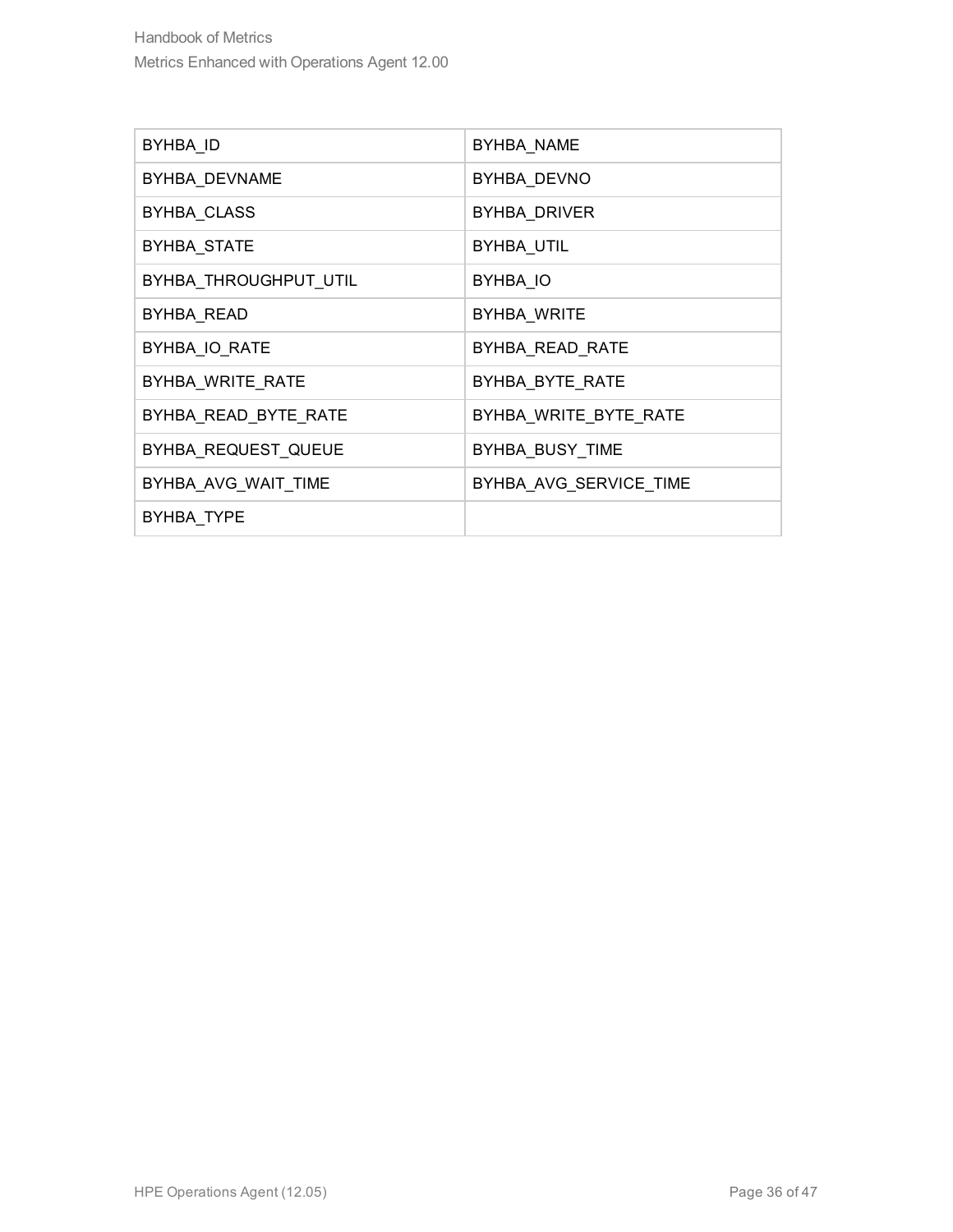| BYHBA ID              | BYHBA NAME             |
|-----------------------|------------------------|
| BYHBA DEVNAME         | BYHBA DEVNO            |
| BYHBA_CLASS           | BYHBA_DRIVER           |
| BYHBA_STATE           | BYHBA_UTIL             |
| BYHBA_THROUGHPUT_UTIL | BYHBA IO               |
| BYHBA READ            | BYHBA WRITE            |
| BYHBA IO RATE         | BYHBA READ RATE        |
| BYHBA WRITE RATE      | BYHBA BYTE RATE        |
| BYHBA READ BYTE RATE  | BYHBA WRITE BYTE RATE  |
| BYHBA REQUEST QUEUE   | BYHBA_BUSY_TIME        |
| BYHBA AVG WAIT TIME   | BYHBA AVG SERVICE TIME |
| BYHBA TYPE            |                        |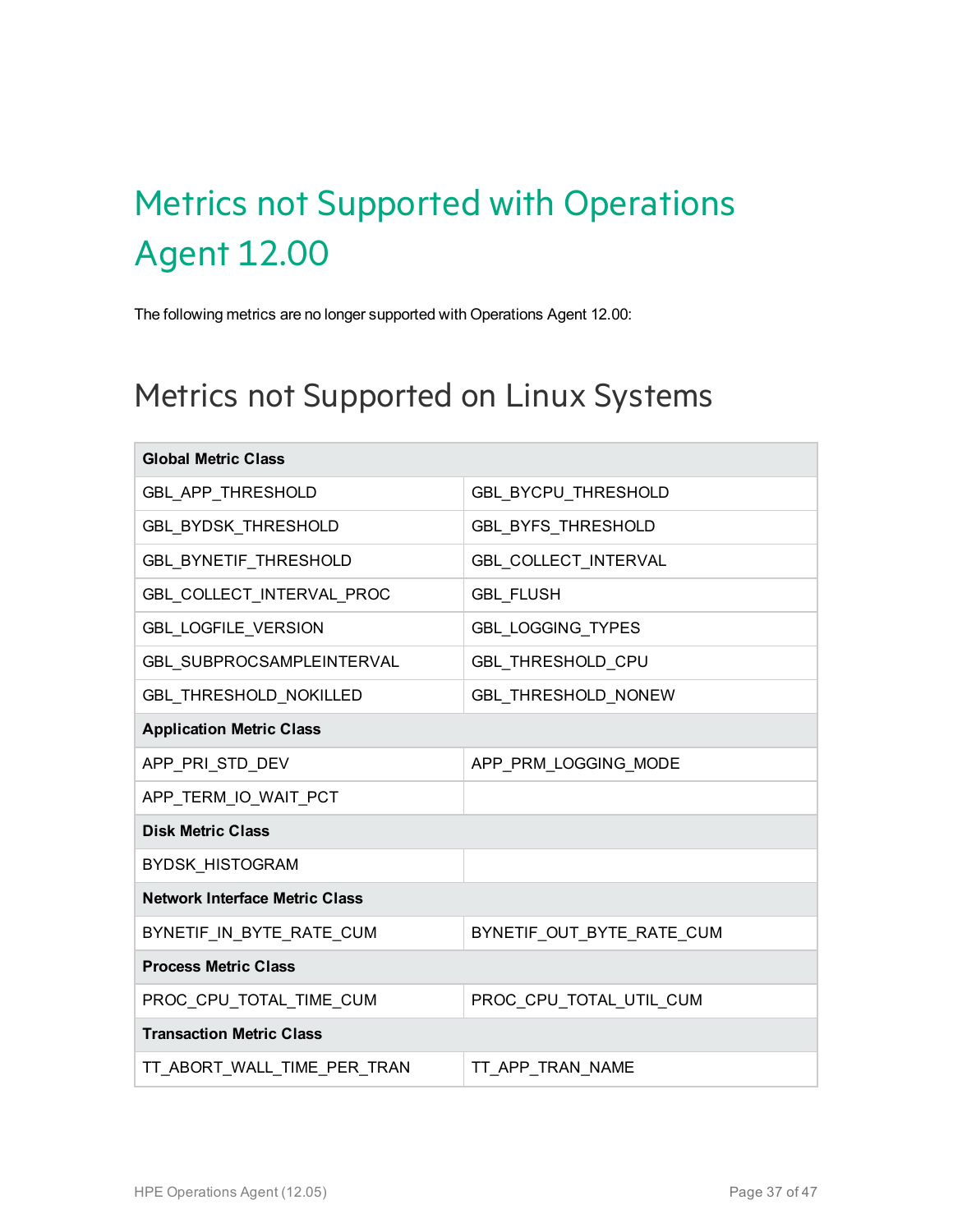# <span id="page-36-0"></span>Metrics not Supported with Operations Agent 12.00

<span id="page-36-1"></span>The following metrics are no longer supported with Operations Agent 12.00:

#### Metrics not Supported on Linux Systems

| <b>Global Metric Class</b>            |                            |  |
|---------------------------------------|----------------------------|--|
| GBL_APP_THRESHOLD                     | GBL_BYCPU_THRESHOLD        |  |
| GBL_BYDSK_THRESHOLD                   | GBL_BYFS_THRESHOLD         |  |
| <b>GBL_BYNETIF_THRESHOLD</b>          | GBL_COLLECT_INTERVAL       |  |
| GBL_COLLECT_INTERVAL_PROC             | <b>GBL FLUSH</b>           |  |
| <b>GBL_LOGFILE_VERSION</b>            | <b>GBL_LOGGING_TYPES</b>   |  |
| GBL SUBPROCSAMPLEINTERVAL             | <b>GBL THRESHOLD CPU</b>   |  |
| GBL_THRESHOLD_NOKILLED                | <b>GBL THRESHOLD NONEW</b> |  |
| <b>Application Metric Class</b>       |                            |  |
| APP_PRI_STD_DEV                       | APP_PRM_LOGGING_MODE       |  |
| APP_TERM_IO_WAIT_PCT                  |                            |  |
| <b>Disk Metric Class</b>              |                            |  |
| <b>BYDSK_HISTOGRAM</b>                |                            |  |
| <b>Network Interface Metric Class</b> |                            |  |
| BYNETIF_IN_BYTE_RATE_CUM              | BYNETIF_OUT_BYTE_RATE_CUM  |  |
| <b>Process Metric Class</b>           |                            |  |
| PROC_CPU_TOTAL_TIME_CUM               | PROC_CPU_TOTAL_UTIL_CUM    |  |
| <b>Transaction Metric Class</b>       |                            |  |
| TT_ABORT_WALL_TIME_PER_TRAN           | TT APP TRAN NAME           |  |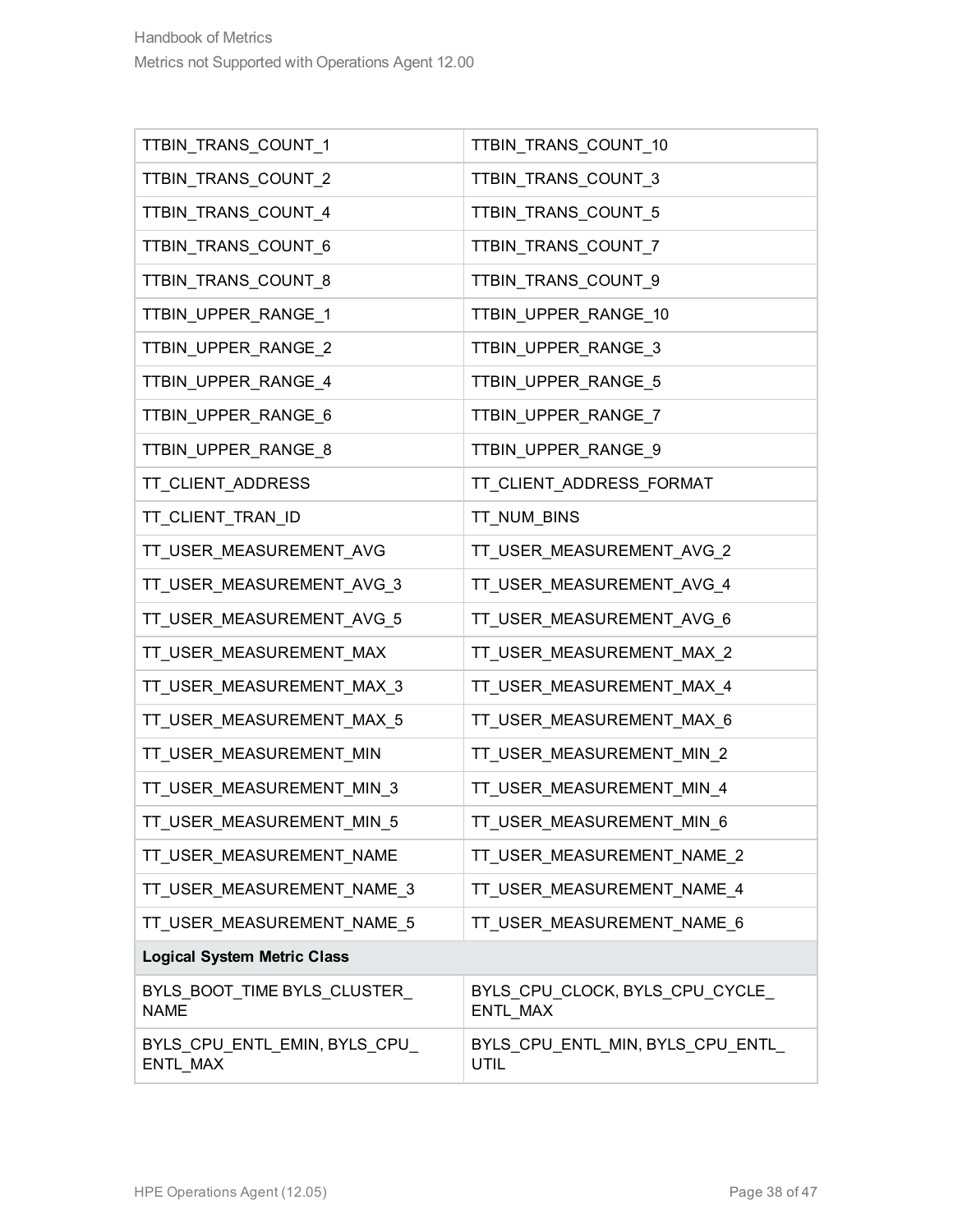| TTBIN_TRANS_COUNT_1                         | TTBIN_TRANS_COUNT_10                       |  |
|---------------------------------------------|--------------------------------------------|--|
| TTBIN_TRANS_COUNT_2                         | TTBIN_TRANS_COUNT_3                        |  |
| TTBIN_TRANS_COUNT_4                         | TTBIN_TRANS_COUNT_5                        |  |
| TTBIN_TRANS_COUNT_6                         | TTBIN_TRANS_COUNT_7                        |  |
| TTBIN_TRANS_COUNT_8                         | TTBIN_TRANS_COUNT_9                        |  |
| TTBIN_UPPER_RANGE_1                         | TTBIN_UPPER_RANGE_10                       |  |
| TTBIN_UPPER_RANGE_2                         | TTBIN_UPPER_RANGE_3                        |  |
| TTBIN_UPPER_RANGE_4                         | TTBIN_UPPER_RANGE_5                        |  |
| TTBIN_UPPER_RANGE_6                         | TTBIN_UPPER_RANGE_7                        |  |
| TTBIN_UPPER_RANGE_8                         | TTBIN_UPPER_RANGE_9                        |  |
| TT_CLIENT_ADDRESS                           | TT_CLIENT_ADDRESS_FORMAT                   |  |
| TT_CLIENT_TRAN_ID                           | TT_NUM_BINS                                |  |
| TT_USER_MEASUREMENT_AVG                     | TT_USER_MEASUREMENT_AVG_2                  |  |
| TT_USER_MEASUREMENT_AVG_3                   | TT_USER_MEASUREMENT_AVG_4                  |  |
| TT_USER_MEASUREMENT_AVG_5                   | TT_USER_MEASUREMENT_AVG_6                  |  |
| TT_USER_MEASUREMENT_MAX                     | TT_USER_MEASUREMENT_MAX_2                  |  |
| TT_USER_MEASUREMENT_MAX_3                   | TT_USER_MEASUREMENT_MAX_4                  |  |
| TT_USER_MEASUREMENT_MAX_5                   | TT_USER_MEASUREMENT_MAX_6                  |  |
| TT_USER_MEASUREMENT_MIN                     | TT_USER_MEASUREMENT_MIN_2                  |  |
| TT_USER_MEASUREMENT_MIN_3                   | TT_USER_MEASUREMENT_MIN_4                  |  |
| TT_USER_MEASUREMENT_MIN_5                   | TT USER MEASUREMENT MIN 6                  |  |
| TT_USER_MEASUREMENT_NAME                    | TT_USER_MEASUREMENT_NAME_2                 |  |
| TT_USER_MEASUREMENT_NAME_3                  | TT USER MEASUREMENT NAME 4                 |  |
| TT USER MEASUREMENT NAME 5                  | TT_USER_MEASUREMENT_NAME_6                 |  |
| <b>Logical System Metric Class</b>          |                                            |  |
| BYLS_BOOT_TIME BYLS_CLUSTER_<br><b>NAME</b> | BYLS CPU CLOCK, BYLS CPU CYCLE<br>ENTL MAX |  |
| BYLS_CPU_ENTL_EMIN, BYLS_CPU_<br>ENTL_MAX   | BYLS_CPU_ENTL_MIN, BYLS_CPU_ENTL_<br>UTIL  |  |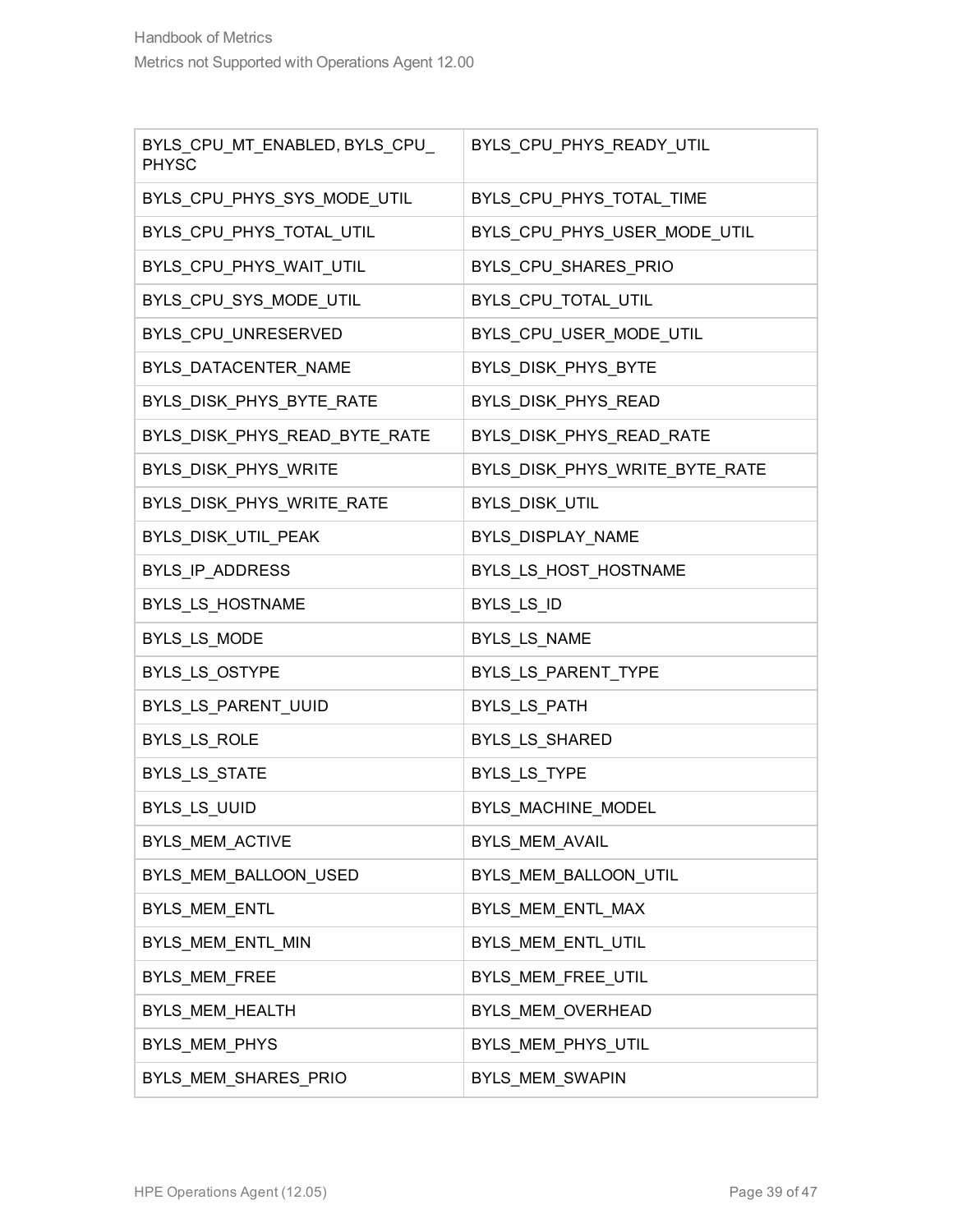| BYLS_CPU_MT_ENABLED, BYLS_CPU_<br><b>PHYSC</b> | BYLS_CPU_PHYS_READY_UTIL       |
|------------------------------------------------|--------------------------------|
| BYLS_CPU_PHYS_SYS_MODE_UTIL                    | BYLS_CPU_PHYS_TOTAL_TIME       |
| BYLS_CPU_PHYS_TOTAL_UTIL                       | BYLS_CPU_PHYS_USER_MODE_UTIL   |
| BYLS_CPU_PHYS_WAIT_UTIL                        | BYLS_CPU_SHARES_PRIO           |
| BYLS_CPU_SYS_MODE_UTIL                         | BYLS_CPU_TOTAL_UTIL            |
| BYLS_CPU_UNRESERVED                            | BYLS_CPU_USER_MODE_UTIL        |
| BYLS_DATACENTER_NAME                           | BYLS_DISK_PHYS_BYTE            |
| BYLS_DISK_PHYS_BYTE_RATE                       | BYLS_DISK_PHYS_READ            |
| BYLS_DISK_PHYS_READ_BYTE_RATE                  | BYLS_DISK_PHYS_READ_RATE       |
| BYLS_DISK_PHYS_WRITE                           | BYLS_DISK_PHYS_WRITE_BYTE_RATE |
| BYLS_DISK_PHYS_WRITE_RATE                      | BYLS_DISK_UTIL                 |
| BYLS_DISK_UTIL_PEAK                            | BYLS_DISPLAY_NAME              |
| BYLS_IP_ADDRESS                                | BYLS_LS_HOST_HOSTNAME          |
| BYLS_LS_HOSTNAME                               | BYLS_LS_ID                     |
| BYLS_LS_MODE                                   | BYLS_LS_NAME                   |
| BYLS_LS_OSTYPE                                 | BYLS_LS_PARENT_TYPE            |
| BYLS_LS_PARENT_UUID                            | BYLS_LS_PATH                   |
| BYLS_LS_ROLE                                   | BYLS_LS_SHARED                 |
| BYLS_LS_STATE                                  | BYLS_LS_TYPE                   |
| BYLS_LS_UUID                                   | BYLS_MACHINE_MODEL             |
| BYLS_MEM_ACTIVE                                | BYLS_MEM_AVAIL                 |
| BYLS_MEM_BALLOON_USED                          | BYLS_MEM_BALLOON_UTIL          |
| BYLS_MEM_ENTL                                  | BYLS_MEM_ENTL_MAX              |
| BYLS_MEM_ENTL_MIN                              | BYLS_MEM_ENTL_UTIL             |
| BYLS_MEM_FREE                                  | BYLS_MEM_FREE_UTIL             |
| BYLS_MEM_HEALTH                                | BYLS_MEM_OVERHEAD              |
| BYLS_MEM_PHYS                                  | BYLS_MEM_PHYS_UTIL             |
| BYLS_MEM_SHARES_PRIO                           | BYLS_MEM_SWAPIN                |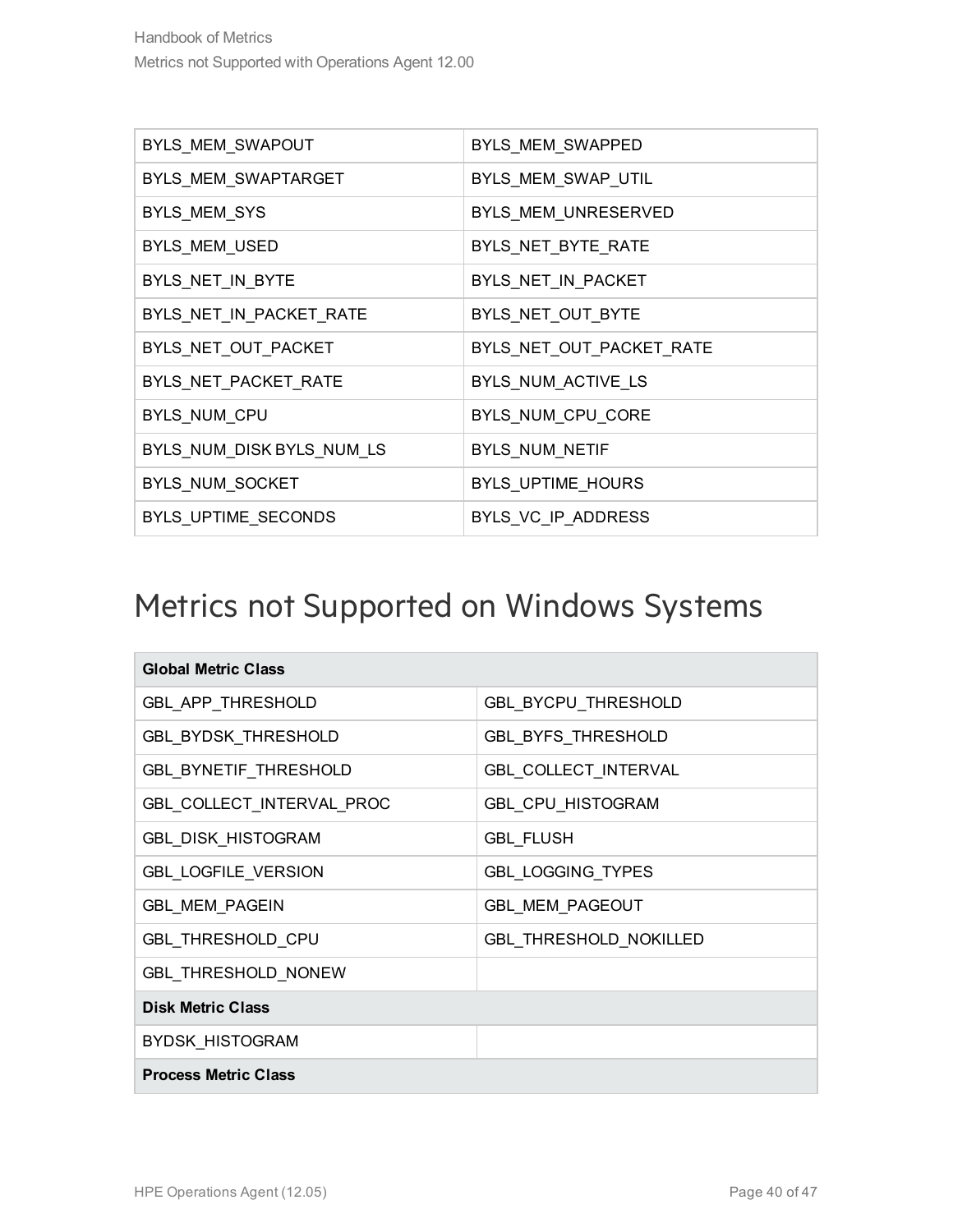| BYLS MEM SWAPOUT          | BYLS_MEM_SWAPPED         |
|---------------------------|--------------------------|
| BYLS MEM SWAPTARGET       | BYLS_MEM_SWAP_UTIL       |
| BYLS_MEM_SYS              | BYLS MEM UNRESERVED      |
| BYLS_MEM_USED             | BYLS_NET_BYTE_RATE       |
| BYLS_NET_IN_BYTE          | BYLS_NET_IN_PACKET       |
| BYLS NET IN PACKET RATE   | BYLS_NET_OUT_BYTE        |
| BYLS NET OUT PACKET       | BYLS_NET_OUT_PACKET_RATE |
| BYLS_NET_PACKET_RATE      | BYLS NUM ACTIVE LS       |
| BYLS_NUM_CPU              | BYLS_NUM_CPU_CORE        |
| BYLS NUM DISK BYLS NUM LS | BYLS NUM NETIF           |
| BYLS_NUM_SOCKET           | BYLS_UPTIME_HOURS        |
| BYLS_UPTIME_SECONDS       | BYLS VC IP ADDRESS       |

#### <span id="page-39-0"></span>Metrics not Supported on Windows Systems

| <b>Global Metric Class</b>   |                            |
|------------------------------|----------------------------|
| <b>GBL APP THRESHOLD</b>     | <b>GBL BYCPU THRESHOLD</b> |
| <b>GBL_BYDSK_THRESHOLD</b>   | <b>GBL_BYFS_THRESHOLD</b>  |
| <b>GBL_BYNETIF_THRESHOLD</b> | GBL_COLLECT_INTERVAL       |
| GBL_COLLECT_INTERVAL_PROC    | GBL_CPU_HISTOGRAM          |
| <b>GBL_DISK_HISTOGRAM</b>    | <b>GBL FLUSH</b>           |
| <b>GBL_LOGFILE_VERSION</b>   | <b>GBL_LOGGING_TYPES</b>   |
| <b>GBL_MEM_PAGEIN</b>        | <b>GBL MEM PAGEOUT</b>     |
| GBL_THRESHOLD_CPU            | GBL_THRESHOLD_NOKILLED     |
| GBL_THRESHOLD_NONEW          |                            |
| <b>Disk Metric Class</b>     |                            |
| <b>BYDSK HISTOGRAM</b>       |                            |
| <b>Process Metric Class</b>  |                            |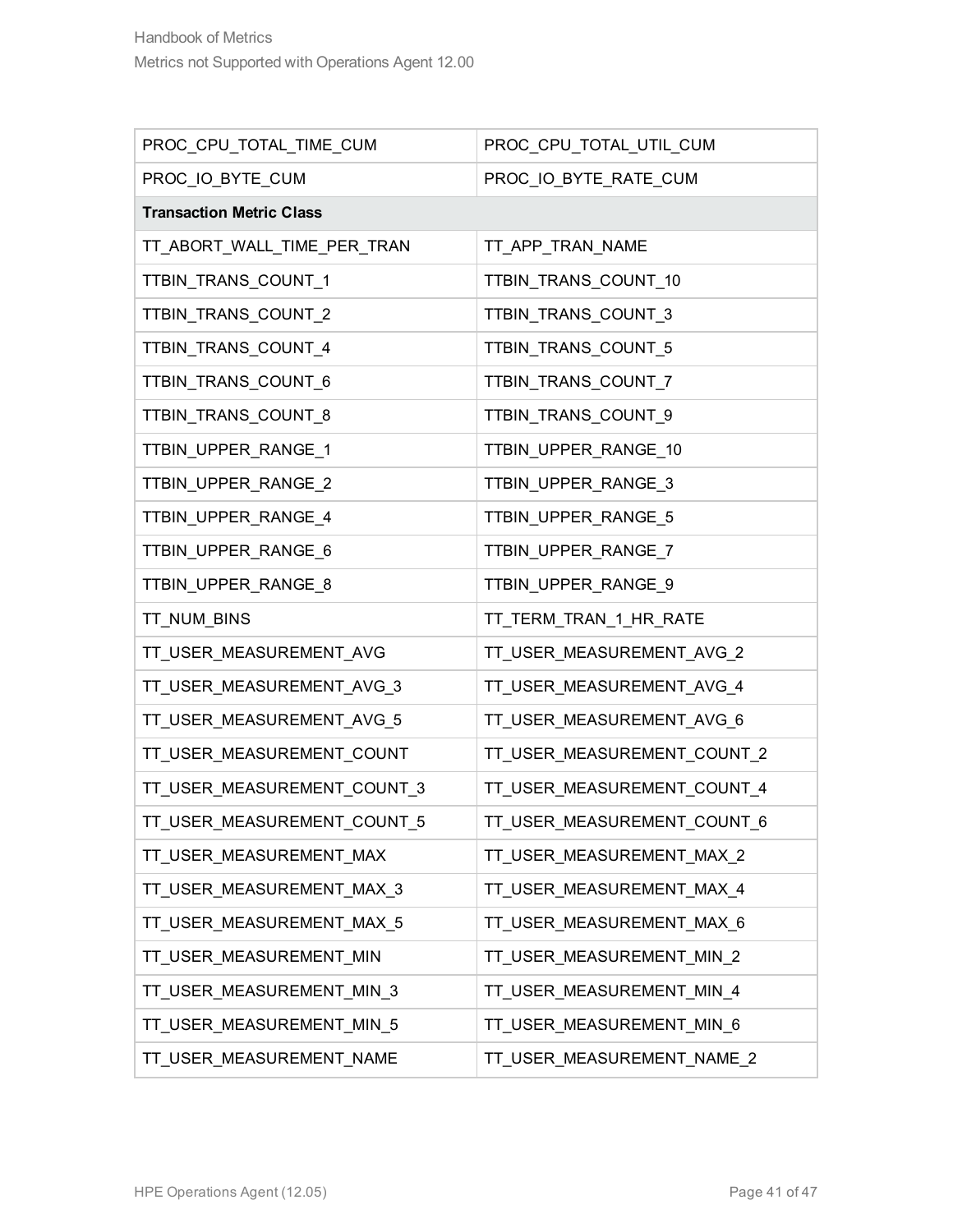| PROC_CPU_TOTAL_TIME_CUM         | PROC_CPU_TOTAL_UTIL_CUM     |
|---------------------------------|-----------------------------|
| PROC_IO_BYTE_CUM                | PROC_IO_BYTE_RATE_CUM       |
| <b>Transaction Metric Class</b> |                             |
| TT_ABORT_WALL_TIME_PER_TRAN     | TT_APP_TRAN_NAME            |
| TTBIN_TRANS_COUNT_1             | TTBIN_TRANS_COUNT_10        |
| TTBIN_TRANS_COUNT_2             | TTBIN_TRANS_COUNT_3         |
| TTBIN_TRANS_COUNT_4             | TTBIN_TRANS_COUNT_5         |
| TTBIN_TRANS_COUNT_6             | TTBIN_TRANS_COUNT_7         |
| TTBIN_TRANS_COUNT_8             | TTBIN_TRANS_COUNT_9         |
| TTBIN_UPPER_RANGE_1             | TTBIN_UPPER_RANGE_10        |
| TTBIN_UPPER_RANGE_2             | TTBIN_UPPER_RANGE_3         |
| TTBIN_UPPER_RANGE_4             | TTBIN_UPPER_RANGE_5         |
| TTBIN_UPPER_RANGE_6             | TTBIN_UPPER_RANGE_7         |
| TTBIN_UPPER_RANGE_8             | TTBIN_UPPER_RANGE_9         |
| TT_NUM_BINS                     | TT_TERM_TRAN_1_HR_RATE      |
| TT_USER_MEASUREMENT_AVG         | TT_USER_MEASUREMENT_AVG_2   |
| TT_USER_MEASUREMENT_AVG_3       | TT_USER_MEASUREMENT_AVG_4   |
| TT_USER_MEASUREMENT_AVG_5       | TT_USER_MEASUREMENT_AVG_6   |
| TT_USER_MEASUREMENT_COUNT       | TT_USER_MEASUREMENT_COUNT_2 |
| TT_USER_MEASUREMENT_COUNT_3     | TT_USER_MEASUREMENT_COUNT_4 |
| TT_USER_MEASUREMENT_COUNT_5     | TT_USER_MEASUREMENT_COUNT_6 |
| TT_USER_MEASUREMENT_MAX         | TT_USER_MEASUREMENT_MAX_2   |
| TT_USER_MEASUREMENT_MAX_3       | TT_USER_MEASUREMENT_MAX_4   |
| TT_USER_MEASUREMENT_MAX_5       | TT_USER_MEASUREMENT_MAX_6   |
| TT_USER_MEASUREMENT_MIN         | TT_USER_MEASUREMENT_MIN_2   |
| TT_USER_MEASUREMENT_MIN_3       | TT_USER_MEASUREMENT_MIN_4   |
| TT_USER_MEASUREMENT_MIN_5       | TT_USER_MEASUREMENT_MIN_6   |
| TT_USER_MEASUREMENT_NAME        | TT_USER_MEASUREMENT_NAME_2  |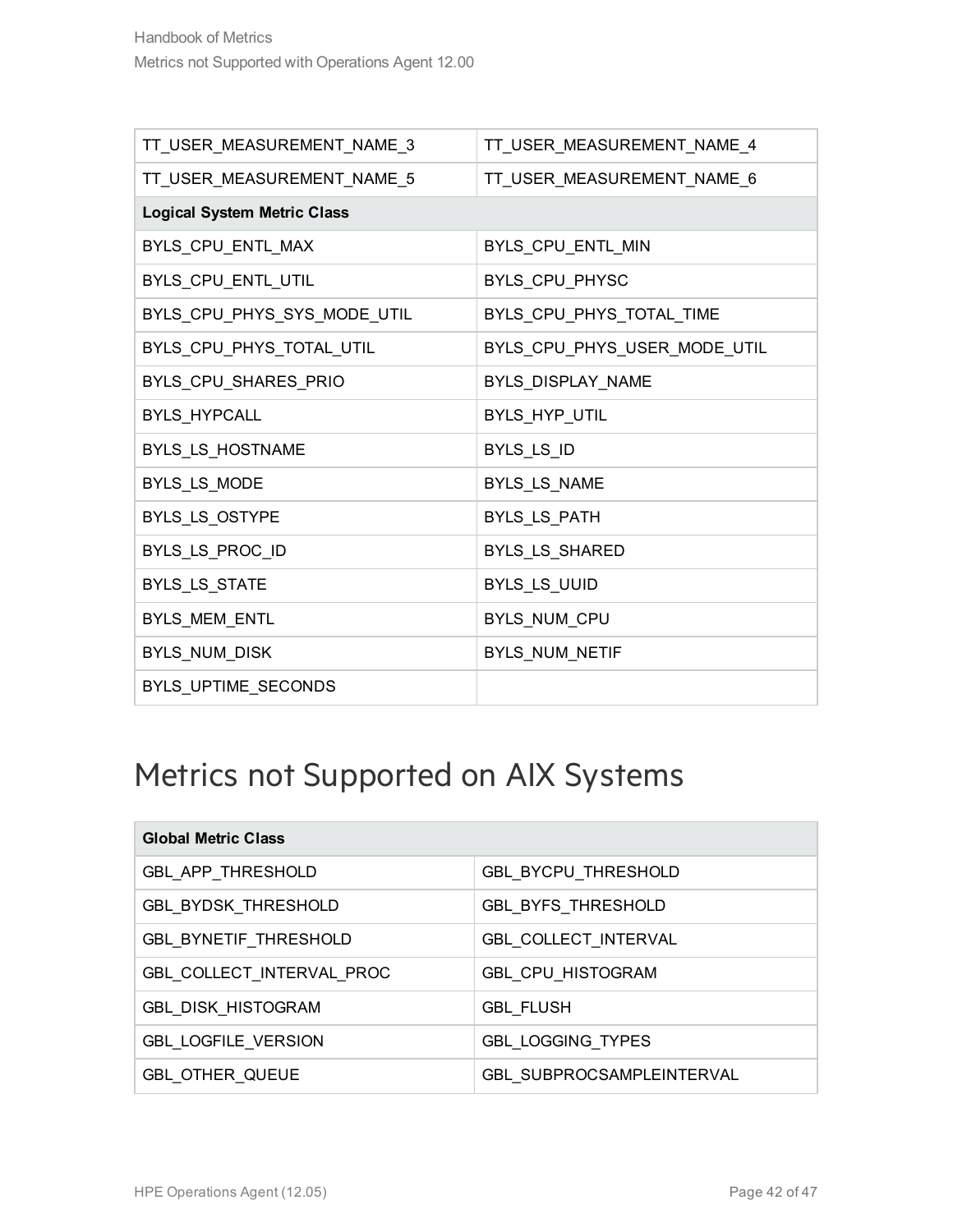| TT_USER_MEASUREMENT_NAME_3         | TT_USER_MEASUREMENT_NAME_4   |
|------------------------------------|------------------------------|
| TT_USER_MEASUREMENT_NAME_5         | TT_USER_MEASUREMENT_NAME_6   |
| <b>Logical System Metric Class</b> |                              |
| BYLS_CPU_ENTL_MAX                  | BYLS_CPU_ENTL_MIN            |
| BYLS_CPU_ENTL_UTIL                 | BYLS_CPU_PHYSC               |
| BYLS_CPU_PHYS_SYS_MODE_UTIL        | BYLS_CPU_PHYS_TOTAL_TIME     |
| BYLS_CPU_PHYS_TOTAL_UTIL           | BYLS_CPU_PHYS_USER_MODE_UTIL |
| BYLS_CPU_SHARES_PRIO               | BYLS_DISPLAY_NAME            |
| BYLS_HYPCALL                       | BYLS_HYP_UTIL                |
| <b>BYLS LS HOSTNAME</b>            | BYLS_LS_ID                   |
| BYLS_LS_MODE                       | BYLS_LS_NAME                 |
| BYLS_LS_OSTYPE                     | BYLS_LS_PATH                 |
| BYLS_LS_PROC_ID                    | BYLS_LS_SHARED               |
| BYLS_LS_STATE                      | BYLS_LS_UUID                 |
| BYLS_MEM_ENTL                      | BYLS_NUM_CPU                 |
| BYLS_NUM_DISK                      | BYLS_NUM_NETIF               |
| BYLS_UPTIME_SECONDS                |                              |

### <span id="page-41-0"></span>Metrics not Supported on AIX Systems

| <b>Global Metric Class</b>   |                                  |
|------------------------------|----------------------------------|
| <b>GBL APP THRESHOLD</b>     | GBL_BYCPU_THRESHOLD              |
| GBL_BYDSK_THRESHOLD          | <b>GBL_BYFS_THRESHOLD</b>        |
| <b>GBL BYNETIF THRESHOLD</b> | <b>GBL COLLECT_INTERVAL</b>      |
| GBL COLLECT INTERVAL PROC    | <b>GBL CPU HISTOGRAM</b>         |
| <b>GBL DISK HISTOGRAM</b>    | <b>GBL FLUSH</b>                 |
| <b>GBL LOGFILE VERSION</b>   | <b>GBL LOGGING TYPES</b>         |
| <b>GBL OTHER QUEUE</b>       | <b>GBL SUBPROCSAMPLEINTERVAL</b> |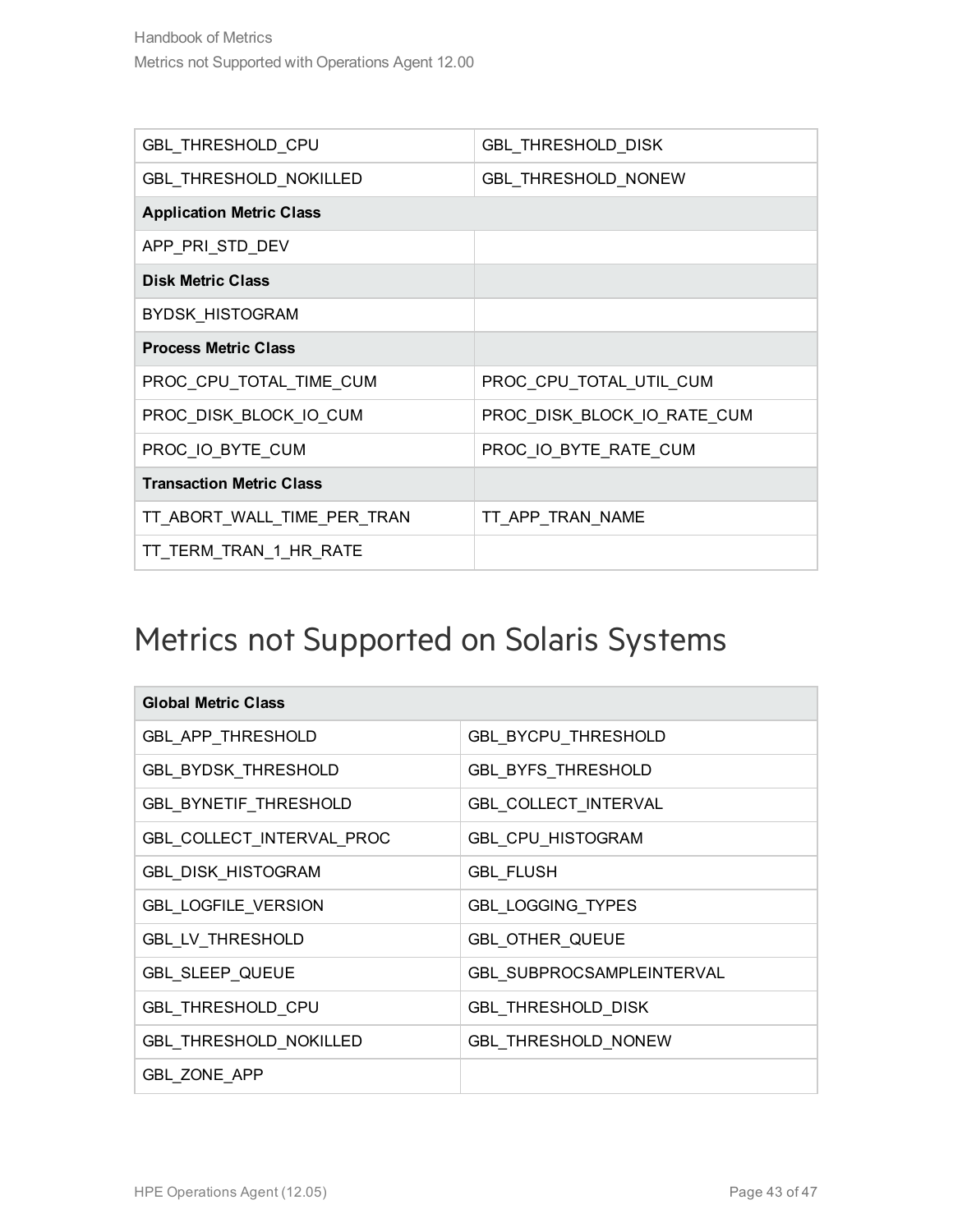| GBL_THRESHOLD_CPU               | <b>GBL_THRESHOLD_DISK</b>   |
|---------------------------------|-----------------------------|
| GBL_THRESHOLD_NOKILLED          | <b>GBL THRESHOLD NONEW</b>  |
| <b>Application Metric Class</b> |                             |
| APP_PRI_STD_DEV                 |                             |
| <b>Disk Metric Class</b>        |                             |
| <b>BYDSK HISTOGRAM</b>          |                             |
| <b>Process Metric Class</b>     |                             |
| PROC_CPU_TOTAL_TIME_CUM         | PROC_CPU_TOTAL_UTIL_CUM     |
| PROC DISK BLOCK IO CUM          | PROC DISK BLOCK IO RATE CUM |
| PROC IO BYTE CUM                | PROC IO BYTE RATE CUM       |
| <b>Transaction Metric Class</b> |                             |
| TT_ABORT_WALL_TIME_PER_TRAN     | TT APP TRAN NAME            |
| TT TERM TRAN 1 HR RATE          |                             |

### <span id="page-42-0"></span>Metrics not Supported on Solaris Systems

| <b>Global Metric Class</b>   |                             |
|------------------------------|-----------------------------|
| GBL_APP_THRESHOLD            | GBL_BYCPU_THRESHOLD         |
| <b>GBL_BYDSK_THRESHOLD</b>   | <b>GBL_BYFS_THRESHOLD</b>   |
| <b>GBL_BYNETIF_THRESHOLD</b> | <b>GBL_COLLECT_INTERVAL</b> |
| GBL_COLLECT_INTERVAL_PROC    | <b>GBL_CPU_HISTOGRAM</b>    |
| <b>GBL_DISK_HISTOGRAM</b>    | <b>GBL FLUSH</b>            |
| <b>GBL_LOGFILE_VERSION</b>   | GBL_LOGGING_TYPES           |
| <b>GBL LV THRESHOLD</b>      | <b>GBL OTHER QUEUE</b>      |
| <b>GBL SLEEP QUEUE</b>       | GBL SUBPROCSAMPLEINTERVAL   |
| GBL_THRESHOLD_CPU            | <b>GBL_THRESHOLD_DISK</b>   |
| GBL_THRESHOLD_NOKILLED       | <b>GBL_THRESHOLD_NONEW</b>  |
| <b>GBL_ZONE APP</b>          |                             |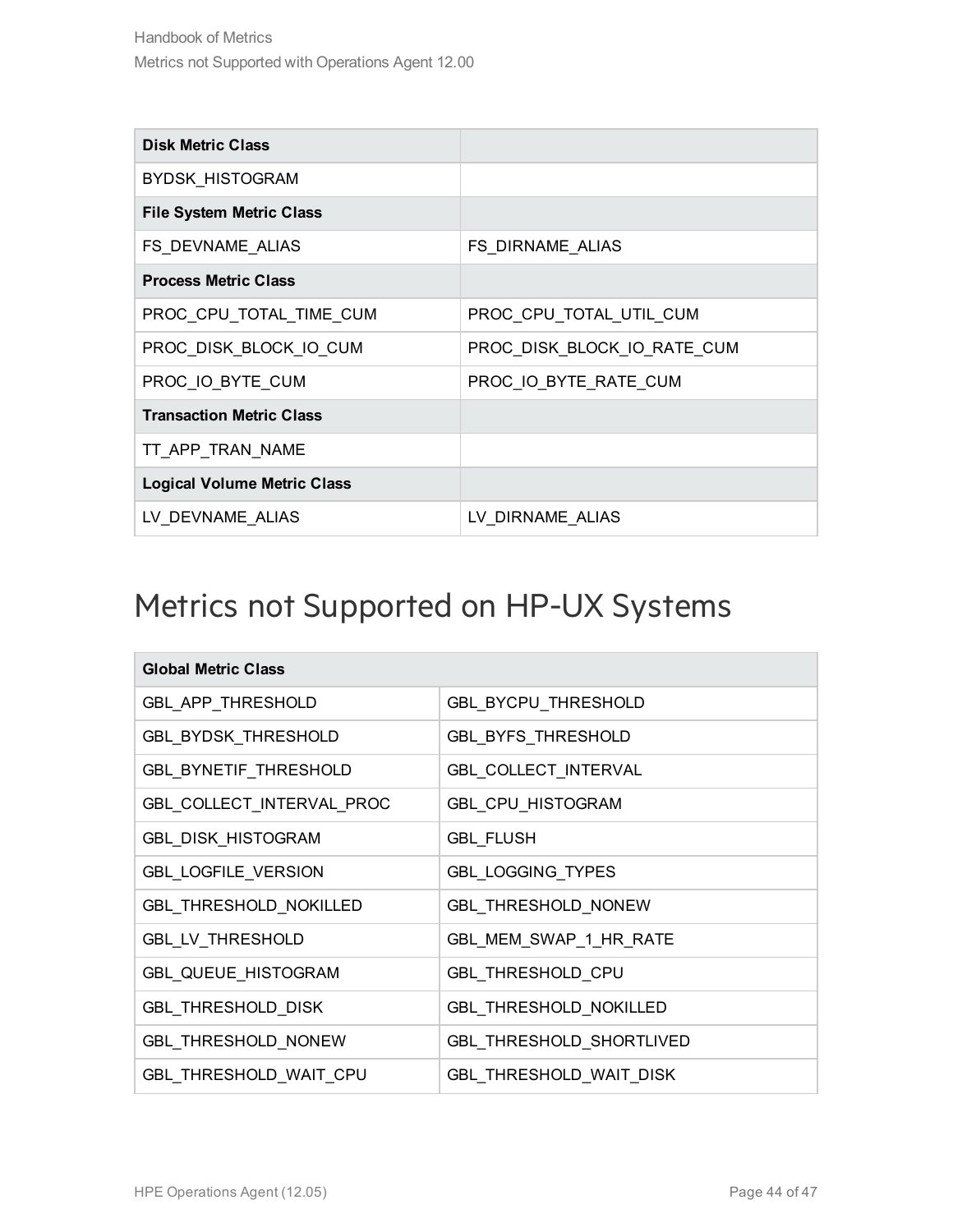| <b>Disk Metric Class</b>           |                             |
|------------------------------------|-----------------------------|
| <b>BYDSK HISTOGRAM</b>             |                             |
| <b>File System Metric Class</b>    |                             |
| FS DEVNAME ALIAS                   | FS DIRNAME ALIAS            |
| <b>Process Metric Class</b>        |                             |
| PROC CPU TOTAL TIME CUM            | PROC CPU TOTAL UTIL CUM     |
| PROC_DISK_BLOCK_IO_CUM             | PROC_DISK_BLOCK_IO_RATE_CUM |
| PROC_IO_BYTE_CUM                   | PROC_IO_BYTE_RATE_CUM       |
| <b>Transaction Metric Class</b>    |                             |
| TT APP_TRAN_NAME                   |                             |
| <b>Logical Volume Metric Class</b> |                             |
| LV DEVNAME ALIAS                   | LV DIRNAME ALIAS            |

#### <span id="page-43-0"></span>Metrics not Supported on HP-UX Systems

| <b>Global Metric Class</b>    |                                |  |
|-------------------------------|--------------------------------|--|
| GBL_APP_THRESHOLD             | GBL_BYCPU_THRESHOLD            |  |
| <b>GBL_BYDSK_THRESHOLD</b>    | <b>GBL_BYFS_THRESHOLD</b>      |  |
| <b>GBL_BYNETIF_THRESHOLD</b>  | GBL_COLLECT_INTERVAL           |  |
| GBL_COLLECT_INTERVAL_PROC     | GBL_CPU_HISTOGRAM              |  |
| <b>GBL_DISK_HISTOGRAM</b>     | <b>GBL_FLUSH</b>               |  |
| <b>GBL_LOGFILE_VERSION</b>    | <b>GBL_LOGGING_TYPES</b>       |  |
| GBL_THRESHOLD_NOKILLED        | <b>GBL THRESHOLD NONEW</b>     |  |
| <b>GBL LV THRESHOLD</b>       | GBL MEM SWAP 1 HR RATE         |  |
| <b>GBL_QUEUE_HISTOGRAM</b>    | <b>GBL THRESHOLD CPU</b>       |  |
| <b>GBL_THRESHOLD_DISK</b>     | GBL_THRESHOLD_NOKILLED         |  |
| GBL_THRESHOLD_NONEW           | GBL_THRESHOLD_SHORTLIVED       |  |
| <b>GBL THRESHOLD WAIT CPU</b> | <b>GBL THRESHOLD WAIT DISK</b> |  |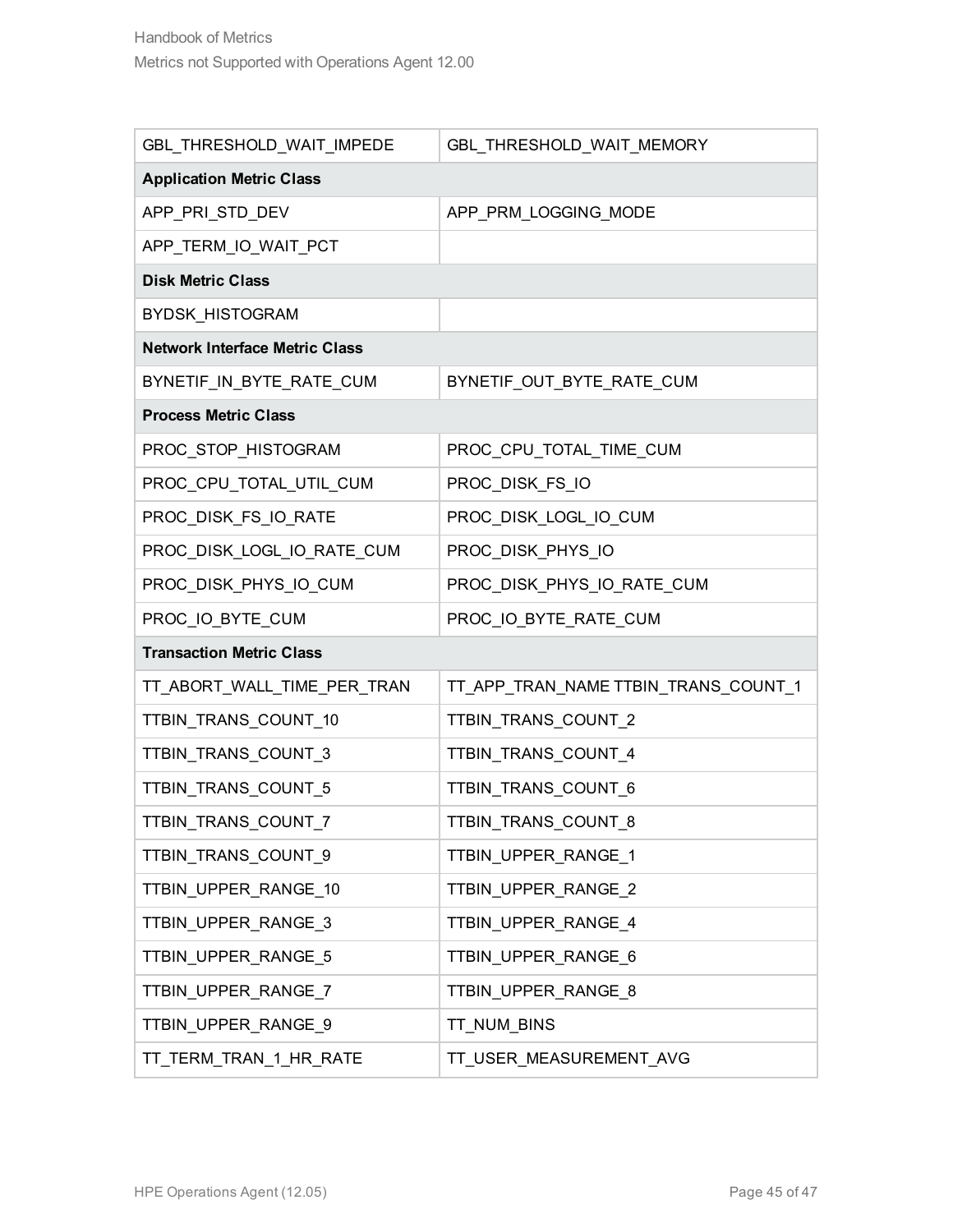| GBL THRESHOLD WAIT IMPEDE             | GBL_THRESHOLD_WAIT_MEMORY            |  |
|---------------------------------------|--------------------------------------|--|
| <b>Application Metric Class</b>       |                                      |  |
| APP_PRI_STD_DEV                       | APP_PRM_LOGGING_MODE                 |  |
| APP_TERM_IO_WAIT_PCT                  |                                      |  |
| <b>Disk Metric Class</b>              |                                      |  |
| <b>BYDSK HISTOGRAM</b>                |                                      |  |
| <b>Network Interface Metric Class</b> |                                      |  |
| BYNETIF_IN_BYTE_RATE_CUM              | BYNETIF_OUT_BYTE_RATE_CUM            |  |
| <b>Process Metric Class</b>           |                                      |  |
| PROC_STOP_HISTOGRAM                   | PROC_CPU_TOTAL_TIME_CUM              |  |
| PROC_CPU_TOTAL_UTIL_CUM               | PROC_DISK_FS_IO                      |  |
| PROC_DISK_FS_IO_RATE                  | PROC_DISK_LOGL_IO_CUM                |  |
| PROC_DISK_LOGL_IO_RATE_CUM            | PROC_DISK_PHYS_IO                    |  |
| PROC_DISK_PHYS_IO_CUM                 | PROC_DISK_PHYS_IO_RATE_CUM           |  |
| PROC_IO_BYTE_CUM                      | PROC_IO_BYTE_RATE_CUM                |  |
| <b>Transaction Metric Class</b>       |                                      |  |
| TT_ABORT_WALL_TIME_PER_TRAN           | TT_APP_TRAN_NAME TTBIN_TRANS_COUNT_1 |  |
| TTBIN_TRANS_COUNT_10                  | TTBIN_TRANS_COUNT_2                  |  |
| TTBIN_TRANS_COUNT_3                   | TTBIN_TRANS_COUNT_4                  |  |
| TTBIN_TRANS_COUNT_5                   | TTBIN_TRANS_COUNT_6                  |  |
| TTBIN_TRANS_COUNT_7                   | TTBIN_TRANS_COUNT_8                  |  |
| TTBIN_TRANS_COUNT_9                   | TTBIN_UPPER_RANGE_1                  |  |
| TTBIN_UPPER_RANGE_10                  | TTBIN_UPPER_RANGE_2                  |  |
| TTBIN_UPPER_RANGE_3                   | TTBIN_UPPER_RANGE_4                  |  |
| TTBIN_UPPER_RANGE_5                   | TTBIN_UPPER_RANGE_6                  |  |
| TTBIN_UPPER_RANGE_7                   | TTBIN_UPPER_RANGE_8                  |  |
| TTBIN_UPPER_RANGE_9                   | TT_NUM_BINS                          |  |
| TT_TERM_TRAN_1_HR_RATE                | TT_USER_MEASUREMENT_AVG              |  |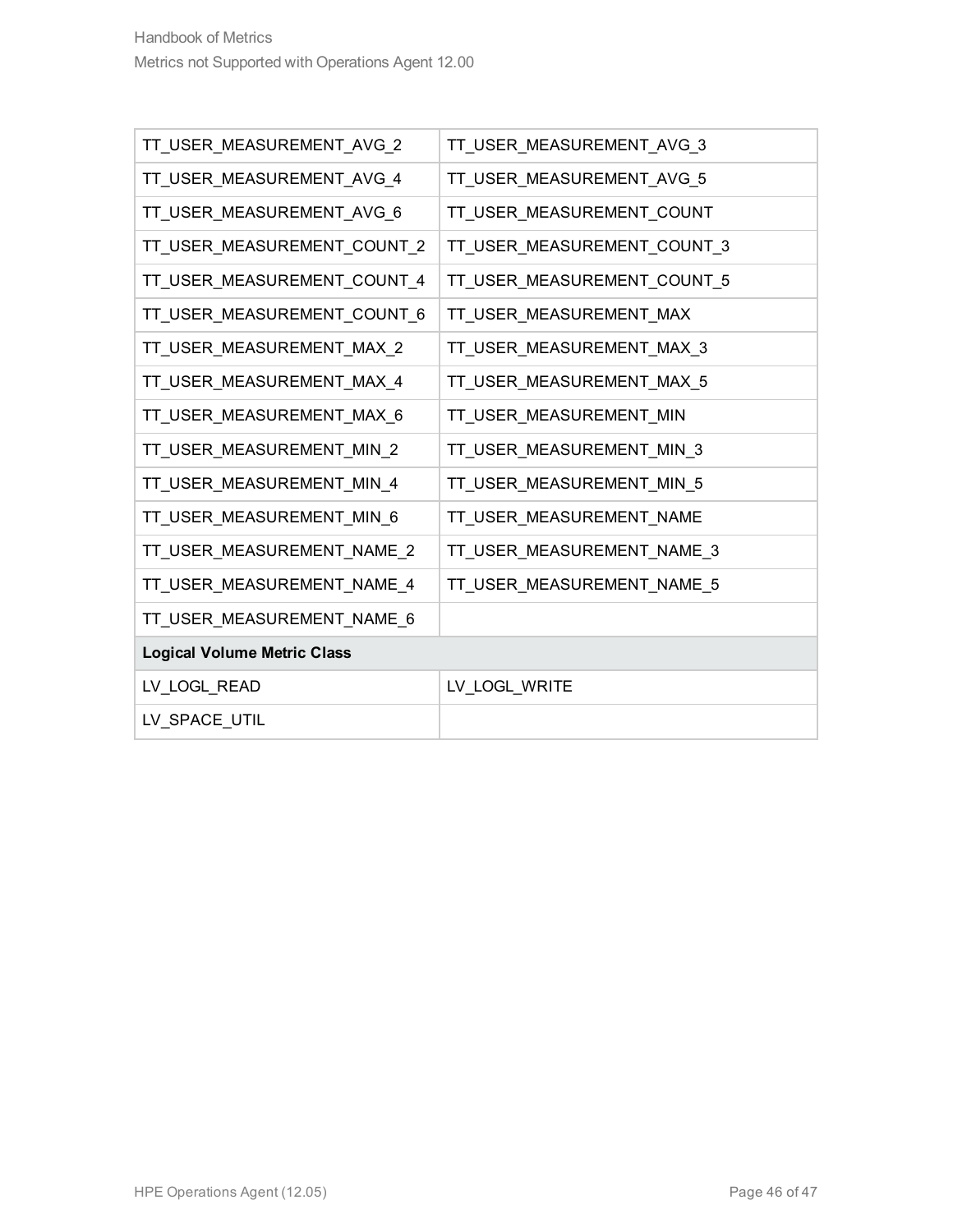| TT_USER_MEASUREMENT_AVG_2          | TT_USER_MEASUREMENT_AVG_3   |
|------------------------------------|-----------------------------|
| TT_USER_MEASUREMENT_AVG_4          | TT_USER_MEASUREMENT_AVG_5   |
| TT_USER_MEASUREMENT_AVG_6          | TT_USER_MEASUREMENT_COUNT   |
| TT_USER_MEASUREMENT_COUNT_2        | TT_USER_MEASUREMENT_COUNT_3 |
| TT_USER_MEASUREMENT_COUNT_4        | TT_USER_MEASUREMENT_COUNT_5 |
| TT_USER_MEASUREMENT_COUNT_6        | TT_USER_MEASUREMENT_MAX     |
| TT_USER_MEASUREMENT_MAX_2          | TT_USER_MEASUREMENT_MAX_3   |
| TT_USER_MEASUREMENT_MAX_4          | TT_USER_MEASUREMENT_MAX_5   |
| TT_USER_MEASUREMENT_MAX_6          | TT_USER_MEASUREMENT_MIN     |
| TT_USER_MEASUREMENT_MIN_2          | TT_USER_MEASUREMENT_MIN_3   |
| TT_USER_MEASUREMENT_MIN_4          | TT_USER_MEASUREMENT_MIN_5   |
| TT_USER_MEASUREMENT_MIN_6          | TT_USER_MEASUREMENT_NAME    |
| TT_USER_MEASUREMENT_NAME_2         | TT_USER_MEASUREMENT_NAME_3  |
| TT_USER_MEASUREMENT_NAME_4         | TT_USER_MEASUREMENT_NAME_5  |
| TT_USER_MEASUREMENT_NAME_6         |                             |
| <b>Logical Volume Metric Class</b> |                             |
| LV_LOGL_READ                       | LV_LOGL_WRITE               |
| LV_SPACE_UTIL                      |                             |